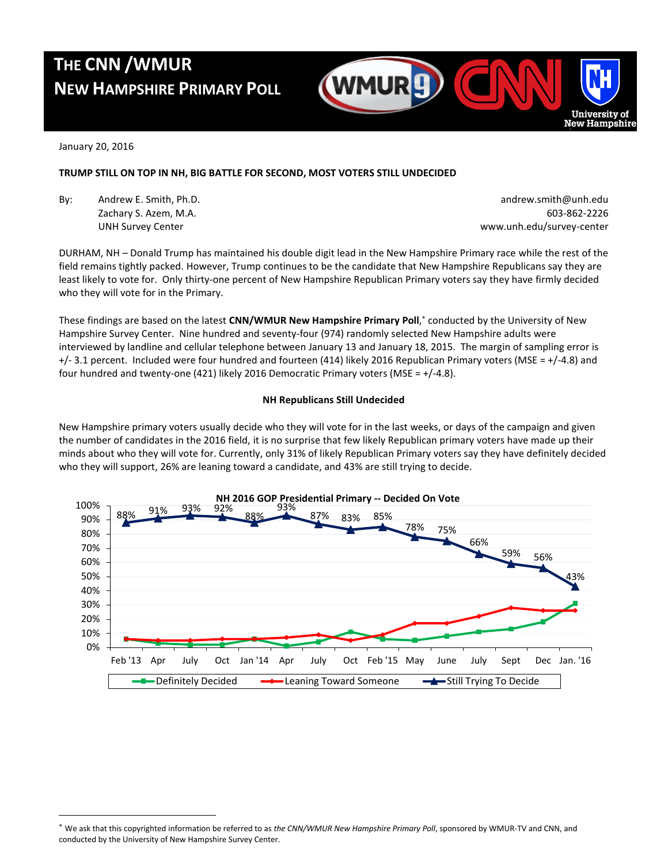# **THE CNN /WMUR NEW HAMPSHIRE PRIMARY POLL**



January 20, 2016

 $\overline{a}$ 

# **TRUMP STILL ON TOP IN NH, BIG BATTLE FOR SECOND, MOST VOTERS STILL UNDECIDED**

By: Andrew E. Smith, Ph.D. **Andrew E. Smith, Ph.D.** andrew.smith@unh.edu

Zachary S. Azem, M.A. 603-862-2226 UNH Survey Center www.unh.edu/survey-center

DURHAM, NH – Donald Trump has maintained his double digit lead in the New Hampshire Primary race while the rest of the field remains tightly packed. However, Trump continues to be the candidate that New Hampshire Republicans say they are least likely to vote for. Only thirty-one percent of New Hampshire Republican Primary voters say they have firmly decided who they will vote for in the Primary.

These findings are based on the latest **CNN/WMUR New Hampshire Primary Poll**, conducted by the University of New Hampshire Survey Center. Nine hundred and seventy-four (974) randomly selected New Hampshire adults were interviewed by landline and cellular telephone between January 13 and January 18, 2015. The margin of sampling error is +/- 3.1 percent. Included were four hundred and fourteen (414) likely 2016 Republican Primary voters (MSE = +/-4.8) and four hundred and twenty-one (421) likely 2016 Democratic Primary voters (MSE =  $+/-4.8$ ).

# **NH Republicans Still Undecided**

New Hampshire primary voters usually decide who they will vote for in the last weeks, or days of the campaign and given the number of candidates in the 2016 field, it is no surprise that few likely Republican primary voters have made up their minds about who they will vote for. Currently, only 31% of likely Republican Primary voters say they have definitely decided who they will support, 26% are leaning toward a candidate, and 43% are still trying to decide.



We ask that this copyrighted information be referred to as *the CNN/WMUR New Hampshire Primary Poll*, sponsored by WMUR-TV and CNN, and conducted by the University of New Hampshire Survey Center.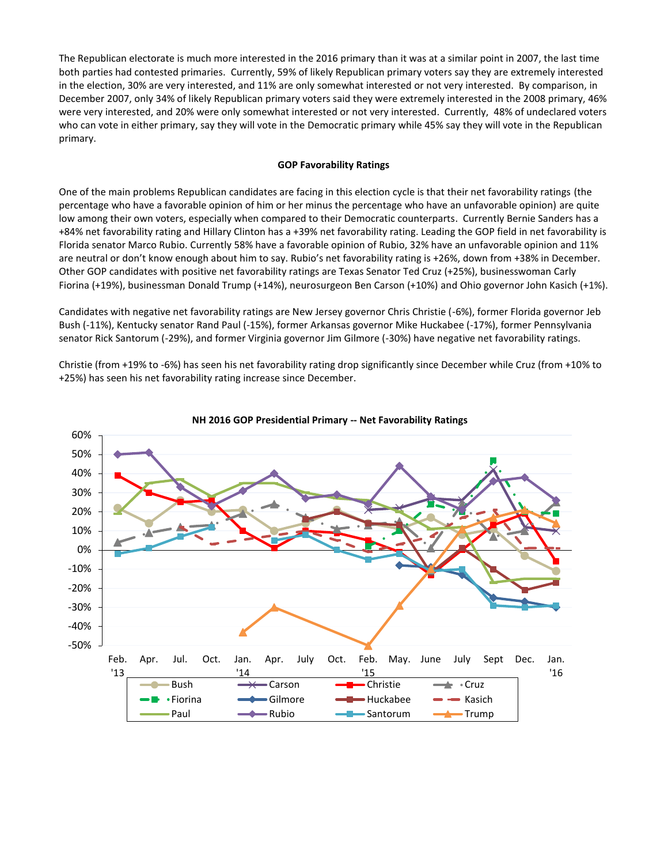The Republican electorate is much more interested in the 2016 primary than it was at a similar point in 2007, the last time both parties had contested primaries. Currently, 59% of likely Republican primary voters say they are extremely interested in the election, 30% are very interested, and 11% are only somewhat interested or not very interested. By comparison, in December 2007, only 34% of likely Republican primary voters said they were extremely interested in the 2008 primary, 46% were very interested, and 20% were only somewhat interested or not very interested. Currently, 48% of undeclared voters who can vote in either primary, say they will vote in the Democratic primary while 45% say they will vote in the Republican primary.

## **GOP Favorability Ratings**

One of the main problems Republican candidates are facing in this election cycle is that their net favorability ratings (the percentage who have a favorable opinion of him or her minus the percentage who have an unfavorable opinion) are quite low among their own voters, especially when compared to their Democratic counterparts. Currently Bernie Sanders has a +84% net favorability rating and Hillary Clinton has a +39% net favorability rating. Leading the GOP field in net favorability is Florida senator Marco Rubio. Currently 58% have a favorable opinion of Rubio, 32% have an unfavorable opinion and 11% are neutral or don't know enough about him to say. Rubio's net favorability rating is +26%, down from +38% in December. Other GOP candidates with positive net favorability ratings are Texas Senator Ted Cruz (+25%), businesswoman Carly Fiorina (+19%), businessman Donald Trump (+14%), neurosurgeon Ben Carson (+10%) and Ohio governor John Kasich (+1%).

Candidates with negative net favorability ratings are New Jersey governor Chris Christie (-6%), former Florida governor Jeb Bush (-11%), Kentucky senator Rand Paul (-15%), former Arkansas governor Mike Huckabee (-17%), former Pennsylvania senator Rick Santorum (-29%), and former Virginia governor Jim Gilmore (-30%) have negative net favorability ratings.

Christie (from +19% to -6%) has seen his net favorability rating drop significantly since December while Cruz (from +10% to +25%) has seen his net favorability rating increase since December.



#### **NH 2016 GOP Presidential Primary -- Net Favorability Ratings**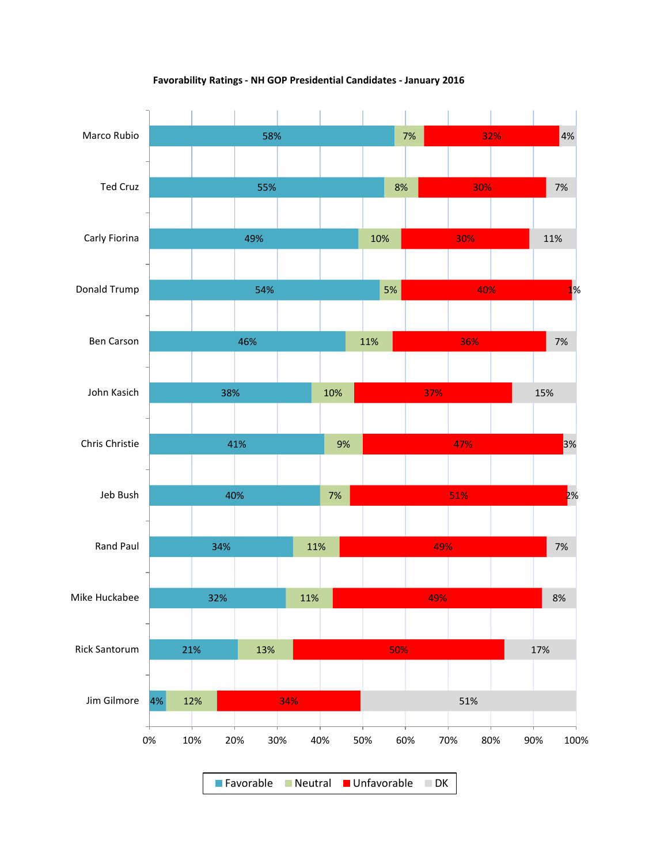

**Favorability Ratings - NH GOP Presidential Candidates - January 2016**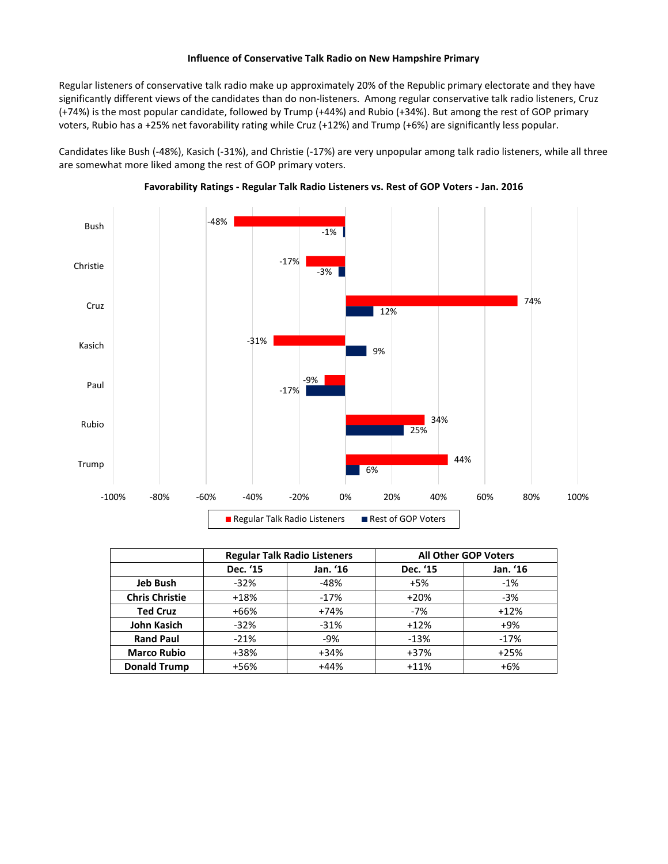## **Influence of Conservative Talk Radio on New Hampshire Primary**

Regular listeners of conservative talk radio make up approximately 20% of the Republic primary electorate and they have significantly different views of the candidates than do non-listeners. Among regular conservative talk radio listeners, Cruz (+74%) is the most popular candidate, followed by Trump (+44%) and Rubio (+34%). But among the rest of GOP primary voters, Rubio has a +25% net favorability rating while Cruz (+12%) and Trump (+6%) are significantly less popular.

Candidates like Bush (-48%), Kasich (-31%), and Christie (-17%) are very unpopular among talk radio listeners, while all three are somewhat more liked among the rest of GOP primary voters.





|                       |          | <b>Regular Talk Radio Listeners</b> | <b>All Other GOP Voters</b> |          |  |  |
|-----------------------|----------|-------------------------------------|-----------------------------|----------|--|--|
|                       | Dec. '15 | Jan. '16                            | Dec. '15                    | Jan. '16 |  |  |
| <b>Jeb Bush</b>       | $-32%$   | $-48%$                              | $+5%$                       | $-1%$    |  |  |
| <b>Chris Christie</b> | $+18%$   | $-17%$                              | $+20%$                      | $-3%$    |  |  |
| <b>Ted Cruz</b>       | $+66%$   | $+74%$                              | $-7%$                       | $+12%$   |  |  |
| <b>John Kasich</b>    | $-32%$   | $-31%$                              | $+12%$                      | $+9%$    |  |  |
| <b>Rand Paul</b>      | $-21%$   | $-9%$                               | $-13%$                      | $-17%$   |  |  |
| <b>Marco Rubio</b>    | +38%     | $+34%$                              | $+37%$                      | $+25%$   |  |  |
| <b>Donald Trump</b>   | +56%     | $+44%$                              | $+11%$                      | $+6%$    |  |  |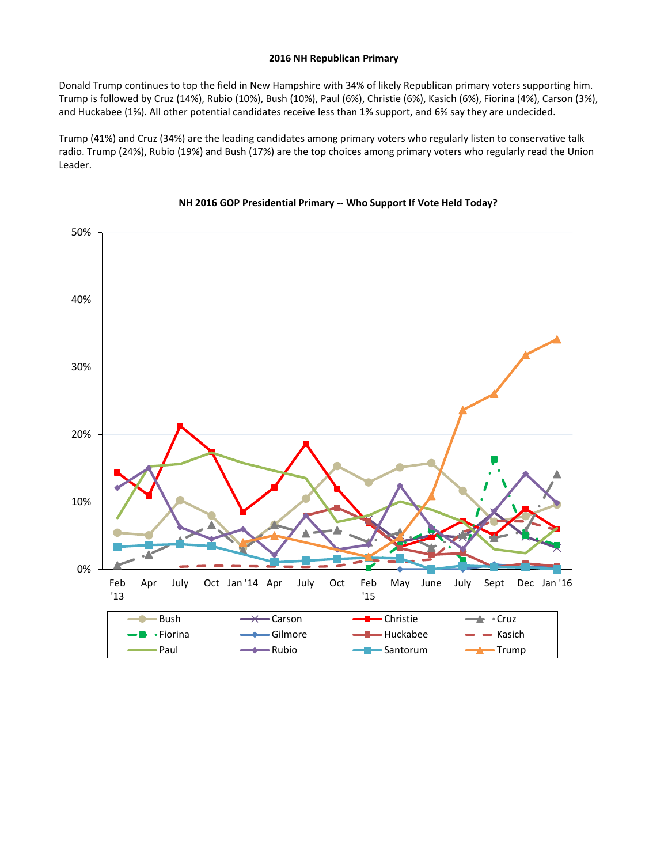#### **2016 NH Republican Primary**

Donald Trump continues to top the field in New Hampshire with 34% of likely Republican primary voters supporting him. Trump is followed by Cruz (14%), Rubio (10%), Bush (10%), Paul (6%), Christie (6%), Kasich (6%), Fiorina (4%), Carson (3%), and Huckabee (1%). All other potential candidates receive less than 1% support, and 6% say they are undecided.

Trump (41%) and Cruz (34%) are the leading candidates among primary voters who regularly listen to conservative talk radio. Trump (24%), Rubio (19%) and Bush (17%) are the top choices among primary voters who regularly read the Union Leader.



## **NH 2016 GOP Presidential Primary -- Who Support If Vote Held Today?**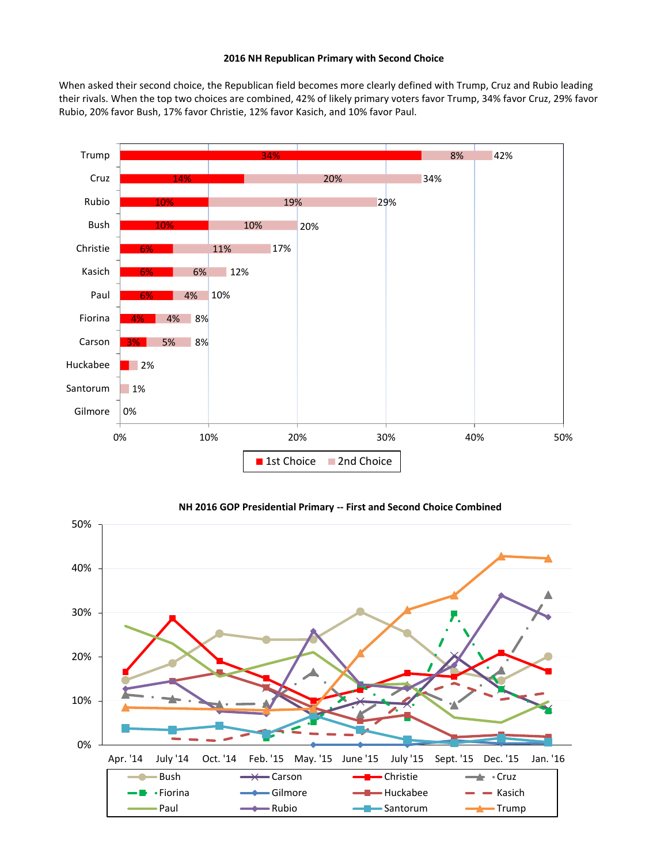#### **2016 NH Republican Primary with Second Choice**

When asked their second choice, the Republican field becomes more clearly defined with Trump, Cruz and Rubio leading their rivals. When the top two choices are combined, 42% of likely primary voters favor Trump, 34% favor Cruz, 29% favor Rubio, 20% favor Bush, 17% favor Christie, 12% favor Kasich, and 10% favor Paul.



#### **NH 2016 GOP Presidential Primary -- First and Second Choice Combined**

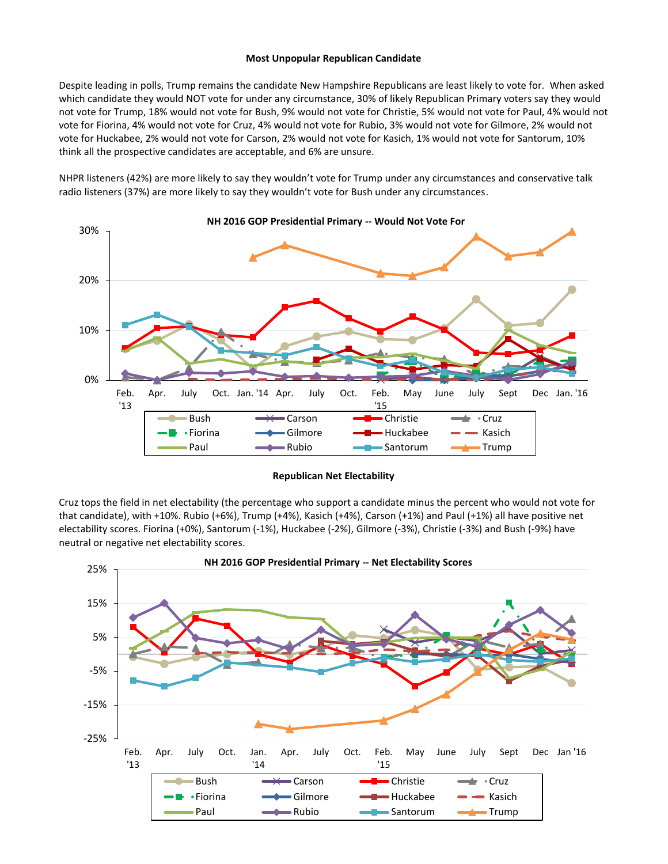#### **Most Unpopular Republican Candidate**

Despite leading in polls, Trump remains the candidate New Hampshire Republicans are least likely to vote for. When asked which candidate they would NOT vote for under any circumstance, 30% of likely Republican Primary voters say they would not vote for Trump, 18% would not vote for Bush, 9% would not vote for Christie, 5% would not vote for Paul, 4% would not vote for Fiorina, 4% would not vote for Cruz, 4% would not vote for Rubio, 3% would not vote for Gilmore, 2% would not vote for Huckabee, 2% would not vote for Carson, 2% would not vote for Kasich, 1% would not vote for Santorum, 10% think all the prospective candidates are acceptable, and 6% are unsure.

NHPR listeners (42%) are more likely to say they wouldn't vote for Trump under any circumstances and conservative talk radio listeners (37%) are more likely to say they wouldn't vote for Bush under any circumstances.



#### **Republican Net Electability**

Cruz tops the field in net electability (the percentage who support a candidate minus the percent who would not vote for that candidate), with +10%. Rubio (+6%), Trump (+4%), Kasich (+4%), Carson (+1%) and Paul (+1%) all have positive net electability scores. Fiorina (+0%), Santorum (-1%), Huckabee (-2%), Gilmore (-3%), Christie (-3%) and Bush (-9%) have neutral or negative net electability scores.

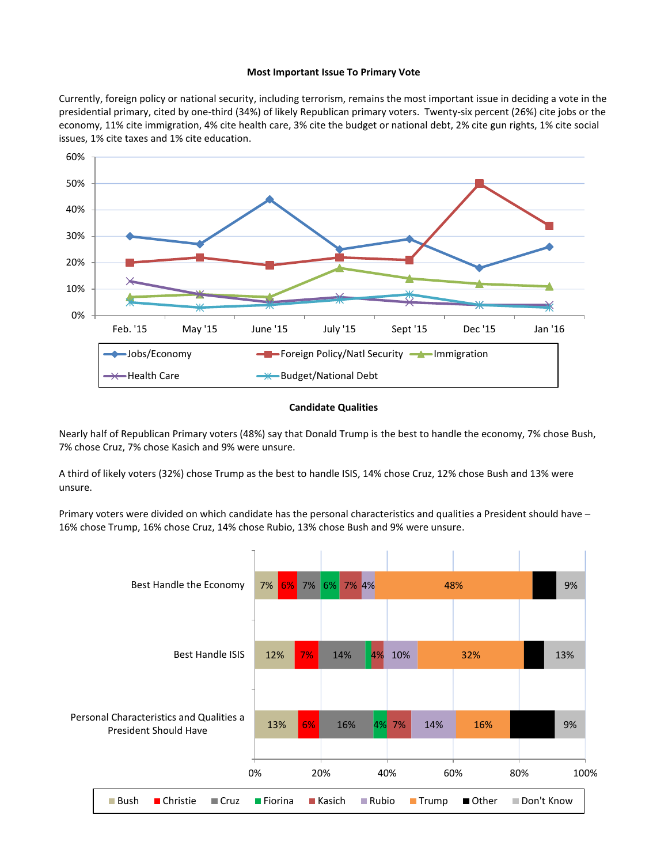#### **Most Important Issue To Primary Vote**

Currently, foreign policy or national security, including terrorism, remains the most important issue in deciding a vote in the presidential primary, cited by one-third (34%) of likely Republican primary voters. Twenty-six percent (26%) cite jobs or the economy, 11% cite immigration, 4% cite health care, 3% cite the budget or national debt, 2% cite gun rights, 1% cite social issues, 1% cite taxes and 1% cite education.



#### **Candidate Qualities**

Nearly half of Republican Primary voters (48%) say that Donald Trump is the best to handle the economy, 7% chose Bush, 7% chose Cruz, 7% chose Kasich and 9% were unsure.

A third of likely voters (32%) chose Trump as the best to handle ISIS, 14% chose Cruz, 12% chose Bush and 13% were unsure.

Primary voters were divided on which candidate has the personal characteristics and qualities a President should have – 16% chose Trump, 16% chose Cruz, 14% chose Rubio, 13% chose Bush and 9% were unsure.

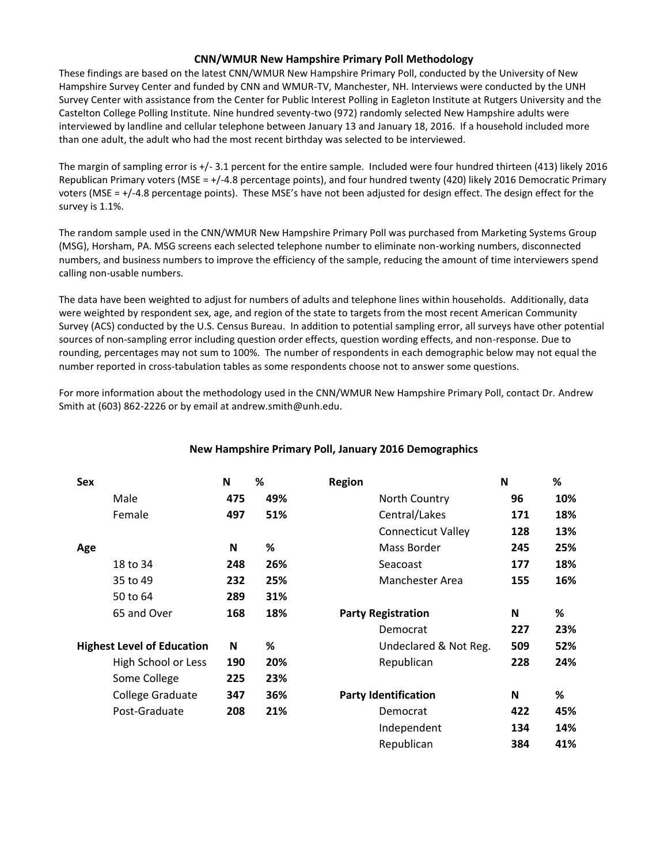# **CNN/WMUR New Hampshire Primary Poll Methodology**

These findings are based on the latest CNN/WMUR New Hampshire Primary Poll, conducted by the University of New Hampshire Survey Center and funded by CNN and WMUR-TV, Manchester, NH. Interviews were conducted by the UNH Survey Center with assistance from the Center for Public Interest Polling in Eagleton Institute at Rutgers University and the Castelton College Polling Institute. Nine hundred seventy-two (972) randomly selected New Hampshire adults were interviewed by landline and cellular telephone between January 13 and January 18, 2016. If a household included more than one adult, the adult who had the most recent birthday was selected to be interviewed.

The margin of sampling error is +/- 3.1 percent for the entire sample. Included were four hundred thirteen (413) likely 2016 Republican Primary voters (MSE = +/-4.8 percentage points), and four hundred twenty (420) likely 2016 Democratic Primary voters (MSE = +/-4.8 percentage points). These MSE's have not been adjusted for design effect. The design effect for the survey is 1.1%.

The random sample used in the CNN/WMUR New Hampshire Primary Poll was purchased from Marketing Systems Group (MSG), Horsham, PA. MSG screens each selected telephone number to eliminate non-working numbers, disconnected numbers, and business numbers to improve the efficiency of the sample, reducing the amount of time interviewers spend calling non-usable numbers.

The data have been weighted to adjust for numbers of adults and telephone lines within households. Additionally, data were weighted by respondent sex, age, and region of the state to targets from the most recent American Community Survey (ACS) conducted by the U.S. Census Bureau. In addition to potential sampling error, all surveys have other potential sources of non-sampling error including question order effects, question wording effects, and non-response. Due to rounding, percentages may not sum to 100%. The number of respondents in each demographic below may not equal the number reported in cross-tabulation tables as some respondents choose not to answer some questions.

For more information about the methodology used in the CNN/WMUR New Hampshire Primary Poll, contact Dr. Andrew Smith at (603) 862-2226 or by email at andrew.smith@unh.edu.

| <b>Sex</b>                        | N   | ℅   | <b>Region</b>               | N   | %   |
|-----------------------------------|-----|-----|-----------------------------|-----|-----|
| Male                              | 475 | 49% | North Country               | 96  | 10% |
| Female                            | 497 | 51% | Central/Lakes               | 171 | 18% |
|                                   |     |     | <b>Connecticut Valley</b>   | 128 | 13% |
| Age                               | N   | ℅   | Mass Border                 | 245 | 25% |
| 18 to 34                          | 248 | 26% | Seacoast                    | 177 | 18% |
| 35 to 49                          | 232 | 25% | Manchester Area             | 155 | 16% |
| 50 to 64                          | 289 | 31% |                             |     |     |
| 65 and Over                       | 168 | 18% | <b>Party Registration</b>   | N   | %   |
|                                   |     |     | Democrat                    | 227 | 23% |
| <b>Highest Level of Education</b> | N   | ℅   | Undeclared & Not Reg.       | 509 | 52% |
| High School or Less               | 190 | 20% | Republican                  | 228 | 24% |
| Some College                      | 225 | 23% |                             |     |     |
| College Graduate                  | 347 | 36% | <b>Party Identification</b> | N   | %   |
| Post-Graduate                     | 208 | 21% | Democrat                    | 422 | 45% |
|                                   |     |     | Independent                 | 134 | 14% |
|                                   |     |     | Republican                  | 384 | 41% |

# **New Hampshire Primary Poll, January 2016 Demographics**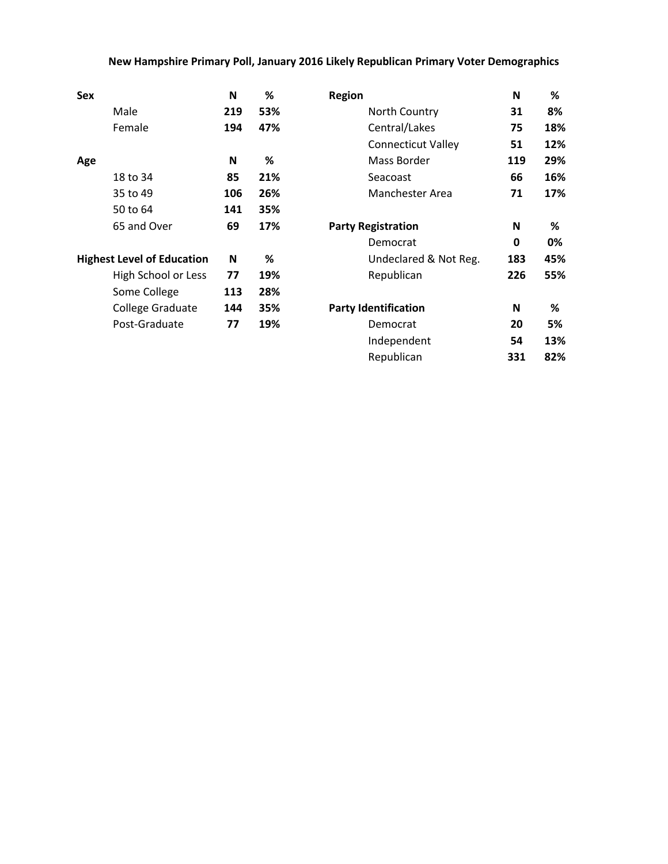# **New Hampshire Primary Poll, January 2016 Likely Republican Primary Voter Demographics**

| <b>Sex</b> |                                   | N   | %   | <b>Region</b>               | N   | %   |
|------------|-----------------------------------|-----|-----|-----------------------------|-----|-----|
|            | Male                              | 219 | 53% | North Country               | 31  | 8%  |
|            | Female                            | 194 | 47% | Central/Lakes               | 75  | 18% |
|            |                                   |     |     | <b>Connecticut Valley</b>   | 51  | 12% |
| Age        |                                   | N   | %   | Mass Border                 | 119 | 29% |
|            | 18 to 34                          | 85  | 21% | Seacoast                    | 66  | 16% |
|            | 35 to 49                          | 106 | 26% | Manchester Area             | 71  | 17% |
|            | 50 to 64                          | 141 | 35% |                             |     |     |
|            | 65 and Over                       | 69  | 17% | <b>Party Registration</b>   | N   | %   |
|            |                                   |     |     | Democrat                    | 0   | 0%  |
|            | <b>Highest Level of Education</b> | N   | %   | Undeclared & Not Reg.       | 183 | 45% |
|            | High School or Less               | 77  | 19% | Republican                  | 226 | 55% |
|            | Some College                      | 113 | 28% |                             |     |     |
|            | College Graduate                  | 144 | 35% | <b>Party Identification</b> | N   | %   |
|            | Post-Graduate                     | 77  | 19% | Democrat                    | 20  | 5%  |
|            |                                   |     |     | Independent                 | 54  | 13% |
|            |                                   |     |     | Republican                  | 331 | 82% |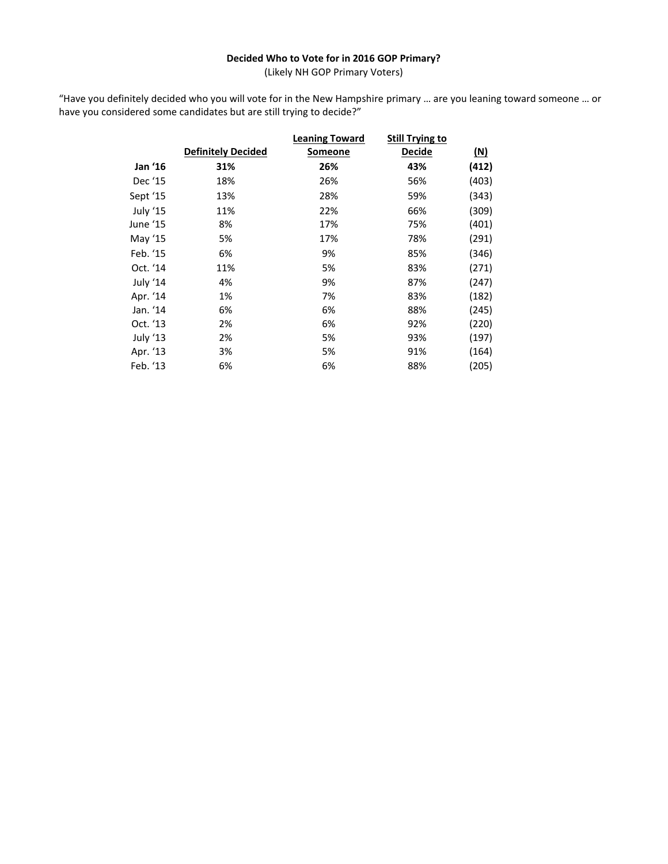# **Decided Who to Vote for in 2016 GOP Primary?**

(Likely NH GOP Primary Voters)

"Have you definitely decided who you will vote for in the New Hampshire primary … are you leaning toward someone … or have you considered some candidates but are still trying to decide?"

|          |                           | <b>Leaning Toward</b> | <b>Still Trying to</b> |            |
|----------|---------------------------|-----------------------|------------------------|------------|
|          | <b>Definitely Decided</b> | Someone               | <b>Decide</b>          | <u>(N)</u> |
| Jan '16  | 31%                       | 26%                   | 43%                    | (412)      |
| Dec '15  | 18%                       | 26%                   | 56%                    | (403)      |
| Sept '15 | 13%                       | 28%                   | 59%                    | (343)      |
| July '15 | 11%                       | 22%                   | 66%                    | (309)      |
| June '15 | 8%                        | 17%                   | 75%                    | (401)      |
| May '15  | 5%                        | 17%                   | 78%                    | (291)      |
| Feb. '15 | 6%                        | 9%                    | 85%                    | (346)      |
| Oct. '14 | 11%                       | 5%                    | 83%                    | (271)      |
| July '14 | 4%                        | 9%                    | 87%                    | (247)      |
| Apr. '14 | 1%                        | 7%                    | 83%                    | (182)      |
| Jan. '14 | 6%                        | 6%                    | 88%                    | (245)      |
| Oct. '13 | 2%                        | 6%                    | 92%                    | (220)      |
| July '13 | 2%                        | 5%                    | 93%                    | (197)      |
| Apr. '13 | 3%                        | 5%                    | 91%                    | (164)      |
| Feb. '13 | 6%                        | 6%                    | 88%                    | (205)      |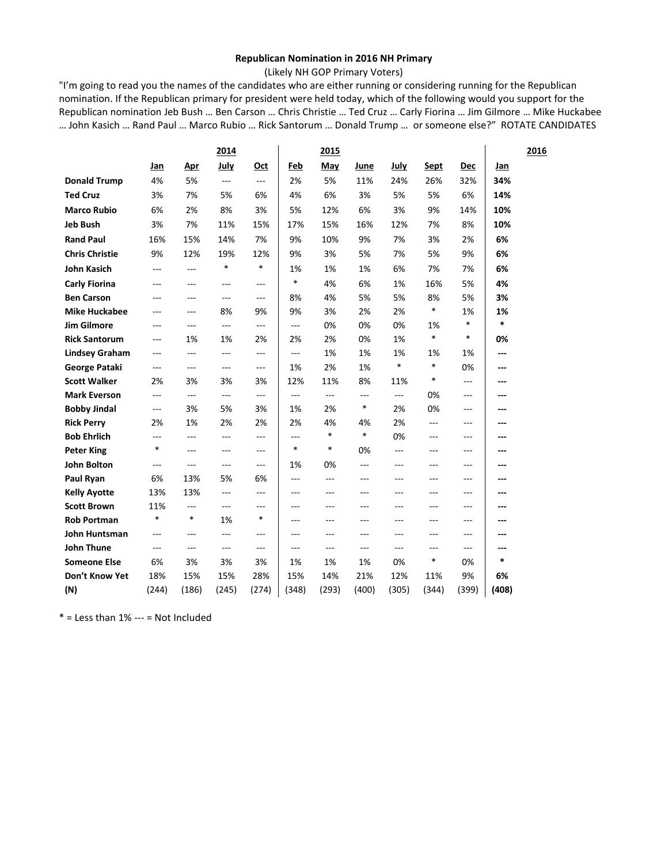## **Republican Nomination in 2016 NH Primary**

(Likely NH GOP Primary Voters)

"I'm going to read you the names of the candidates who are either running or considering running for the Republican nomination. If the Republican primary for president were held today, which of the following would you support for the Republican nomination Jeb Bush … Ben Carson … Chris Christie … Ted Cruz … Carly Fiorina … Jim Gilmore … Mike Huckabee … John Kasich … Rand Paul … Marco Rubio … Rick Santorum … Donald Trump … or someone else?" ROTATE CANDIDATES

|                       |                |         | 2014           |                |          | 2015                 |         |        |                |          |        | 2016 |
|-----------------------|----------------|---------|----------------|----------------|----------|----------------------|---------|--------|----------------|----------|--------|------|
|                       | Jan            | Apr     | July           | Oct            | Feb      | May                  | June    | July   | Sept           | Dec      | Jan    |      |
| <b>Donald Trump</b>   | 4%             | 5%      | ---            | $---$          | 2%       | 5%                   | 11%     | 24%    | 26%            | 32%      | 34%    |      |
| <b>Ted Cruz</b>       | 3%             | 7%      | 5%             | 6%             | 4%       | 6%                   | 3%      | 5%     | 5%             | 6%       | 14%    |      |
| <b>Marco Rubio</b>    | 6%             | 2%      | 8%             | 3%             | 5%       | 12%                  | 6%      | 3%     | 9%             | 14%      | 10%    |      |
| <b>Jeb Bush</b>       | 3%             | 7%      | 11%            | 15%            | 17%      | 15%                  | 16%     | 12%    | 7%             | 8%       | 10%    |      |
| <b>Rand Paul</b>      | 16%            | 15%     | 14%            | 7%             | 9%       | 10%                  | 9%      | 7%     | 3%             | 2%       | 6%     |      |
| <b>Chris Christie</b> | 9%             | 12%     | 19%            | 12%            | 9%       | 3%                   | 5%      | 7%     | 5%             | 9%       | 6%     |      |
| <b>John Kasich</b>    | $\overline{a}$ | $---$   | $\ast$         | $\ast$         | 1%       | 1%                   | 1%      | 6%     | 7%             | 7%       | 6%     |      |
| <b>Carly Fiorina</b>  | $---$          | $---$   | $\overline{a}$ | $---$          | $\ast$   | 4%                   | 6%      | 1%     | 16%            | 5%       | 4%     |      |
| <b>Ben Carson</b>     | $---$          | $---$   | $---$          | $---$          | 8%       | 4%                   | 5%      | 5%     | 8%             | 5%       | 3%     |      |
| <b>Mike Huckabee</b>  | ---            | $---$   | 8%             | 9%             | 9%       | 3%                   | 2%      | 2%     | *              | 1%       | 1%     |      |
| <b>Jim Gilmore</b>    | $---$          | $- - -$ | $\overline{a}$ | $---$          | $---$    | 0%                   | 0%      | 0%     | 1%             | $\ast$   | $\ast$ |      |
| <b>Rick Santorum</b>  | ---            | 1%      | 1%             | 2%             | 2%       | 2%                   | 0%      | 1%     | $\ast$         | $\ast$   | 0%     |      |
| <b>Lindsey Graham</b> | ---            | $---$   | ---            | $---$          | ---      | 1%                   | 1%      | 1%     | 1%             | 1%       | ---    |      |
| George Pataki         | ---            | $---$   | $\overline{a}$ | $\overline{a}$ | 1%       | 2%                   | 1%      | $\ast$ | $\ast$         | 0%       | ---    |      |
| <b>Scott Walker</b>   | 2%             | 3%      | 3%             | 3%             | 12%      | 11%                  | 8%      | 11%    | $\ast$         | $---$    | ---    |      |
| <b>Mark Everson</b>   | ---            | $---$   | $\sim$ $\sim$  | $---$          | $\cdots$ | $\scriptstyle\cdots$ | ---     | $---$  | 0%             | ---      | ---    |      |
| <b>Bobby Jindal</b>   | ---            | 3%      | 5%             | 3%             | 1%       | 2%                   | $\ast$  | 2%     | 0%             | ---      | ---    |      |
| <b>Rick Perry</b>     | 2%             | 1%      | 2%             | 2%             | 2%       | 4%                   | 4%      | 2%     | $\overline{a}$ | $---$    | ---    |      |
| <b>Bob Ehrlich</b>    | ---            | $---$   | ---            | $---$          | ---      | $\ast$               | $\ast$  | 0%     | ---            | ---      | ---    |      |
| <b>Peter King</b>     | *              | $---$   | ---            | $---$          | *        | $\ast$               | 0%      | $---$  | ---            | $---$    | ---    |      |
| <b>John Bolton</b>    | ---            | $---$   | ---            | $---$          | 1%       | 0%                   | $---$   | ---    | ---            | $---$    | ---    |      |
| Paul Ryan             | 6%             | 13%     | 5%             | 6%             | $---$    | $\overline{a}$       | $- - -$ | ---    | $---$          | $-$      | ---    |      |
| <b>Kelly Ayotte</b>   | 13%            | 13%     | $\sim$ $\sim$  | $---$          | ---      | ---                  | ---     | ---    | ---            | ---      | ---    |      |
| <b>Scott Brown</b>    | 11%            | $---$   | ---            | $---$          | $---$    | ---                  | $---$   | ---    | ---            | $---$    | ---    |      |
| <b>Rob Portman</b>    | *              | $\ast$  | 1%             | $\ast$         | $---$    | $---$                | $- - -$ | ---    | $---$          | $---$    | ---    |      |
| John Huntsman         | $---$          | $---$   | $\overline{a}$ | $---$          | $---$    | $---$                | $---$   | $---$  | ---            | $---$    | ---    |      |
| <b>John Thune</b>     | ---            | $---$   | ---            | $---$          | $---$    | ---                  | ---     | ---    | ---            | $\cdots$ | ---    |      |
| <b>Someone Else</b>   | 6%             | 3%      | 3%             | 3%             | 1%       | 1%                   | 1%      | 0%     | $\ast$         | 0%       | $\ast$ |      |
| Don't Know Yet        | 18%            | 15%     | 15%            | 28%            | 15%      | 14%                  | 21%     | 12%    | 11%            | 9%       | 6%     |      |
| (N)                   | (244)          | (186)   | (245)          | (274)          | (348)    | (293)                | (400)   | (305)  | (344)          | (399)    | (408)  |      |

 $*$  = Less than 1% --- = Not Included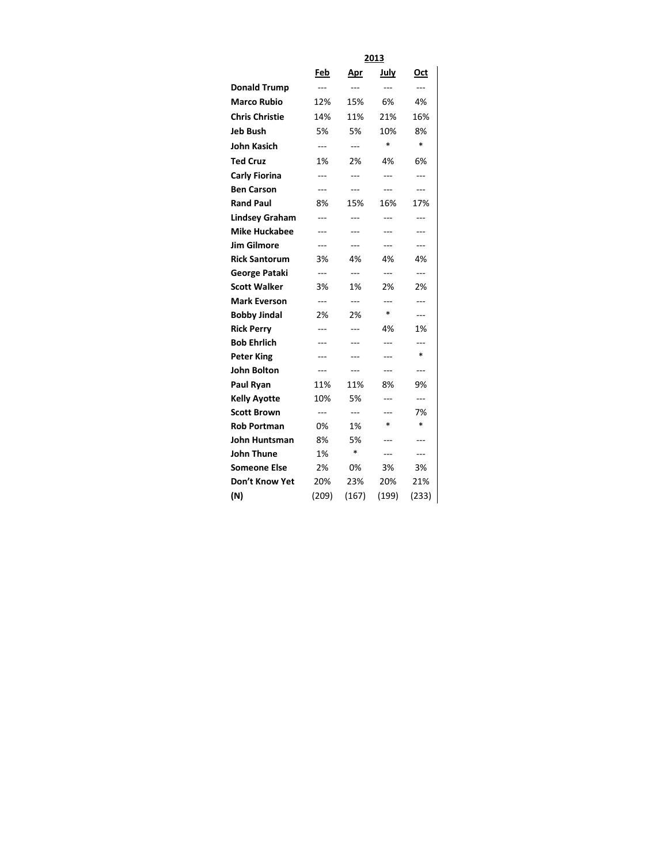|                       | 2013           |                |                |                |  |  |  |  |
|-----------------------|----------------|----------------|----------------|----------------|--|--|--|--|
|                       | Feb            | <u>Apr</u>     | July           | Oct            |  |  |  |  |
| <b>Donald Trump</b>   | ---            | ---            | ---            | $\overline{a}$ |  |  |  |  |
| <b>Marco Rubio</b>    | 12%            | 15%            | 6%             | 4%             |  |  |  |  |
| <b>Chris Christie</b> | 14%            | 11%            | 21%            | 16%            |  |  |  |  |
| <b>Jeb Bush</b>       | 5%             | 5%             | 10%            | 8%             |  |  |  |  |
| <b>John Kasich</b>    | $---$          | $---$          | $\ast$         | $\ast$         |  |  |  |  |
| <b>Ted Cruz</b>       | 1%             | 2%             | 4%             | 6%             |  |  |  |  |
| <b>Carly Fiorina</b>  | ---            | ---            | ---            | ---            |  |  |  |  |
| <b>Ben Carson</b>     | ---            | ---            | ---            | ---            |  |  |  |  |
| <b>Rand Paul</b>      | 8%             | 15%            | 16%            | 17%            |  |  |  |  |
| <b>Lindsey Graham</b> | ---            | ---            | ---            | ---            |  |  |  |  |
| <b>Mike Huckabee</b>  | ---            | ---            | ---            | ---            |  |  |  |  |
| <b>Jim Gilmore</b>    | ---            | ---            | ---            | $\overline{a}$ |  |  |  |  |
| <b>Rick Santorum</b>  | 3%             | 4%             | 4%             | 4%             |  |  |  |  |
| George Pataki         | $\overline{a}$ | $\overline{a}$ | $\overline{a}$ | $\overline{a}$ |  |  |  |  |
| <b>Scott Walker</b>   | 3%             | 1%             | 2%             | 2%             |  |  |  |  |
| <b>Mark Everson</b>   | ---            | $\overline{a}$ | ---            | ---            |  |  |  |  |
| <b>Bobby Jindal</b>   | 2%             | 2%             | $\ast$         | $---$          |  |  |  |  |
| <b>Rick Perry</b>     | ---            | ---            | 4%             | 1%             |  |  |  |  |
| <b>Bob Ehrlich</b>    | ---            | ---            | ---            | ---            |  |  |  |  |
| <b>Peter King</b>     | ---            | ---            | ---            | $\ast$         |  |  |  |  |
| John Bolton           | ---            | ---            | ---            | $\overline{a}$ |  |  |  |  |
| Paul Ryan             | 11%            | 11%            | 8%             | 9%             |  |  |  |  |
| <b>Kelly Ayotte</b>   | 10%            | 5%             | ---            | $---$          |  |  |  |  |
| <b>Scott Brown</b>    | ---            | $\overline{a}$ |                | 7%             |  |  |  |  |
| <b>Rob Portman</b>    | 0%             | 1%             | $\ast$         | $\ast$         |  |  |  |  |
| John Huntsman         | 8%             | 5%             | ---            | ---            |  |  |  |  |
| John Thune            | 1%             | $\ast$         | ---            | ---            |  |  |  |  |
| <b>Someone Else</b>   | 2%             | 0%             | 3%             | 3%             |  |  |  |  |
| Don't Know Yet        | 20%            | 23%            | 20%            | 21%            |  |  |  |  |
| (N)                   | (209)          | (167)          | (199)          | (233)          |  |  |  |  |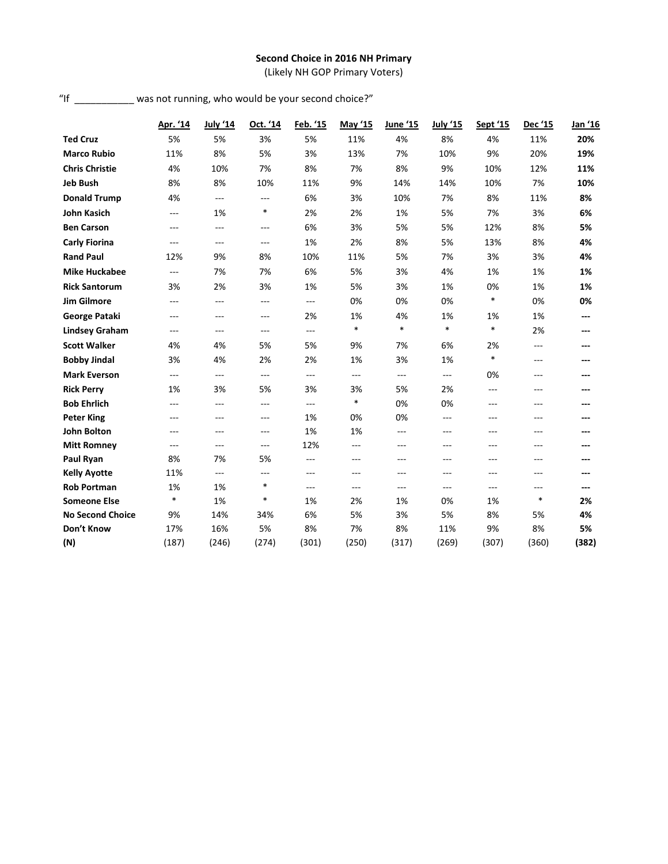# **Second Choice in 2016 NH Primary**

(Likely NH GOP Primary Voters)

| "If | was not running, who would be your second choice?" |  |  |
|-----|----------------------------------------------------|--|--|
|     |                                                    |  |  |

|                         | Apr. '14       | <b>July '14</b> | Oct. '14       | Feb. '15       | May '15        | June '15       | <b>July '15</b> | Sept '15 | Dec '15 | Jan '16 |
|-------------------------|----------------|-----------------|----------------|----------------|----------------|----------------|-----------------|----------|---------|---------|
| <b>Ted Cruz</b>         | 5%             | 5%              | 3%             | 5%             | 11%            | 4%             | 8%              | 4%       | 11%     | 20%     |
| <b>Marco Rubio</b>      | 11%            | 8%              | 5%             | 3%             | 13%            | 7%             | 10%             | 9%       | 20%     | 19%     |
| <b>Chris Christie</b>   | 4%             | 10%             | 7%             | 8%             | 7%             | 8%             | 9%              | 10%      | 12%     | 11%     |
| <b>Jeb Bush</b>         | 8%             | 8%              | 10%            | 11%            | 9%             | 14%            | 14%             | 10%      | 7%      | 10%     |
| <b>Donald Trump</b>     | 4%             | $---$           | $---$          | 6%             | 3%             | 10%            | 7%              | 8%       | 11%     | 8%      |
| <b>John Kasich</b>      | ---            | 1%              | *              | 2%             | 2%             | 1%             | 5%              | 7%       | 3%      | 6%      |
| <b>Ben Carson</b>       | $---$          | $---$           | $---$          | 6%             | 3%             | 5%             | 5%              | 12%      | 8%      | 5%      |
| <b>Carly Fiorina</b>    | $\overline{a}$ | $---$           | $\overline{a}$ | 1%             | 2%             | 8%             | 5%              | 13%      | 8%      | 4%      |
| <b>Rand Paul</b>        | 12%            | 9%              | 8%             | 10%            | 11%            | 5%             | 7%              | 3%       | 3%      | 4%      |
| <b>Mike Huckabee</b>    | $\overline{a}$ | 7%              | 7%             | 6%             | 5%             | 3%             | 4%              | 1%       | 1%      | 1%      |
| <b>Rick Santorum</b>    | 3%             | 2%              | 3%             | 1%             | 5%             | 3%             | 1%              | 0%       | 1%      | 1%      |
| <b>Jim Gilmore</b>      | $---$          | $---$           | $---$          | $\overline{a}$ | 0%             | 0%             | 0%              | $\ast$   | 0%      | 0%      |
| George Pataki           | $---$          | $---$           | $---$          | 2%             | 1%             | 4%             | 1%              | 1%       | 1%      | ---     |
| <b>Lindsey Graham</b>   | ---            | $---$           | $---$          | $---$          | $\ast$         | $\ast$         | $\ast$          | $\ast$   | 2%      | ---     |
| <b>Scott Walker</b>     | 4%             | 4%              | 5%             | 5%             | 9%             | 7%             | 6%              | 2%       | ---     | ---     |
| <b>Bobby Jindal</b>     | 3%             | 4%              | 2%             | 2%             | 1%             | 3%             | 1%              | $\ast$   | ---     | ---     |
| <b>Mark Everson</b>     | $\overline{a}$ | $\overline{a}$  | $\overline{a}$ | $\overline{a}$ | $\overline{a}$ | $\overline{a}$ | $---$           | 0%       | ---     | ---     |
| <b>Rick Perry</b>       | 1%             | 3%              | 5%             | 3%             | 3%             | 5%             | 2%              | $---$    | $- - -$ |         |
| <b>Bob Ehrlich</b>      | ---            | ---             | ---            | $\overline{a}$ | $\ast$         | 0%             | 0%              | ---      | ---     |         |
| <b>Peter King</b>       | $---$          | ---             | $---$          | 1%             | 0%             | 0%             | $---$           | ---      | ---     |         |
| <b>John Bolton</b>      | $---$          | $---$           | $---$          | 1%             | 1%             | ---            | $---$           | $---$    | $---$   |         |
| <b>Mitt Romney</b>      | ---            | ---             | ---            | 12%            | ---            | ---            | $---$           | $---$    | ---     | ---     |
| Paul Ryan               | 8%             | 7%              | 5%             | $---$          | $---$          | $---$          | ---             | ---      | ---     |         |
| <b>Kelly Ayotte</b>     | 11%            | ---             | $\overline{a}$ | $---$          | ---            | ---            | $---$           | $---$    | ---     | ---     |
| <b>Rob Portman</b>      | 1%             | 1%              | $\ast$         | $---$          | $---$          | $---$          | $---$           | ---      | ---     | ---     |
| <b>Someone Else</b>     | $\ast$         | 1%              | *              | 1%             | 2%             | 1%             | 0%              | 1%       | $\ast$  | 2%      |
| <b>No Second Choice</b> | 9%             | 14%             | 34%            | 6%             | 5%             | 3%             | 5%              | 8%       | 5%      | 4%      |
| Don't Know              | 17%            | 16%             | 5%             | 8%             | 7%             | 8%             | 11%             | 9%       | 8%      | 5%      |
| (N)                     | (187)          | (246)           | (274)          | (301)          | (250)          | (317)          | (269)           | (307)    | (360)   | (382)   |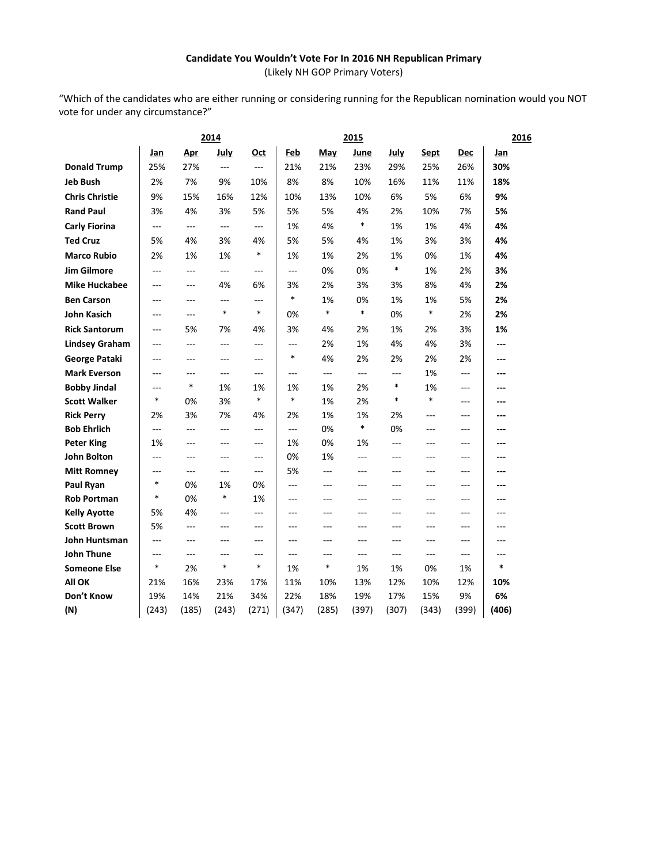# **Candidate You Wouldn't Vote For In 2016 NH Republican Primary** (Likely NH GOP Primary Voters)

"Which of the candidates who are either running or considering running for the Republican nomination would you NOT vote for under any circumstance?"

|                                          | 2014           |                |                |                | 2015      |          |                |           |           |           |               | 2016 |
|------------------------------------------|----------------|----------------|----------------|----------------|-----------|----------|----------------|-----------|-----------|-----------|---------------|------|
|                                          | Jan            | <b>Apr</b>     | <b>July</b>    | <u>Oct</u>     | Feb       | May      | June           | July      | Sept      | Dec       | Jan           |      |
| <b>Donald Trump</b>                      | 25%            | 27%            | ---            | $\overline{a}$ | 21%       | 21%      | 23%            | 29%       | 25%       | 26%       | 30%           |      |
| <b>Jeb Bush</b>                          | 2%             | 7%             | 9%             | 10%            | 8%        | 8%       | 10%            | 16%       | 11%       | 11%       | 18%           |      |
| <b>Chris Christie</b>                    | 9%             | 15%            | 16%            | 12%            | 10%       | 13%      | 10%            | 6%        | 5%        | 6%        | 9%            |      |
| <b>Rand Paul</b>                         | 3%             | 4%             | 3%             | 5%             | 5%        | 5%       | 4%             | 2%        | 10%       | 7%        | 5%            |      |
| <b>Carly Fiorina</b>                     | $\overline{a}$ | ---            | ---            | ---            | 1%        | 4%       | *              | 1%        | 1%        | 4%        | 4%            |      |
| <b>Ted Cruz</b>                          | 5%             | 4%             | 3%             | 4%             | 5%        | 5%       | 4%             | 1%        | 3%        | 3%        | 4%            |      |
| <b>Marco Rubio</b>                       | 2%             | 1%             | 1%             | *              | 1%        | 1%       | 2%             | 1%        | 0%        | 1%        | 4%            |      |
| <b>Jim Gilmore</b>                       | $---$          | $---$          | $\cdots$       | ---            | $---$     | 0%       | 0%             | $\ast$    | 1%        | 2%        | 3%            |      |
| <b>Mike Huckabee</b>                     | ---            | ---            | 4%             | 6%             | 3%        | 2%       | 3%             | 3%        | 8%        | 4%        | 2%            |      |
| <b>Ben Carson</b>                        | $\overline{a}$ | $---$          | ---            | ---            | $\ast$    | 1%       | 0%             | 1%        | 1%        | 5%        | 2%            |      |
| <b>John Kasich</b>                       | ---            | $---$          | $\ast$         | $\ast$         | 0%        | $\ast$   | $\ast$         | 0%        | $\ast$    | 2%        | 2%            |      |
| <b>Rick Santorum</b>                     | $---$          | 5%             | 7%             | 4%             | 3%        | 4%       | 2%             | 1%        | 2%        | 3%        | 1%            |      |
| <b>Lindsey Graham</b>                    | ---            | ---            | ---            | $\overline{a}$ | ---       | 2%       | 1%             | 4%        | 4%        | 3%        | ---           |      |
| George Pataki                            | $\overline{a}$ | $---$          | ---            | $---$          | *         | 4%       | 2%             | 2%        | 2%        | 2%        | ---           |      |
| <b>Mark Everson</b>                      | ---            | $---$          | ---            | ---            | ---       | ---      | $---$          | ---       | 1%        | ---       | ---           |      |
| <b>Bobby Jindal</b>                      | $---$          | $\ast$         | 1%             | 1%             | 1%        | 1%       | 2%             | $\ast$    | 1%        | ---       | ---           |      |
| <b>Scott Walker</b>                      | $\ast$         | 0%             | 3%             | $\ast$         | $\ast$    | 1%       | 2%             | *         | $\ast$    | ---       | ---           |      |
| <b>Rick Perry</b>                        | 2%             | 3%             | 7%             | 4%             | 2%        | 1%       | 1%             | 2%        | ---       | ---       | ---           |      |
| <b>Bob Ehrlich</b>                       | ---            | ---            | $---$          | ---            | ---       | 0%       | *              | 0%        | ---       | $---$     | ---           |      |
| <b>Peter King</b>                        | 1%             | $---$          | $---$          | $---$          | 1%        | 0%       | 1%             | ---       | $---$     | ---       | ---           |      |
| John Bolton                              | $-$            | $---$          | ---            | ---            | 0%        | 1%       | $-$            | $-$       | $-$ - $-$ | $---$     | ---           |      |
| <b>Mitt Romney</b>                       | ---            | ---            | ---            | ---            | 5%        | $---$    | $\overline{a}$ | ---       | $---$     | ---       | ---           |      |
| Paul Ryan                                | *              | 0%             | 1%             | 0%             | $---$     | $---$    | $---$          | $---$     | $---$     | $---$     | ---           |      |
| <b>Rob Portman</b>                       | $\ast$         | 0%             | $\ast$         | 1%             | ---       | ---      | ---            | ---       | ---       | ---       | ---           |      |
| <b>Kelly Ayotte</b>                      | 5%             | 4%             | $\overline{a}$ | $---$          | $---$     | $---$    | $-$            | $---$     | $-$ - $-$ | $---$     | $---$         |      |
| <b>Scott Brown</b>                       | 5%             | ---            | ---            | ---            | ---       | ---      | ---            | ---       | ---       | ---       | ---           |      |
| John Huntsman                            | $\overline{a}$ | $\overline{a}$ | ---            | $---$          | $---$     | ---      | $---$          | ---       | $-$ --    | $---$     | ---           |      |
| <b>John Thune</b><br><b>Someone Else</b> | ---<br>*       | ---<br>2%      | ---<br>$\ast$  | ---<br>*       | ---<br>1% | ---<br>* | $---$<br>1%    | ---<br>1% | ---<br>0% | ---<br>1% | ---<br>$\ast$ |      |
| All OK                                   | 21%            | 16%            | 23%            | 17%            | 11%       | 10%      | 13%            | 12%       | 10%       | 12%       | 10%           |      |
| Don't Know                               | 19%            | 14%            | 21%            | 34%            | 22%       | 18%      | 19%            | 17%       | 15%       | 9%        | 6%            |      |
| (N)                                      | (243)          | (185)          | (243)          | (271)          | (347)     | (285)    | (397)          | (307)     | (343)     | (399)     | (406)         |      |
|                                          |                |                |                |                |           |          |                |           |           |           |               |      |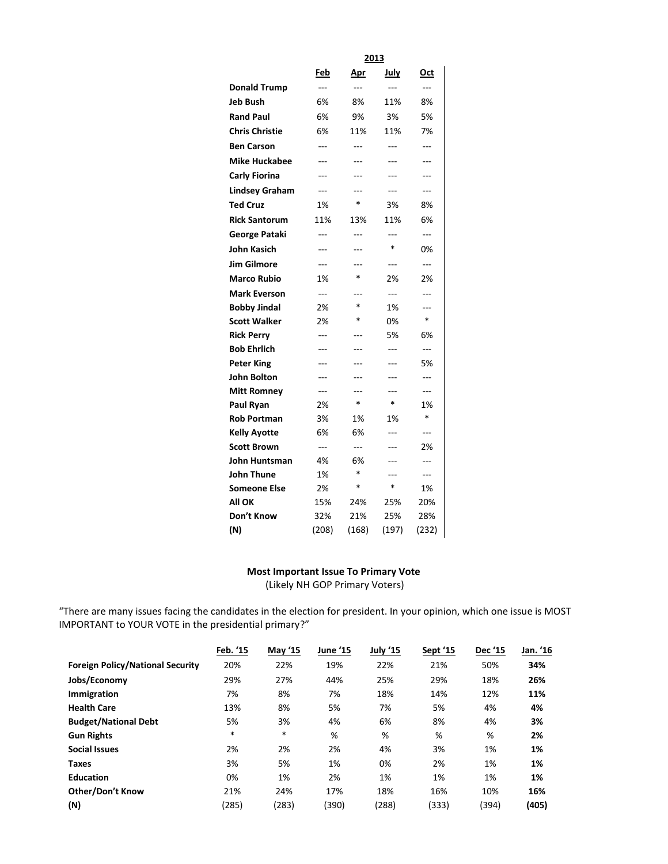|                       | 2013       |                |                |        |  |  |  |  |  |
|-----------------------|------------|----------------|----------------|--------|--|--|--|--|--|
|                       | <b>Feb</b> | Apr            | July           | Oct    |  |  |  |  |  |
| <b>Donald Trump</b>   | ---        | $\overline{a}$ | $---$          | ---    |  |  |  |  |  |
| Jeb Bush              | 6%         | 8%             | 11%            | 8%     |  |  |  |  |  |
| <b>Rand Paul</b>      | 6%         | 9%             | 3%             | 5%     |  |  |  |  |  |
| <b>Chris Christie</b> | 6%         | 11%            | 11%            | 7%     |  |  |  |  |  |
| <b>Ben Carson</b>     | ---        | $-$ --         | $---$          | $-$ -- |  |  |  |  |  |
| <b>Mike Huckabee</b>  | ---        | ---            | ---            | ---    |  |  |  |  |  |
| <b>Carly Fiorina</b>  | ---        |                |                |        |  |  |  |  |  |
| <b>Lindsey Graham</b> | ---        |                | ---            | ---    |  |  |  |  |  |
| <b>Ted Cruz</b>       | 1%         | $\ast$         | 3%             | 8%     |  |  |  |  |  |
| <b>Rick Santorum</b>  | 11%        | 13%            | 11%            | 6%     |  |  |  |  |  |
| George Pataki         | ---        | ---            | $---$          | ---    |  |  |  |  |  |
| John Kasich           | ---        | ---            | *              | 0%     |  |  |  |  |  |
| <b>Jim Gilmore</b>    | ---        | ---            | ---            | ---    |  |  |  |  |  |
| <b>Marco Rubio</b>    | 1%         | $\ast$         | 2%             | 2%     |  |  |  |  |  |
| <b>Mark Everson</b>   | ---        |                | $\overline{a}$ | ---    |  |  |  |  |  |
| <b>Bobby Jindal</b>   | 2%         | $\ast$         | 1%             | ---    |  |  |  |  |  |
| <b>Scott Walker</b>   | 2%         | $\ast$         | 0%             | $\ast$ |  |  |  |  |  |
| <b>Rick Perry</b>     | ---        | ---            | 5%             | 6%     |  |  |  |  |  |
| <b>Bob Ehrlich</b>    | $---$      |                | ---            | ---    |  |  |  |  |  |
| <b>Peter King</b>     | ---        | ---            | ---            | 5%     |  |  |  |  |  |
| John Bolton           | ---        | ---            | $---$          | ---    |  |  |  |  |  |
| Mitt Romney           | ---        | ---            | ---            | ---    |  |  |  |  |  |
| Paul Ryan             | 2%         | $\ast$         | $\ast$         | 1%     |  |  |  |  |  |
| Rob Portman           | 3%         | 1%             | 1%             | $\ast$ |  |  |  |  |  |
| <b>Kelly Ayotte</b>   | 6%         | 6%             | ---            | ---    |  |  |  |  |  |
| <b>Scott Brown</b>    | $---$      | $---$          | $---$          | 2%     |  |  |  |  |  |
| John Huntsman         | 4%         | 6%             | ---            | ---    |  |  |  |  |  |
| John Thune            | 1%         | $\ast$         | ---            | ---    |  |  |  |  |  |
| Someone Else          | 2%         | $\ast$         | *              | 1%     |  |  |  |  |  |
| All OK                | 15%        | 24%            | 25%            | 20%    |  |  |  |  |  |
| Don't Know            | 32%        | 21%            | 25%            | 28%    |  |  |  |  |  |
| (N)                   | (208)      | (168)          | (197)          | (232)  |  |  |  |  |  |

# **Most Important Issue To Primary Vote**

(Likely NH GOP Primary Voters)

"There are many issues facing the candidates in the election for president. In your opinion, which one issue is MOST IMPORTANT to YOUR VOTE in the presidential primary?"

|                                         | Feb. '15 | <b>May '15</b> | June '15 | July '15 | Sept '15 | Dec '15 | Jan. '16 |
|-----------------------------------------|----------|----------------|----------|----------|----------|---------|----------|
| <b>Foreign Policy/National Security</b> | 20%      | 22%            | 19%      | 22%      | 21%      | 50%     | 34%      |
| Jobs/Economy                            | 29%      | 27%            | 44%      | 25%      | 29%      | 18%     | 26%      |
| Immigration                             | 7%       | 8%             | 7%       | 18%      | 14%      | 12%     | 11%      |
| <b>Health Care</b>                      | 13%      | 8%             | 5%       | 7%       | 5%       | 4%      | 4%       |
| <b>Budget/National Debt</b>             | 5%       | 3%             | 4%       | 6%       | 8%       | 4%      | 3%       |
| <b>Gun Rights</b>                       | $\ast$   | $\ast$         | %        | %        | %        | %       | 2%       |
| <b>Social Issues</b>                    | 2%       | 2%             | 2%       | 4%       | 3%       | 1%      | 1%       |
| <b>Taxes</b>                            | 3%       | 5%             | 1%       | 0%       | 2%       | 1%      | 1%       |
| <b>Education</b>                        | 0%       | 1%             | 2%       | 1%       | 1%       | 1%      | 1%       |
| <b>Other/Don't Know</b>                 | 21%      | 24%            | 17%      | 18%      | 16%      | 10%     | 16%      |
| (N)                                     | (285)    | (283)          | (390)    | (288)    | (333)    | (394)   | (405)    |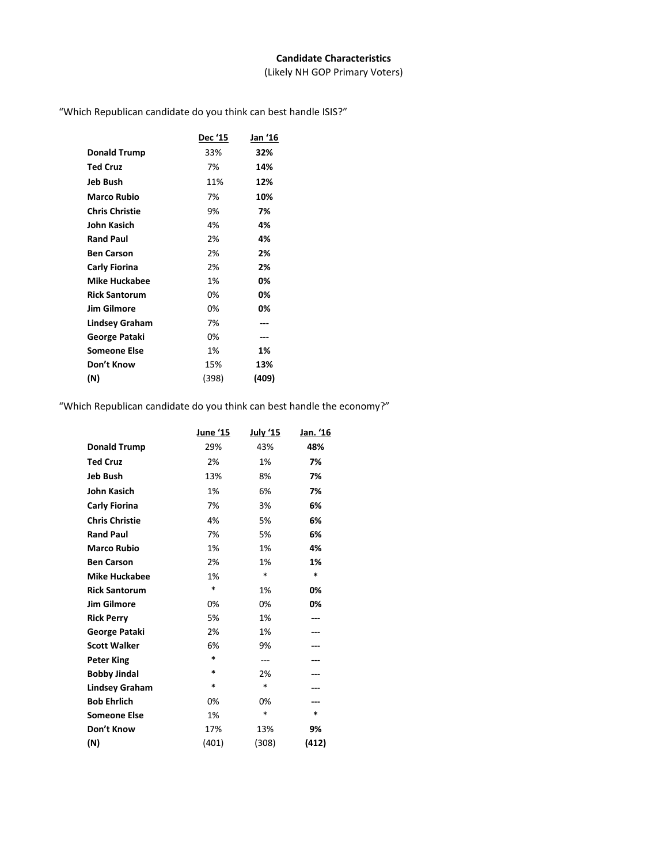## **Candidate Characteristics**

(Likely NH GOP Primary Voters)

"Which Republican candidate do you think can best handle ISIS?"

|                       | <b>Dec '15</b> | Jan '16 |
|-----------------------|----------------|---------|
| <b>Donald Trump</b>   | 33%            | 32%     |
| <b>Ted Cruz</b>       | 7%             | 14%     |
| Jeb Bush              | 11%            | 12%     |
| Marco Rubio           | 7%             | 10%     |
| <b>Chris Christie</b> | 9%             | 7%      |
| John Kasich           | 4%             | 4%      |
| <b>Rand Paul</b>      | 2%             | 4%      |
| <b>Ben Carson</b>     | 2%             | 2%      |
| Carly Fiorina         | 2%             | 2%      |
| <b>Mike Huckabee</b>  | 1%             | 0%      |
| <b>Rick Santorum</b>  | 0%             | 0%      |
| <b>Jim Gilmore</b>    | 0%             | 0%      |
| <b>Lindsey Graham</b> | 7%             | ---     |
| George Pataki         | 0%             | ---     |
| Someone Else          | 1%             | 1%      |
| Don't Know            | 15%            | 13%     |
| (N)                   | (398)          | (409)   |

"Which Republican candidate do you think can best handle the economy?"

|                       | June '15 | <u>July '15</u> | Jan. '16 |
|-----------------------|----------|-----------------|----------|
| <b>Donald Trump</b>   | 29%      | 43%             | 48%      |
| <b>Ted Cruz</b>       | 2%       | 1%              | 7%       |
| <b>Jeb Bush</b>       | 13%      | 8%              | 7%       |
| <b>John Kasich</b>    | 1%       | 6%              | 7%       |
| <b>Carly Fiorina</b>  | 7%       | 3%              | 6%       |
| <b>Chris Christie</b> | 4%       | 5%              | 6%       |
| <b>Rand Paul</b>      | 7%       | 5%              | 6%       |
| <b>Marco Rubio</b>    | 1%       | 1%              | 4%       |
| <b>Ben Carson</b>     | 2%       | 1%              | 1%       |
| <b>Mike Huckabee</b>  | 1%       | *               | $\ast$   |
| <b>Rick Santorum</b>  | $\ast$   | 1%              | 0%       |
| <b>Jim Gilmore</b>    | 0%       | 0%              | 0%       |
| <b>Rick Perry</b>     | 5%       | 1%              |          |
| George Pataki         | 2%       | 1%              |          |
| <b>Scott Walker</b>   | 6%       | 9%              |          |
| <b>Peter King</b>     | $\ast$   | ---             |          |
| <b>Bobby Jindal</b>   | *        | 2%              |          |
| <b>Lindsey Graham</b> | $\ast$   | $\ast$          |          |
| <b>Bob Ehrlich</b>    | 0%       | 0%              |          |
| <b>Someone Else</b>   | 1%       | $\ast$          | *        |
| Don't Know            | 17%      | 13%             | 9%       |
| (N)                   | (401)    | (308)           | (412)    |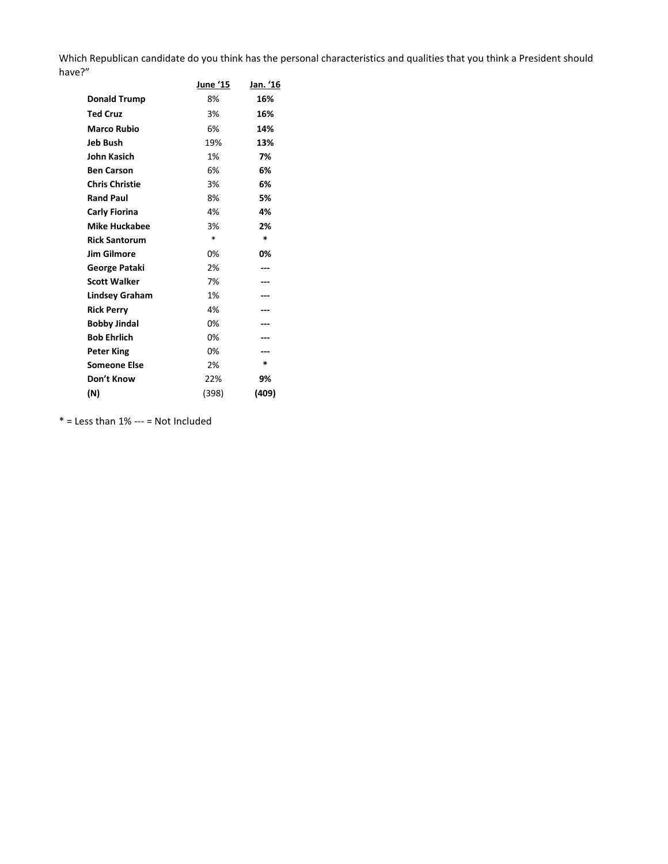Which Republican candidate do you think has the personal characteristics and qualities that you think a President should have?"

|                       | June '15 | Jan. '16 |
|-----------------------|----------|----------|
| <b>Donald Trump</b>   | 8%       | 16%      |
| <b>Ted Cruz</b>       | 3%       | 16%      |
| <b>Marco Rubio</b>    | 6%       | 14%      |
| Jeb Bush              | 19%      | 13%      |
| John Kasich           | 1%       | 7%       |
| <b>Ben Carson</b>     | 6%       | 6%       |
| <b>Chris Christie</b> | 3%       | 6%       |
| <b>Rand Paul</b>      | 8%       | 5%       |
| Carly Fiorina         | 4%       | 4%       |
| <b>Mike Huckabee</b>  | 3%       | 2%       |
| <b>Rick Santorum</b>  | $\ast$   | *        |
| <b>Jim Gilmore</b>    | 0%       | 0%       |
| George Pataki         | 2%       |          |
| <b>Scott Walker</b>   | 7%       |          |
| <b>Lindsey Graham</b> | 1%       | ---      |
| <b>Rick Perry</b>     | 4%       |          |
| <b>Bobby Jindal</b>   | 0%       |          |
| <b>Bob Ehrlich</b>    | 0%       | ---      |
| <b>Peter King</b>     | 0%       |          |
| <b>Someone Else</b>   | 2%       | *        |
| Don't Know            | 22%      | 9%       |
| (N)                   | (398)    | (409)    |

 $*$  = Less than 1% --- = Not Included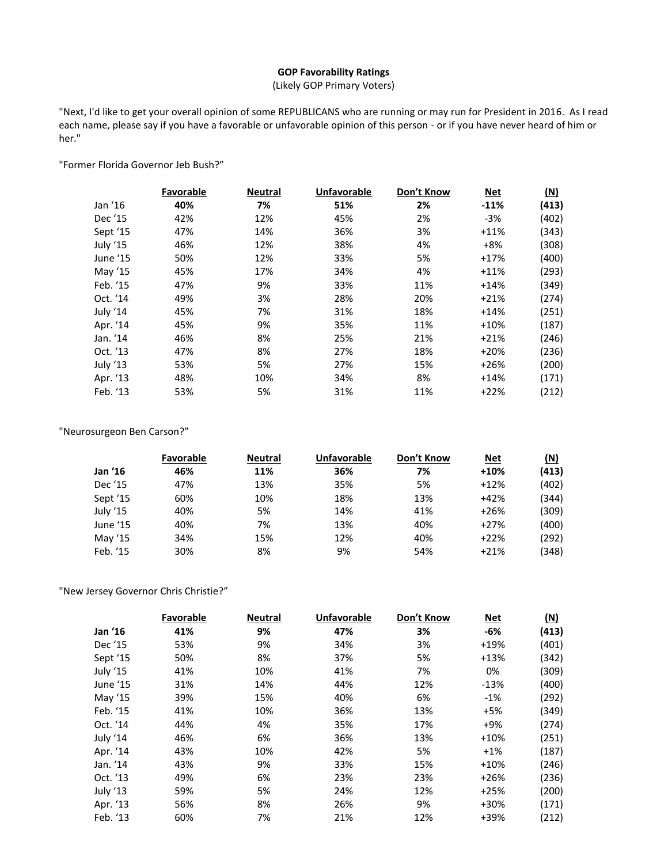# **GOP Favorability Ratings**

(Likely GOP Primary Voters)

"Next, I'd like to get your overall opinion of some REPUBLICANS who are running or may run for President in 2016. As I read each name, please say if you have a favorable or unfavorable opinion of this person - or if you have never heard of him or her."

"Former Florida Governor Jeb Bush?"

|          | Favorable | <b>Neutral</b> | <b>Unfavorable</b> | Don't Know | <b>Net</b> | <u>(N)</u> |
|----------|-----------|----------------|--------------------|------------|------------|------------|
| Jan '16  | 40%       | 7%             | 51%                | 2%         | $-11%$     | (413)      |
| Dec '15  | 42%       | 12%            | 45%                | 2%         | $-3%$      | (402)      |
| Sept '15 | 47%       | 14%            | 36%                | 3%         | $+11%$     | (343)      |
| July '15 | 46%       | 12%            | 38%                | 4%         | $+8%$      | (308)      |
| June '15 | 50%       | 12%            | 33%                | 5%         | $+17%$     | (400)      |
| May '15  | 45%       | 17%            | 34%                | 4%         | $+11%$     | (293)      |
| Feb. '15 | 47%       | 9%             | 33%                | 11%        | $+14%$     | (349)      |
| Oct. '14 | 49%       | 3%             | 28%                | 20%        | $+21%$     | (274)      |
| July '14 | 45%       | 7%             | 31%                | 18%        | $+14%$     | (251)      |
| Apr. '14 | 45%       | 9%             | 35%                | 11%        | $+10%$     | (187)      |
| Jan. '14 | 46%       | 8%             | 25%                | 21%        | $+21%$     | (246)      |
| Oct. '13 | 47%       | 8%             | 27%                | 18%        | $+20%$     | (236)      |
| July '13 | 53%       | 5%             | 27%                | 15%        | $+26%$     | (200)      |
| Apr. '13 | 48%       | 10%            | 34%                | 8%         | $+14%$     | (171)      |
| Feb. '13 | 53%       | 5%             | 31%                | 11%        | $+22%$     | (212)      |

# "Neurosurgeon Ben Carson?"

|          | Favorable | <b>Neutral</b> | <b>Unfavorable</b> | Don't Know | <u>Net</u> | (N)   |
|----------|-----------|----------------|--------------------|------------|------------|-------|
| Jan '16  | 46%       | 11%            | 36%                | 7%         | $+10%$     | (413) |
| Dec '15  | 47%       | 13%            | 35%                | 5%         | $+12%$     | (402) |
| Sept '15 | 60%       | 10%            | 18%                | 13%        | $+42%$     | (344) |
| July '15 | 40%       | 5%             | 14%                | 41%        | $+26%$     | (309) |
| June '15 | 40%       | 7%             | 13%                | 40%        | $+27%$     | (400) |
| May '15  | 34%       | 15%            | 12%                | 40%        | $+22%$     | (292) |
| Feb. '15 | 30%       | 8%             | 9%                 | 54%        | $+21%$     | (348) |

# "New Jersey Governor Chris Christie?"

|          | Favorable | <b>Neutral</b> | <b>Unfavorable</b> | Don't Know | <b>Net</b> | $(\underline{N})$ |
|----------|-----------|----------------|--------------------|------------|------------|-------------------|
| Jan '16  | 41%       | 9%             | 47%                | 3%         | -6%        | (413)             |
| Dec '15  | 53%       | 9%             | 34%                | 3%         | $+19%$     | (401)             |
| Sept '15 | 50%       | 8%             | 37%                | 5%         | $+13%$     | (342)             |
| July '15 | 41%       | 10%            | 41%                | 7%         | 0%         | (309)             |
| June '15 | 31%       | 14%            | 44%                | 12%        | $-13%$     | (400)             |
| May '15  | 39%       | 15%            | 40%                | 6%         | $-1%$      | (292)             |
| Feb. '15 | 41%       | 10%            | 36%                | 13%        | $+5%$      | (349)             |
| Oct. '14 | 44%       | 4%             | 35%                | 17%        | $+9%$      | (274)             |
| July '14 | 46%       | 6%             | 36%                | 13%        | $+10%$     | (251)             |
| Apr. '14 | 43%       | 10%            | 42%                | 5%         | $+1%$      | (187)             |
| Jan. '14 | 43%       | 9%             | 33%                | 15%        | $+10%$     | (246)             |
| Oct. '13 | 49%       | 6%             | 23%                | 23%        | $+26%$     | (236)             |
| July '13 | 59%       | 5%             | 24%                | 12%        | $+25%$     | (200)             |
| Apr. '13 | 56%       | 8%             | 26%                | 9%         | +30%       | (171)             |
| Feb. '13 | 60%       | 7%             | 21%                | 12%        | +39%       | (212)             |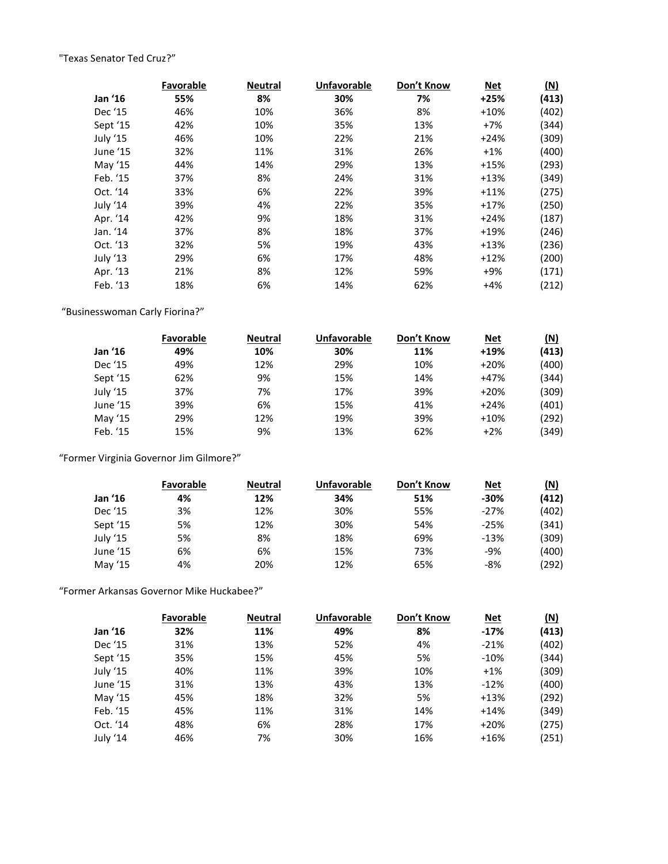# "Texas Senator Ted Cruz?"

|          | Favorable | <b>Neutral</b> | <b>Unfavorable</b> | Don't Know | <b>Net</b> | <u>(N)</u> |
|----------|-----------|----------------|--------------------|------------|------------|------------|
| Jan '16  | 55%       | 8%             | 30%                | 7%         | $+25%$     | (413)      |
| Dec '15  | 46%       | 10%            | 36%                | 8%         | $+10%$     | (402)      |
| Sept '15 | 42%       | 10%            | 35%                | 13%        | $+7%$      | (344)      |
| July '15 | 46%       | 10%            | 22%                | 21%        | $+24%$     | (309)      |
| June '15 | 32%       | 11%            | 31%                | 26%        | $+1%$      | (400)      |
| May '15  | 44%       | 14%            | 29%                | 13%        | $+15%$     | (293)      |
| Feb. '15 | 37%       | 8%             | 24%                | 31%        | $+13%$     | (349)      |
| Oct. '14 | 33%       | 6%             | 22%                | 39%        | $+11%$     | (275)      |
| July '14 | 39%       | 4%             | 22%                | 35%        | $+17%$     | (250)      |
| Apr. '14 | 42%       | 9%             | 18%                | 31%        | $+24%$     | (187)      |
| Jan. '14 | 37%       | 8%             | 18%                | 37%        | $+19%$     | (246)      |
| Oct. '13 | 32%       | 5%             | 19%                | 43%        | $+13%$     | (236)      |
| July '13 | 29%       | 6%             | 17%                | 48%        | $+12%$     | (200)      |
| Apr. '13 | 21%       | 8%             | 12%                | 59%        | $+9%$      | (171)      |
| Feb. '13 | 18%       | 6%             | 14%                | 62%        | $+4%$      | (212)      |

"Businesswoman Carly Fiorina?"

|          | <b>Favorable</b> | <b>Neutral</b> | Unfavorable | Don't Know | <u>Net</u> | <u>(N)</u> |
|----------|------------------|----------------|-------------|------------|------------|------------|
| Jan '16  | 49%              | 10%            | 30%         | 11%        | $+19%$     | (413)      |
| Dec '15  | 49%              | 12%            | 29%         | 10%        | $+20%$     | (400)      |
| Sept '15 | 62%              | 9%             | 15%         | 14%        | $+47%$     | (344)      |
| July '15 | 37%              | 7%             | 17%         | 39%        | $+20%$     | (309)      |
| June '15 | 39%              | 6%             | 15%         | 41%        | $+24%$     | (401)      |
| May '15  | 29%              | 12%            | 19%         | 39%        | $+10%$     | (292)      |
| Feb. '15 | 15%              | 9%             | 13%         | 62%        | $+2%$      | (349)      |

"Former Virginia Governor Jim Gilmore?"

|          | <b>Favorable</b> | <b>Neutral</b> | Unfavorable | Don't Know | <u>Net</u> | <u>(N)</u> |
|----------|------------------|----------------|-------------|------------|------------|------------|
| Jan '16  | 4%               | 12%            | 34%         | 51%        | $-30%$     | (412)      |
| Dec '15  | 3%               | 12%            | 30%         | 55%        | -27%       | (402)      |
| Sept '15 | 5%               | 12%            | 30%         | 54%        | $-25%$     | (341)      |
| July '15 | 5%               | 8%             | 18%         | 69%        | $-13%$     | (309)      |
| June '15 | 6%               | 6%             | 15%         | 73%        | $-9%$      | (400)      |
| May '15  | 4%               | 20%            | 12%         | 65%        | $-8%$      | (292)      |

"Former Arkansas Governor Mike Huckabee?"

|          | Favorable | <b>Neutral</b> | <b>Unfavorable</b> | Don't Know | <b>Net</b> | (N)   |
|----------|-----------|----------------|--------------------|------------|------------|-------|
| Jan '16  | 32%       | 11%            | 49%                | 8%         | $-17%$     | (413) |
| Dec '15  | 31%       | 13%            | 52%                | 4%         | $-21%$     | (402) |
| Sept '15 | 35%       | 15%            | 45%                | 5%         | $-10%$     | (344) |
| July '15 | 40%       | 11%            | 39%                | 10%        | $+1%$      | (309) |
| June '15 | 31%       | 13%            | 43%                | 13%        | $-12%$     | (400) |
| May '15  | 45%       | 18%            | 32%                | 5%         | $+13%$     | (292) |
| Feb. '15 | 45%       | 11%            | 31%                | 14%        | $+14%$     | (349) |
| Oct. '14 | 48%       | 6%             | 28%                | 17%        | $+20%$     | (275) |
| July '14 | 46%       | 7%             | 30%                | 16%        | $+16%$     | (251) |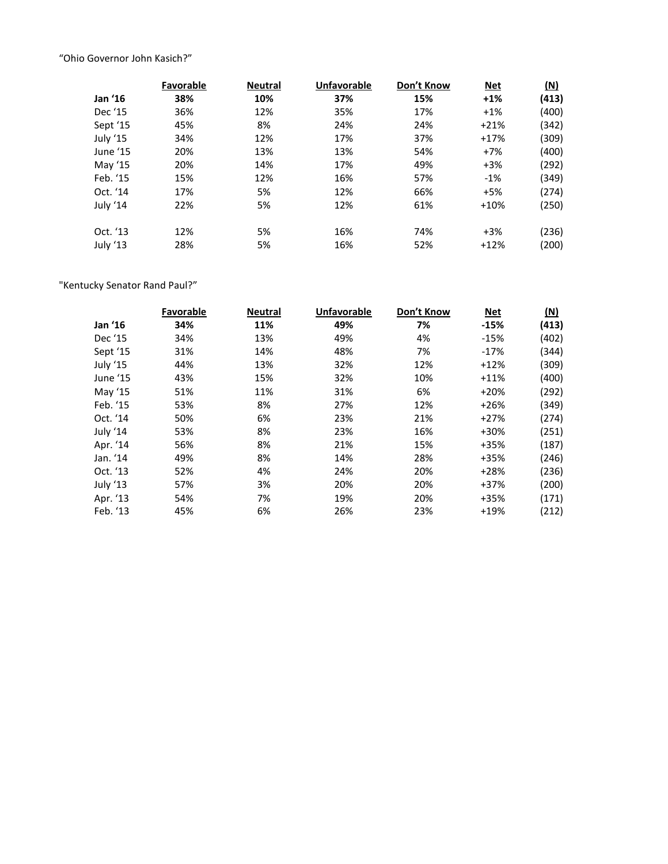"Ohio Governor John Kasich?"

|          | Favorable | <b>Neutral</b> | <b>Unfavorable</b> | Don't Know | Net    | (N)   |
|----------|-----------|----------------|--------------------|------------|--------|-------|
| Jan '16  | 38%       | 10%            | 37%                | 15%        | $+1%$  | (413) |
| Dec '15  | 36%       | 12%            | 35%                | 17%        | $+1%$  | (400) |
| Sept '15 | 45%       | 8%             | 24%                | 24%        | $+21%$ | (342) |
| July '15 | 34%       | 12%            | 17%                | 37%        | $+17%$ | (309) |
| June '15 | 20%       | 13%            | 13%                | 54%        | $+7%$  | (400) |
| May '15  | 20%       | 14%            | 17%                | 49%        | $+3%$  | (292) |
| Feb. '15 | 15%       | 12%            | 16%                | 57%        | $-1%$  | (349) |
| Oct. '14 | 17%       | 5%             | 12%                | 66%        | $+5%$  | (274) |
| July '14 | 22%       | 5%             | 12%                | 61%        | $+10%$ | (250) |
| Oct. '13 | 12%       | 5%             | 16%                | 74%        | $+3%$  | (236) |
| July '13 | 28%       | 5%             | 16%                | 52%        | $+12%$ | (200) |

# "Kentucky Senator Rand Paul?"

|          | <b>Favorable</b> | <b>Neutral</b> | <b>Unfavorable</b> | Don't Know | <b>Net</b> | <u>(N)</u> |
|----------|------------------|----------------|--------------------|------------|------------|------------|
| Jan '16  | 34%              | 11%            | 49%                | 7%         | $-15%$     | (413)      |
| Dec '15  | 34%              | 13%            | 49%                | 4%         | $-15%$     | (402)      |
| Sept '15 | 31%              | 14%            | 48%                | 7%         | $-17%$     | (344)      |
| July '15 | 44%              | 13%            | 32%                | 12%        | $+12%$     | (309)      |
| June '15 | 43%              | 15%            | 32%                | 10%        | $+11%$     | (400)      |
| May '15  | 51%              | 11%            | 31%                | 6%         | $+20%$     | (292)      |
| Feb. '15 | 53%              | 8%             | 27%                | 12%        | $+26%$     | (349)      |
| Oct. '14 | 50%              | 6%             | 23%                | 21%        | $+27%$     | (274)      |
| July '14 | 53%              | 8%             | 23%                | 16%        | +30%       | (251)      |
| Apr. '14 | 56%              | 8%             | 21%                | 15%        | +35%       | (187)      |
| Jan. '14 | 49%              | 8%             | 14%                | 28%        | +35%       | (246)      |
| Oct. '13 | 52%              | 4%             | 24%                | 20%        | $+28%$     | (236)      |
| July '13 | 57%              | 3%             | 20%                | 20%        | $+37%$     | (200)      |
| Apr. '13 | 54%              | 7%             | 19%                | 20%        | +35%       | (171)      |
| Feb. '13 | 45%              | 6%             | 26%                | 23%        | $+19%$     | (212)      |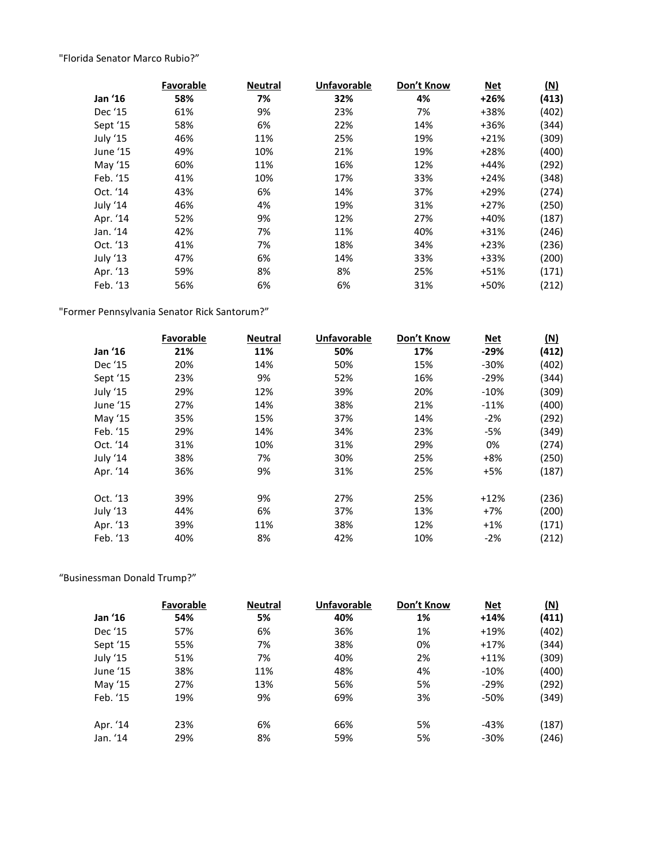"Florida Senator Marco Rubio?"

|          | <b>Favorable</b> | <b>Neutral</b> | <b>Unfavorable</b> | Don't Know | <b>Net</b> | $(\underline{N})$ |
|----------|------------------|----------------|--------------------|------------|------------|-------------------|
| Jan '16  | 58%              | 7%             | 32%                | 4%         | $+26%$     | (413)             |
| Dec '15  | 61%              | 9%             | 23%                | 7%         | +38%       | (402)             |
| Sept '15 | 58%              | 6%             | 22%                | 14%        | +36%       | (344)             |
| July '15 | 46%              | 11%            | 25%                | 19%        | $+21%$     | (309)             |
| June '15 | 49%              | 10%            | 21%                | 19%        | $+28%$     | (400)             |
| May '15  | 60%              | 11%            | 16%                | 12%        | $+44%$     | (292)             |
| Feb. '15 | 41%              | 10%            | 17%                | 33%        | $+24%$     | (348)             |
| Oct. '14 | 43%              | 6%             | 14%                | 37%        | $+29%$     | (274)             |
| July '14 | 46%              | 4%             | 19%                | 31%        | $+27%$     | (250)             |
| Apr. '14 | 52%              | 9%             | 12%                | 27%        | $+40%$     | (187)             |
| Jan. '14 | 42%              | 7%             | 11%                | 40%        | $+31%$     | (246)             |
| Oct. '13 | 41%              | 7%             | 18%                | 34%        | $+23%$     | (236)             |
| July '13 | 47%              | 6%             | 14%                | 33%        | +33%       | (200)             |
| Apr. '13 | 59%              | 8%             | 8%                 | 25%        | $+51%$     | (171)             |
| Feb. '13 | 56%              | 6%             | 6%                 | 31%        | +50%       | (212)             |

"Former Pennsylvania Senator Rick Santorum?"

|          | Favorable | <b>Neutral</b> | <b>Unfavorable</b> | Don't Know | <u>Net</u> | $(\underline{N})$ |
|----------|-----------|----------------|--------------------|------------|------------|-------------------|
| Jan '16  | 21%       | 11%            | 50%                | 17%        | $-29%$     | (412)             |
| Dec '15  | 20%       | 14%            | 50%                | 15%        | $-30%$     | (402)             |
| Sept '15 | 23%       | 9%             | 52%                | 16%        | $-29%$     | (344)             |
| July '15 | 29%       | 12%            | 39%                | 20%        | $-10%$     | (309)             |
| June '15 | 27%       | 14%            | 38%                | 21%        | $-11%$     | (400)             |
| May '15  | 35%       | 15%            | 37%                | 14%        | $-2%$      | (292)             |
| Feb. '15 | 29%       | 14%            | 34%                | 23%        | $-5%$      | (349)             |
| Oct. '14 | 31%       | 10%            | 31%                | 29%        | 0%         | (274)             |
| July '14 | 38%       | 7%             | 30%                | 25%        | $+8%$      | (250)             |
| Apr. '14 | 36%       | 9%             | 31%                | 25%        | $+5%$      | (187)             |
|          |           |                |                    |            |            |                   |
| Oct. '13 | 39%       | 9%             | 27%                | 25%        | $+12%$     | (236)             |
| July '13 | 44%       | 6%             | 37%                | 13%        | $+7%$      | (200)             |
| Apr. '13 | 39%       | 11%            | 38%                | 12%        | $+1%$      | (171)             |
| Feb. '13 | 40%       | 8%             | 42%                | 10%        | $-2%$      | (212)             |

# "Businessman Donald Trump?"

|          | <b>Favorable</b> | <b>Neutral</b> | <b>Unfavorable</b> | Don't Know | <u>Net</u> | (N)   |
|----------|------------------|----------------|--------------------|------------|------------|-------|
| Jan '16  | 54%              | 5%             | 40%                | 1%         | $+14%$     | (411) |
| Dec '15  | 57%              | 6%             | 36%                | 1%         | $+19%$     | (402) |
| Sept '15 | 55%              | 7%             | 38%                | 0%         | $+17%$     | (344) |
| July '15 | 51%              | 7%             | 40%                | 2%         | $+11%$     | (309) |
| June '15 | 38%              | 11%            | 48%                | 4%         | $-10%$     | (400) |
| May '15  | 27%              | 13%            | 56%                | 5%         | $-29%$     | (292) |
| Feb. '15 | 19%              | 9%             | 69%                | 3%         | -50%       | (349) |
| Apr. '14 | 23%              | 6%             | 66%                | 5%         | $-43%$     | (187) |
| Jan. '14 | 29%              | 8%             | 59%                | 5%         | $-30%$     | (246) |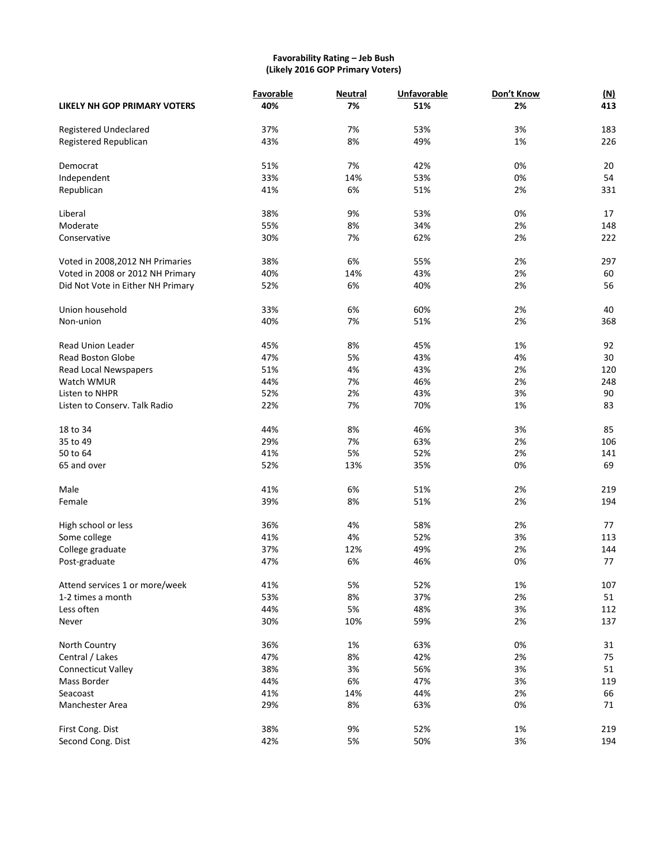## **Favorability Rating – Jeb Bush (Likely 2016 GOP Primary Voters)**

|                                     | Favorable | <b>Neutral</b> | <b>Unfavorable</b> | Don't Know | <u>(N)</u> |
|-------------------------------------|-----------|----------------|--------------------|------------|------------|
| <b>LIKELY NH GOP PRIMARY VOTERS</b> | 40%       | 7%             | 51%                | 2%         | 413        |
| Registered Undeclared               | 37%       | 7%             | 53%                | 3%         | 183        |
| Registered Republican               | 43%       | 8%             | 49%                | 1%         | 226        |
|                                     |           |                |                    |            |            |
| Democrat                            | 51%       | 7%             | 42%                | 0%         | 20         |
| Independent                         | 33%       | 14%            | 53%                | 0%         | 54         |
| Republican                          | 41%       | 6%             | 51%                | 2%         | 331        |
| Liberal                             | 38%       | 9%             | 53%                | 0%         | 17         |
| Moderate                            | 55%       | 8%             | 34%                | 2%         | 148        |
| Conservative                        | 30%       | 7%             | 62%                | 2%         | 222        |
| Voted in 2008, 2012 NH Primaries    | 38%       | 6%             | 55%                | 2%         | 297        |
| Voted in 2008 or 2012 NH Primary    | 40%       | 14%            | 43%                | 2%         | 60         |
|                                     | 52%       | 6%             | 40%                | 2%         | 56         |
| Did Not Vote in Either NH Primary   |           |                |                    |            |            |
| Union household                     | 33%       | 6%             | 60%                | 2%         | 40         |
| Non-union                           | 40%       | 7%             | 51%                | 2%         | 368        |
|                                     |           |                |                    |            |            |
| <b>Read Union Leader</b>            | 45%       | 8%             | 45%                | 1%         | 92         |
| <b>Read Boston Globe</b>            | 47%       | 5%             | 43%                | 4%         | 30         |
| Read Local Newspapers               | 51%       | 4%             | 43%                | 2%         | 120        |
| Watch WMUR                          | 44%       | 7%             | 46%                | 2%         | 248        |
| Listen to NHPR                      | 52%       | 2%             | 43%                | 3%         | 90         |
| Listen to Conserv. Talk Radio       | 22%       | 7%             | 70%                | 1%         | 83         |
| 18 to 34                            | 44%       | 8%             | 46%                | 3%         | 85         |
| 35 to 49                            | 29%       | 7%             | 63%                | 2%         | 106        |
| 50 to 64                            | 41%       | 5%             | 52%                | 2%         | 141        |
| 65 and over                         | 52%       | 13%            | 35%                | 0%         | 69         |
| Male                                | 41%       | 6%             | 51%                | 2%         | 219        |
| Female                              | 39%       | 8%             | 51%                | 2%         | 194        |
|                                     |           |                |                    |            |            |
| High school or less                 | 36%       | 4%             | 58%                | 2%         | 77         |
| Some college                        | 41%       | 4%             | 52%                | 3%         | 113        |
| College graduate                    | 37%       | 12%            | 49%                | 2%         | 144        |
| Post-graduate                       | 47%       | 6%             | 46%                | 0%         | 77         |
| Attend services 1 or more/week      | 41%       | 5%             | 52%                | 1%         | 107        |
| 1-2 times a month                   | 53%       | 8%             | 37%                | 2%         | 51         |
| Less often                          | 44%       | 5%             | 48%                | 3%         | 112        |
| Never                               | 30%       | 10%            | 59%                | 2%         | 137        |
|                                     |           |                |                    |            |            |
| North Country                       | 36%       | 1%             | 63%                | 0%         | 31         |
| Central / Lakes                     | 47%       | 8%             | 42%                | 2%         | 75         |
| <b>Connecticut Valley</b>           | 38%       | 3%             | 56%                | 3%         | 51         |
| Mass Border                         | 44%       | 6%             | 47%                | 3%         | 119        |
| Seacoast                            | 41%       | 14%            | 44%                | 2%         | 66         |
| Manchester Area                     | 29%       | 8%             | 63%                | 0%         | 71         |
| First Cong. Dist                    | 38%       | 9%             | 52%                | 1%         | 219        |
| Second Cong. Dist                   | 42%       | 5%             | 50%                | 3%         | 194        |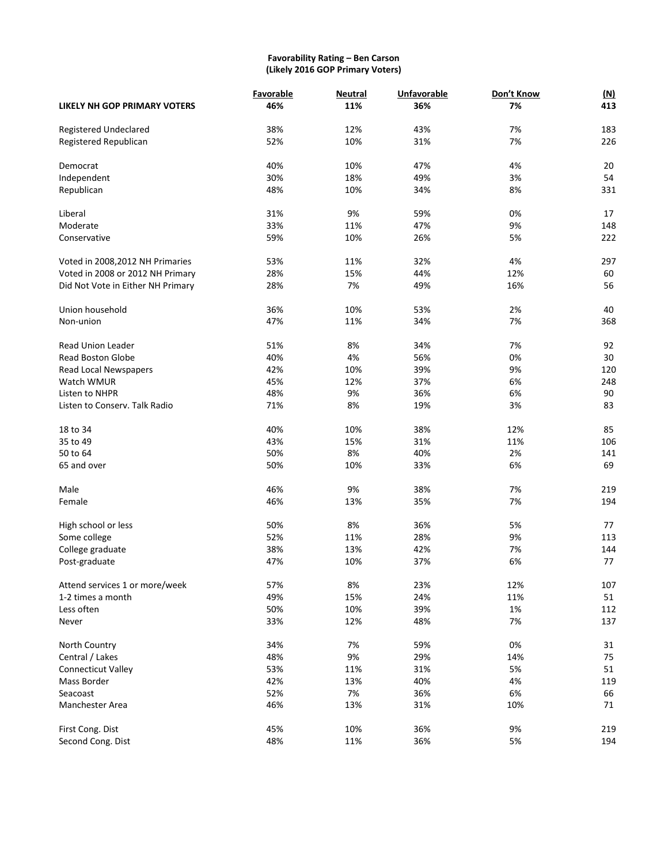## **Favorability Rating – Ben Carson (Likely 2016 GOP Primary Voters)**

|                                   | Favorable | <b>Neutral</b> | <b>Unfavorable</b> | Don't Know | (M) |
|-----------------------------------|-----------|----------------|--------------------|------------|-----|
| LIKELY NH GOP PRIMARY VOTERS      | 46%       | 11%            | 36%                | 7%         | 413 |
| Registered Undeclared             | 38%       | 12%            | 43%                | 7%         | 183 |
| Registered Republican             | 52%       | 10%            | 31%                | 7%         | 226 |
|                                   |           |                |                    |            |     |
| Democrat                          | 40%       | 10%            | 47%                | 4%         | 20  |
| Independent                       | 30%       | 18%            | 49%                | 3%         | 54  |
| Republican                        | 48%       | 10%            | 34%                | 8%         | 331 |
| Liberal                           | 31%       | 9%             | 59%                | 0%         | 17  |
| Moderate                          | 33%       | 11%            | 47%                | 9%         | 148 |
| Conservative                      | 59%       | 10%            | 26%                | 5%         | 222 |
| Voted in 2008, 2012 NH Primaries  | 53%       | 11%            | 32%                | 4%         | 297 |
| Voted in 2008 or 2012 NH Primary  | 28%       | 15%            | 44%                | 12%        | 60  |
| Did Not Vote in Either NH Primary | 28%       | 7%             | 49%                | 16%        | 56  |
| Union household                   | 36%       | 10%            | 53%                | 2%         | 40  |
| Non-union                         | 47%       | 11%            | 34%                | 7%         | 368 |
|                                   |           |                |                    |            |     |
| <b>Read Union Leader</b>          | 51%       | 8%             | 34%                | 7%         | 92  |
| <b>Read Boston Globe</b>          | 40%       | 4%             | 56%                | 0%         | 30  |
| Read Local Newspapers             | 42%       | 10%            | 39%                | 9%         | 120 |
| Watch WMUR                        | 45%       | 12%            | 37%                | 6%         | 248 |
| Listen to NHPR                    | 48%       | 9%             | 36%                | 6%         | 90  |
| Listen to Conserv. Talk Radio     | 71%       | 8%             | 19%                | 3%         | 83  |
| 18 to 34                          | 40%       | 10%            | 38%                | 12%        | 85  |
| 35 to 49                          | 43%       | 15%            | 31%                | 11%        | 106 |
| 50 to 64                          | 50%       | 8%             | 40%                | 2%         | 141 |
| 65 and over                       | 50%       | 10%            | 33%                | 6%         | 69  |
| Male                              | 46%       | 9%             | 38%                | 7%         | 219 |
| Female                            | 46%       | 13%            | 35%                | 7%         | 194 |
|                                   |           |                |                    |            |     |
| High school or less               | 50%       | 8%             | 36%                | 5%         | 77  |
| Some college                      | 52%       | 11%            | 28%                | 9%         | 113 |
| College graduate                  | 38%       | 13%            | 42%                | 7%         | 144 |
| Post-graduate                     | 47%       | 10%            | 37%                | 6%         | 77  |
| Attend services 1 or more/week    | 57%       | 8%             | 23%                | 12%        | 107 |
| 1-2 times a month                 | 49%       | 15%            | 24%                | 11%        | 51  |
| Less often                        | 50%       | 10%            | 39%                | 1%         | 112 |
| Never                             | 33%       | 12%            | 48%                | 7%         | 137 |
| North Country                     | 34%       | 7%             | 59%                | 0%         | 31  |
| Central / Lakes                   | 48%       | 9%             | 29%                | 14%        | 75  |
| <b>Connecticut Valley</b>         | 53%       | 11%            | 31%                | 5%         | 51  |
| Mass Border                       | 42%       | 13%            | 40%                | 4%         | 119 |
| Seacoast                          | 52%       | 7%             | 36%                | 6%         | 66  |
| Manchester Area                   | 46%       | 13%            | 31%                | 10%        | 71  |
| First Cong. Dist                  | 45%       | 10%            | 36%                | 9%         | 219 |
| Second Cong. Dist                 | 48%       | 11%            | 36%                | 5%         | 194 |
|                                   |           |                |                    |            |     |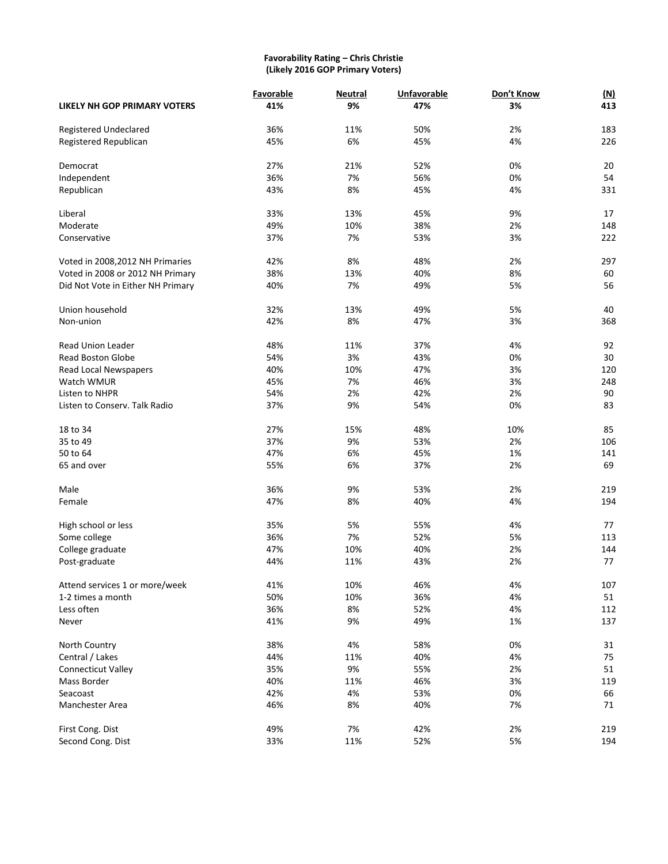#### **Favorability Rating – Chris Christie (Likely 2016 GOP Primary Voters)**

|                                   | Favorable | <b>Neutral</b> | Unfavorable | Don't Know | (M) |
|-----------------------------------|-----------|----------------|-------------|------------|-----|
| LIKELY NH GOP PRIMARY VOTERS      | 41%       | 9%             | 47%         | 3%         | 413 |
| Registered Undeclared             | 36%       | 11%            | 50%         | 2%         | 183 |
| Registered Republican             | 45%       | 6%             | 45%         | 4%         | 226 |
| Democrat                          | 27%       | 21%            | 52%         | 0%         | 20  |
| Independent                       | 36%       | 7%             | 56%         | 0%         | 54  |
| Republican                        | 43%       | 8%             | 45%         | 4%         | 331 |
| Liberal                           | 33%       | 13%            | 45%         | 9%         | 17  |
| Moderate                          | 49%       | 10%            | 38%         | 2%         | 148 |
| Conservative                      | 37%       | 7%             | 53%         | 3%         | 222 |
| Voted in 2008, 2012 NH Primaries  | 42%       | 8%             | 48%         | 2%         | 297 |
| Voted in 2008 or 2012 NH Primary  | 38%       | 13%            | 40%         | 8%         | 60  |
| Did Not Vote in Either NH Primary | 40%       | 7%             | 49%         | 5%         | 56  |
| Union household                   | 32%       | 13%            | 49%         | 5%         | 40  |
| Non-union                         | 42%       | 8%             | 47%         | 3%         | 368 |
| <b>Read Union Leader</b>          | 48%       | 11%            | 37%         | 4%         | 92  |
| <b>Read Boston Globe</b>          | 54%       | 3%             | 43%         | 0%         | 30  |
| Read Local Newspapers             | 40%       | 10%            | 47%         | 3%         | 120 |
| Watch WMUR                        | 45%       | 7%             | 46%         | 3%         | 248 |
| Listen to NHPR                    | 54%       | 2%             | 42%         | 2%         | 90  |
| Listen to Conserv. Talk Radio     | 37%       | 9%             | 54%         | 0%         | 83  |
| 18 to 34                          | 27%       | 15%            | 48%         | 10%        | 85  |
| 35 to 49                          | 37%       | 9%             | 53%         | 2%         | 106 |
| 50 to 64                          | 47%       | 6%             | 45%         | 1%         | 141 |
| 65 and over                       | 55%       | 6%             | 37%         | 2%         | 69  |
| Male                              | 36%       | 9%             | 53%         | 2%         | 219 |
| Female                            | 47%       | 8%             | 40%         | 4%         | 194 |
| High school or less               | 35%       | 5%             | 55%         | 4%         | 77  |
| Some college                      | 36%       | 7%             | 52%         | 5%         | 113 |
| College graduate                  | 47%       | 10%            | 40%         | 2%         | 144 |
| Post-graduate                     | 44%       | 11%            | 43%         | 2%         | 77  |
| Attend services 1 or more/week    | 41%       | 10%            | 46%         | 4%         | 107 |
| 1-2 times a month                 | 50%       | 10%            | 36%         | 4%         | 51  |
| Less often                        | 36%       | 8%             | 52%         | 4%         | 112 |
| Never                             | 41%       | 9%             | 49%         | 1%         | 137 |
| North Country                     | 38%       | 4%             | 58%         | 0%         | 31  |
| Central / Lakes                   | 44%       | 11%            | 40%         | 4%         | 75  |
| <b>Connecticut Valley</b>         | 35%       | 9%             | 55%         | 2%         | 51  |
| Mass Border                       | 40%       | 11%            | 46%         | 3%         | 119 |
| Seacoast                          | 42%       | 4%             | 53%         | 0%         | 66  |
| Manchester Area                   | 46%       | 8%             | 40%         | 7%         | 71  |
| First Cong. Dist                  | 49%       | 7%             | 42%         | 2%         | 219 |
| Second Cong. Dist                 | 33%       | 11%            | 52%         | 5%         | 194 |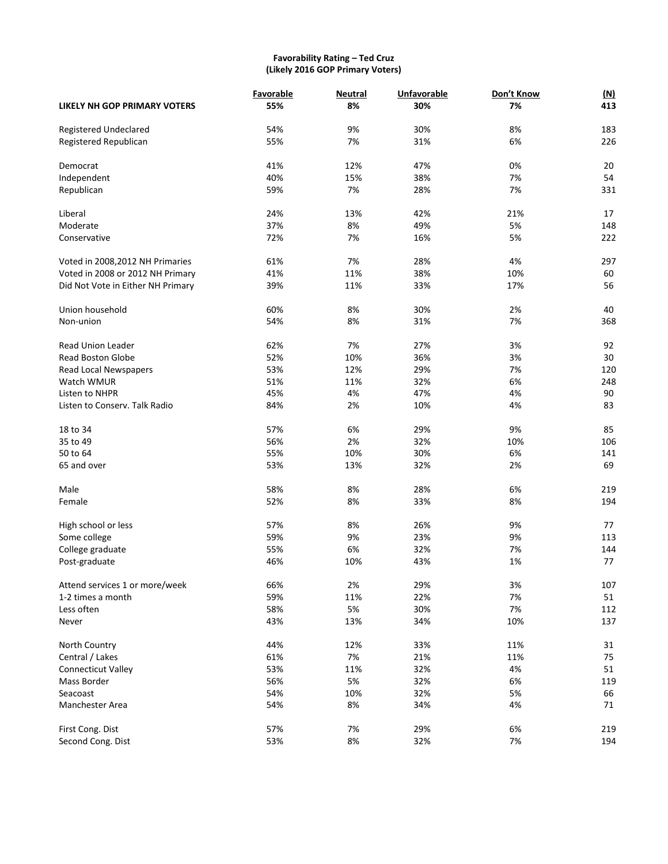## **Favorability Rating – Ted Cruz (Likely 2016 GOP Primary Voters)**

|                                   | Favorable | <b>Neutral</b> | <b>Unfavorable</b> | Don't Know | (M) |
|-----------------------------------|-----------|----------------|--------------------|------------|-----|
| LIKELY NH GOP PRIMARY VOTERS      | 55%       | 8%             | 30%                | 7%         | 413 |
| Registered Undeclared             | 54%       | 9%             | 30%                | 8%         | 183 |
| Registered Republican             | 55%       | 7%             | 31%                | 6%         | 226 |
| Democrat                          | 41%       | 12%            | 47%                | 0%         | 20  |
| Independent                       | 40%       | 15%            | 38%                | 7%         | 54  |
| Republican                        | 59%       | 7%             | 28%                | 7%         | 331 |
| Liberal                           | 24%       | 13%            | 42%                | 21%        | 17  |
| Moderate                          | 37%       | 8%             | 49%                | 5%         | 148 |
| Conservative                      | 72%       | 7%             | 16%                | 5%         | 222 |
| Voted in 2008, 2012 NH Primaries  | 61%       | 7%             | 28%                | 4%         | 297 |
| Voted in 2008 or 2012 NH Primary  | 41%       | 11%            | 38%                | 10%        | 60  |
| Did Not Vote in Either NH Primary | 39%       | 11%            | 33%                | 17%        | 56  |
| Union household                   | 60%       | 8%             | 30%                | 2%         | 40  |
| Non-union                         | 54%       | 8%             | 31%                | 7%         | 368 |
| <b>Read Union Leader</b>          | 62%       | 7%             | 27%                | 3%         | 92  |
| <b>Read Boston Globe</b>          | 52%       | 10%            | 36%                | 3%         | 30  |
| Read Local Newspapers             | 53%       | 12%            | 29%                | 7%         | 120 |
| Watch WMUR                        | 51%       | 11%            | 32%                | 6%         | 248 |
| Listen to NHPR                    | 45%       | 4%             | 47%                | 4%         | 90  |
| Listen to Conserv. Talk Radio     | 84%       | 2%             | 10%                | 4%         | 83  |
| 18 to 34                          | 57%       | 6%             | 29%                | 9%         | 85  |
| 35 to 49                          | 56%       | 2%             | 32%                | 10%        | 106 |
| 50 to 64                          | 55%       | 10%            | 30%                | 6%         | 141 |
| 65 and over                       | 53%       | 13%            | 32%                | 2%         | 69  |
| Male                              | 58%       | 8%             | 28%                | 6%         | 219 |
| Female                            | 52%       | 8%             | 33%                | 8%         | 194 |
| High school or less               | 57%       | 8%             | 26%                | 9%         | 77  |
| Some college                      | 59%       | 9%             | 23%                | 9%         | 113 |
| College graduate                  | 55%       | 6%             | 32%                | 7%         | 144 |
| Post-graduate                     | 46%       | 10%            | 43%                | 1%         | 77  |
| Attend services 1 or more/week    | 66%       | 2%             | 29%                | 3%         | 107 |
| 1-2 times a month                 | 59%       | 11%            | 22%                | 7%         | 51  |
| Less often                        | 58%       | 5%             | 30%                | 7%         | 112 |
| Never                             | 43%       | 13%            | 34%                | 10%        | 137 |
| North Country                     | 44%       | 12%            | 33%                | 11%        | 31  |
| Central / Lakes                   | 61%       | 7%             | 21%                | 11%        | 75  |
| <b>Connecticut Valley</b>         | 53%       | 11%            | 32%                | 4%         | 51  |
| Mass Border                       | 56%       | 5%             | 32%                | 6%         | 119 |
| Seacoast                          | 54%       | 10%            | 32%                | 5%         | 66  |
| Manchester Area                   | 54%       | 8%             | 34%                | 4%         | 71  |
| First Cong. Dist                  | 57%       | 7%             | 29%                | 6%         | 219 |
| Second Cong. Dist                 | 53%       | 8%             | 32%                | 7%         | 194 |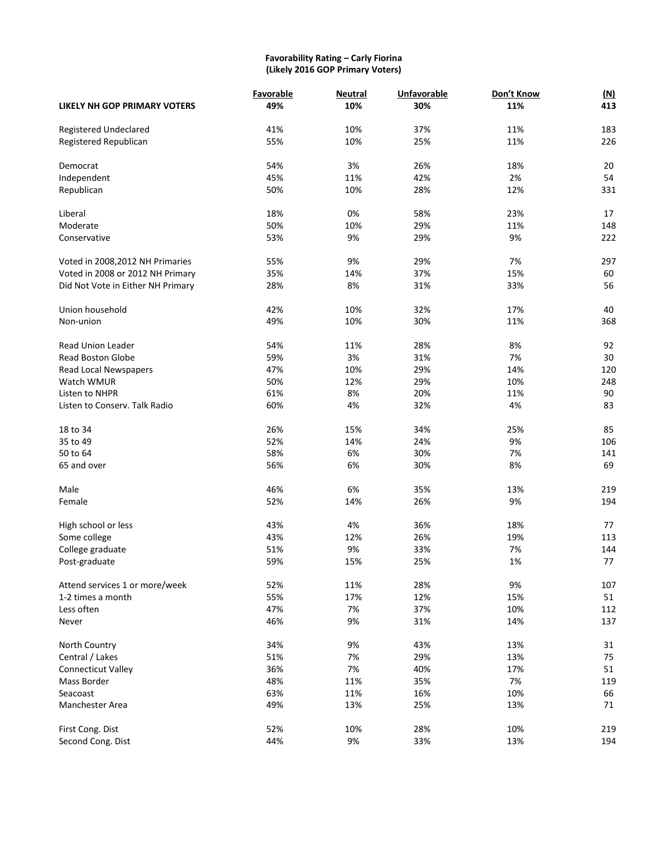#### **Favorability Rating – Carly Fiorina (Likely 2016 GOP Primary Voters)**

|                                     | Favorable | <b>Neutral</b> | <b>Unfavorable</b><br>30% | Don't Know<br>11% | <u>(N)</u><br>413 |
|-------------------------------------|-----------|----------------|---------------------------|-------------------|-------------------|
| <b>LIKELY NH GOP PRIMARY VOTERS</b> | 49%       | 10%            |                           |                   |                   |
| Registered Undeclared               | 41%       | 10%            | 37%                       | 11%               | 183               |
| Registered Republican               | 55%       | 10%            | 25%                       | 11%               | 226               |
| Democrat                            | 54%       | 3%             | 26%                       | 18%               | 20                |
| Independent                         | 45%       | 11%            | 42%                       | 2%                | 54                |
| Republican                          | 50%       | 10%            | 28%                       | 12%               | 331               |
| Liberal                             | 18%       | 0%             | 58%                       | 23%               | 17                |
| Moderate                            | 50%       | 10%            | 29%                       | 11%               | 148               |
| Conservative                        | 53%       | 9%             | 29%                       | 9%                | 222               |
| Voted in 2008, 2012 NH Primaries    | 55%       | 9%             | 29%                       | 7%                | 297               |
| Voted in 2008 or 2012 NH Primary    | 35%       | 14%            | 37%                       | 15%               | 60                |
| Did Not Vote in Either NH Primary   | 28%       | 8%             | 31%                       | 33%               | 56                |
| Union household                     | 42%       | 10%            | 32%                       | 17%               | 40                |
| Non-union                           | 49%       | 10%            | 30%                       | 11%               | 368               |
| <b>Read Union Leader</b>            | 54%       | 11%            | 28%                       | 8%                | 92                |
| <b>Read Boston Globe</b>            | 59%       | 3%             | 31%                       | 7%                | 30                |
| Read Local Newspapers               | 47%       | 10%            | 29%                       | 14%               | 120               |
| Watch WMUR                          | 50%       | 12%            | 29%                       | 10%               | 248               |
| Listen to NHPR                      | 61%       | 8%             | 20%                       | 11%               | 90                |
| Listen to Conserv. Talk Radio       | 60%       | 4%             | 32%                       | 4%                | 83                |
| 18 to 34                            | 26%       | 15%            | 34%                       | 25%               | 85                |
| 35 to 49                            | 52%       | 14%            | 24%                       | 9%                | 106               |
| 50 to 64                            | 58%       | 6%             | 30%                       | 7%                | 141               |
| 65 and over                         | 56%       | 6%             | 30%                       | 8%                | 69                |
| Male                                | 46%       | 6%             | 35%                       | 13%               | 219               |
| Female                              | 52%       | 14%            | 26%                       | 9%                | 194               |
| High school or less                 | 43%       | 4%             | 36%                       | 18%               | 77                |
| Some college                        | 43%       | 12%            | 26%                       | 19%               | 113               |
| College graduate                    | 51%       | 9%             | 33%                       | 7%                | 144               |
| Post-graduate                       | 59%       | 15%            | 25%                       | 1%                | 77                |
| Attend services 1 or more/week      | 52%       | 11%            | 28%                       | 9%                | 107               |
| 1-2 times a month                   | 55%       | 17%            | 12%                       | 15%               | 51                |
| Less often                          | 47%       | 7%             | 37%                       | 10%               | 112               |
| Never                               | 46%       | 9%             | 31%                       | 14%               | 137               |
| North Country                       | 34%       | 9%             | 43%                       | 13%               | 31                |
| Central / Lakes                     | 51%       | 7%             | 29%                       | 13%               | 75                |
| <b>Connecticut Valley</b>           | 36%       | 7%             | 40%                       | 17%               | 51                |
| Mass Border                         | 48%       | 11%            | 35%                       | 7%                | 119               |
| Seacoast                            | 63%       | 11%            | 16%                       | 10%               | 66                |
| Manchester Area                     | 49%       | 13%            | 25%                       | 13%               | 71                |
| First Cong. Dist                    | 52%       | 10%            | 28%                       | 10%               | 219               |
| Second Cong. Dist                   | 44%       | 9%             | 33%                       | 13%               | 194               |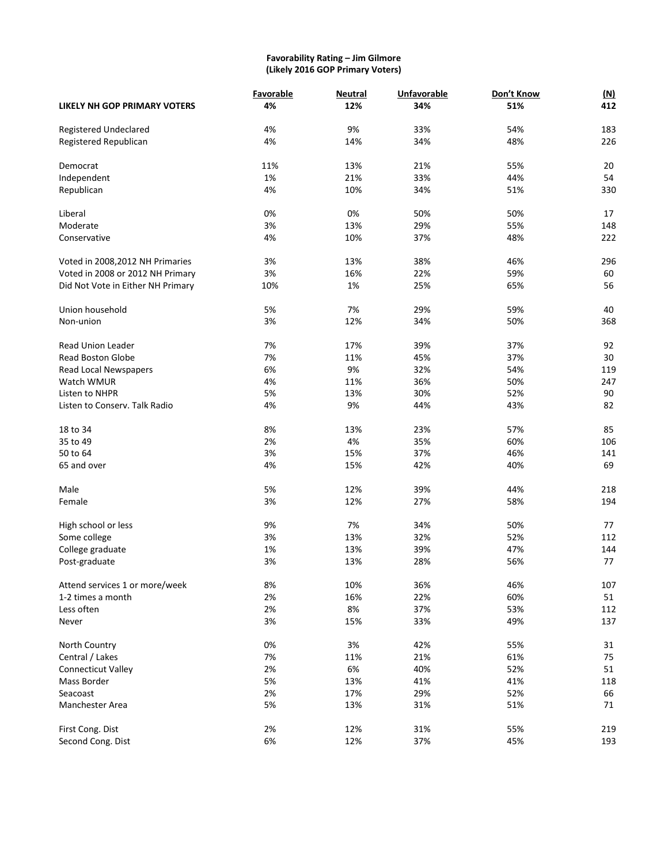#### **Favorability Rating – Jim Gilmore (Likely 2016 GOP Primary Voters)**

|                                     | Favorable | <b>Neutral</b> | Unfavorable | Don't Know | <u>(N)</u> |
|-------------------------------------|-----------|----------------|-------------|------------|------------|
| <b>LIKELY NH GOP PRIMARY VOTERS</b> | 4%        | 12%            | 34%         | 51%        | 412        |
| Registered Undeclared               | 4%        | 9%             | 33%         | 54%        | 183        |
| Registered Republican               | 4%        | 14%            | 34%         | 48%        | 226        |
|                                     |           |                |             |            |            |
| Democrat                            | 11%       | 13%            | 21%         | 55%        | 20         |
| Independent                         | 1%        | 21%            | 33%         | 44%        | 54         |
| Republican                          | 4%        | 10%            | 34%         | 51%        | 330        |
| Liberal                             | 0%        | 0%             | 50%         | 50%        | 17         |
| Moderate                            | 3%        | 13%            | 29%         | 55%        | 148        |
| Conservative                        | 4%        | 10%            | 37%         | 48%        | 222        |
|                                     | 3%        | 13%            | 38%         | 46%        | 296        |
| Voted in 2008, 2012 NH Primaries    |           |                |             |            |            |
| Voted in 2008 or 2012 NH Primary    | 3%        | 16%            | 22%         | 59%        | 60         |
| Did Not Vote in Either NH Primary   | 10%       | 1%             | 25%         | 65%        | 56         |
| Union household                     | 5%        | 7%             | 29%         | 59%        | 40         |
| Non-union                           | 3%        | 12%            | 34%         | 50%        | 368        |
| <b>Read Union Leader</b>            | 7%        | 17%            | 39%         | 37%        | 92         |
| <b>Read Boston Globe</b>            | 7%        | 11%            | 45%         | 37%        | 30         |
| Read Local Newspapers               | 6%        | 9%             | 32%         | 54%        | 119        |
| Watch WMUR                          | 4%        | 11%            | 36%         | 50%        | 247        |
| Listen to NHPR                      | 5%        | 13%            | 30%         | 52%        | 90         |
| Listen to Conserv. Talk Radio       | 4%        | 9%             | 44%         | 43%        | 82         |
|                                     |           |                |             |            |            |
| 18 to 34                            | 8%        | 13%            | 23%         | 57%        | 85         |
| 35 to 49                            | 2%        | 4%             | 35%         | 60%        | 106        |
| 50 to 64                            | 3%        | 15%            | 37%         | 46%        | 141        |
| 65 and over                         | 4%        | 15%            | 42%         | 40%        | 69         |
| Male                                | 5%        | 12%            | 39%         | 44%        | 218        |
| Female                              | 3%        | 12%            | 27%         | 58%        | 194        |
|                                     |           |                |             |            |            |
| High school or less                 | 9%        | 7%             | 34%         | 50%        | 77         |
| Some college                        | 3%        | 13%            | 32%         | 52%        | 112        |
| College graduate                    | 1%        | 13%            | 39%         | 47%        | 144        |
| Post-graduate                       | 3%        | 13%            | 28%         | 56%        | 77         |
| Attend services 1 or more/week      | 8%        | 10%            | 36%         | 46%        | 107        |
| 1-2 times a month                   | 2%        | 16%            | 22%         | 60%        | 51         |
| Less often                          | 2%        | 8%             | 37%         | 53%        | 112        |
| Never                               | 3%        | 15%            | 33%         | 49%        | 137        |
|                                     |           |                |             |            |            |
| North Country                       | 0%        | 3%             | 42%         | 55%        | 31         |
| Central / Lakes                     | 7%        | 11%            | 21%         | 61%        | 75         |
| <b>Connecticut Valley</b>           | 2%        | 6%             | 40%         | 52%        | 51         |
| Mass Border                         | 5%        | 13%            | 41%         | 41%        | 118        |
| Seacoast                            | 2%        | 17%            | 29%         | 52%        | 66         |
| Manchester Area                     | 5%        | 13%            | 31%         | 51%        | 71         |
| First Cong. Dist                    | 2%        | 12%            | 31%         | 55%        | 219        |
| Second Cong. Dist                   | 6%        | 12%            | 37%         | 45%        | 193        |
|                                     |           |                |             |            |            |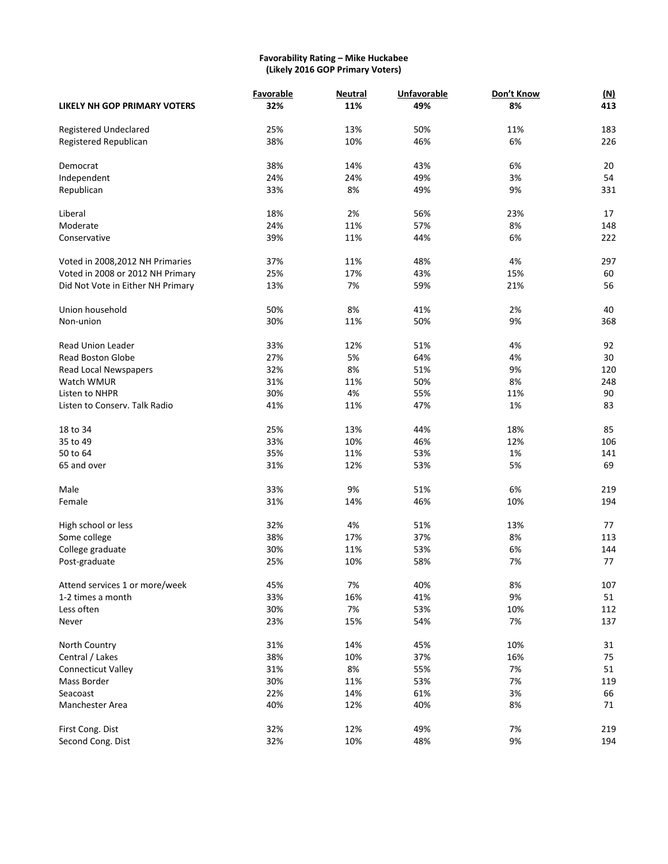#### **Favorability Rating – Mike Huckabee (Likely 2016 GOP Primary Voters)**

|                                     | Favorable | <b>Neutral</b> | <b>Unfavorable</b><br>49% | Don't Know<br>8% | <u>(N)</u><br>413 |
|-------------------------------------|-----------|----------------|---------------------------|------------------|-------------------|
| <b>LIKELY NH GOP PRIMARY VOTERS</b> | 32%       | 11%            |                           |                  |                   |
| Registered Undeclared               | 25%       | 13%            | 50%                       | 11%              | 183               |
| Registered Republican               | 38%       | 10%            | 46%                       | 6%               | 226               |
| Democrat                            | 38%       | 14%            | 43%                       | 6%               | 20                |
| Independent                         | 24%       | 24%            | 49%                       | 3%               | 54                |
| Republican                          | 33%       | 8%             | 49%                       | 9%               | 331               |
| Liberal                             | 18%       | 2%             | 56%                       | 23%              | 17                |
| Moderate                            | 24%       | 11%            | 57%                       | 8%               | 148               |
| Conservative                        | 39%       | 11%            | 44%                       | 6%               | 222               |
| Voted in 2008, 2012 NH Primaries    | 37%       | 11%            | 48%                       | 4%               | 297               |
| Voted in 2008 or 2012 NH Primary    | 25%       | 17%            | 43%                       | 15%              | 60                |
| Did Not Vote in Either NH Primary   | 13%       | 7%             | 59%                       | 21%              | 56                |
| Union household                     | 50%       | 8%             | 41%                       | 2%               | 40                |
| Non-union                           | 30%       | 11%            | 50%                       | 9%               | 368               |
| <b>Read Union Leader</b>            | 33%       | 12%            | 51%                       | 4%               | 92                |
| <b>Read Boston Globe</b>            | 27%       | 5%             | 64%                       | 4%               | 30                |
| Read Local Newspapers               | 32%       | 8%             | 51%                       | 9%               | 120               |
| Watch WMUR                          | 31%       | 11%            | 50%                       | 8%               | 248               |
| Listen to NHPR                      | 30%       | 4%             | 55%                       | 11%              | 90                |
| Listen to Conserv. Talk Radio       | 41%       | 11%            | 47%                       | 1%               | 83                |
| 18 to 34                            | 25%       | 13%            | 44%                       | 18%              | 85                |
| 35 to 49                            | 33%       | 10%            | 46%                       | 12%              | 106               |
| 50 to 64                            | 35%       | 11%            | 53%                       | 1%               | 141               |
| 65 and over                         | 31%       | 12%            | 53%                       | 5%               | 69                |
| Male                                | 33%       | 9%             | 51%                       | 6%               | 219               |
| Female                              | 31%       | 14%            | 46%                       | 10%              | 194               |
|                                     |           |                |                           |                  |                   |
| High school or less                 | 32%       | 4%             | 51%                       | 13%              | 77                |
| Some college                        | 38%       | 17%            | 37%                       | 8%               | 113               |
| College graduate                    | 30%       | 11%            | 53%                       | 6%               | 144               |
| Post-graduate                       | 25%       | 10%            | 58%                       | 7%               | 77                |
| Attend services 1 or more/week      | 45%       | 7%             | 40%                       | 8%               | 107               |
| 1-2 times a month                   | 33%       | 16%            | 41%                       | 9%               | 51                |
| Less often                          | 30%       | 7%             | 53%                       | 10%              | 112               |
| Never                               | 23%       | 15%            | 54%                       | 7%               | 137               |
| North Country                       | 31%       | 14%            | 45%                       | 10%              | 31                |
| Central / Lakes                     | 38%       | 10%            | 37%                       | 16%              | 75                |
| <b>Connecticut Valley</b>           | 31%       | 8%             | 55%                       | 7%               | 51                |
| Mass Border                         | 30%       | 11%            | 53%                       | 7%               | 119               |
| Seacoast                            | 22%       | 14%            | 61%                       | 3%               | 66                |
| Manchester Area                     | 40%       | 12%            | 40%                       | 8%               | 71                |
| First Cong. Dist                    | 32%       | 12%            | 49%                       | 7%               | 219               |
| Second Cong. Dist                   | 32%       | 10%            | 48%                       | 9%               | 194               |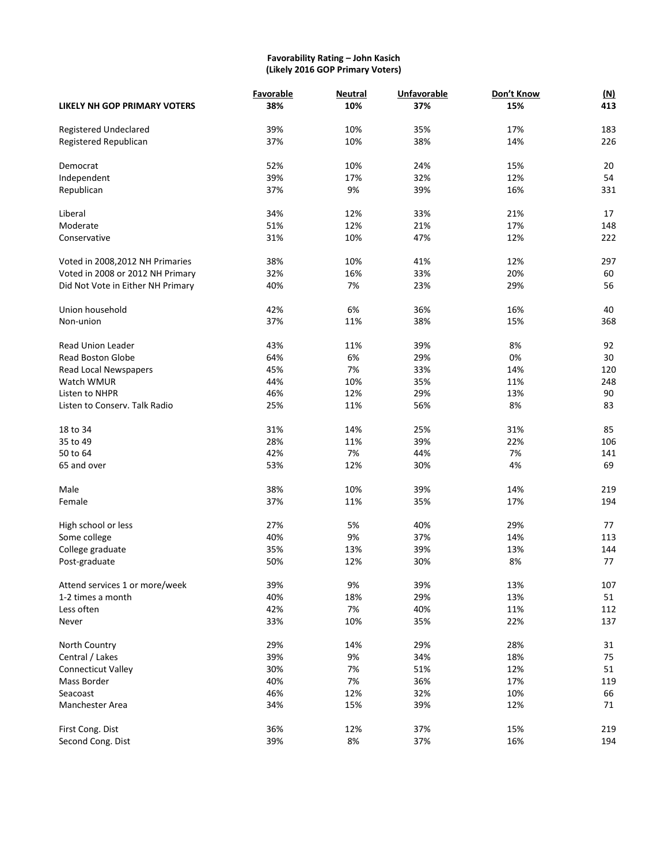#### **Favorability Rating – John Kasich (Likely 2016 GOP Primary Voters)**

|                                   | Favorable | <b>Neutral</b> | <b>Unfavorable</b> | Don't Know | (M) |
|-----------------------------------|-----------|----------------|--------------------|------------|-----|
| LIKELY NH GOP PRIMARY VOTERS      | 38%       | 10%            | 37%                | 15%        | 413 |
| Registered Undeclared             | 39%       | 10%            | 35%                | 17%        | 183 |
| Registered Republican             | 37%       | 10%            | 38%                | 14%        | 226 |
| Democrat                          | 52%       | 10%            | 24%                | 15%        | 20  |
| Independent                       | 39%       | 17%            | 32%                | 12%        | 54  |
| Republican                        | 37%       | 9%             | 39%                | 16%        | 331 |
| Liberal                           | 34%       | 12%            | 33%                | 21%        | 17  |
| Moderate                          | 51%       | 12%            | 21%                | 17%        | 148 |
| Conservative                      | 31%       | 10%            | 47%                | 12%        | 222 |
| Voted in 2008, 2012 NH Primaries  | 38%       | 10%            | 41%                | 12%        | 297 |
| Voted in 2008 or 2012 NH Primary  | 32%       | 16%            | 33%                | 20%        | 60  |
| Did Not Vote in Either NH Primary | 40%       | 7%             | 23%                | 29%        | 56  |
| Union household                   | 42%       | 6%             | 36%                | 16%        | 40  |
| Non-union                         | 37%       | 11%            | 38%                | 15%        | 368 |
| <b>Read Union Leader</b>          | 43%       | 11%            | 39%                | 8%         | 92  |
| <b>Read Boston Globe</b>          | 64%       | 6%             | 29%                | 0%         | 30  |
| Read Local Newspapers             | 45%       | 7%             | 33%                | 14%        | 120 |
| Watch WMUR                        | 44%       | 10%            | 35%                | 11%        | 248 |
| Listen to NHPR                    | 46%       | 12%            | 29%                | 13%        | 90  |
| Listen to Conserv. Talk Radio     | 25%       | 11%            | 56%                | 8%         | 83  |
| 18 to 34                          | 31%       | 14%            | 25%                | 31%        | 85  |
| 35 to 49                          | 28%       | 11%            | 39%                | 22%        | 106 |
| 50 to 64                          | 42%       | 7%             | 44%                | 7%         | 141 |
| 65 and over                       | 53%       | 12%            | 30%                | 4%         | 69  |
| Male                              | 38%       | 10%            | 39%                | 14%        | 219 |
| Female                            | 37%       | 11%            | 35%                | 17%        | 194 |
| High school or less               | 27%       | 5%             | 40%                | 29%        | 77  |
| Some college                      | 40%       | 9%             | 37%                | 14%        | 113 |
| College graduate                  | 35%       | 13%            | 39%                | 13%        | 144 |
| Post-graduate                     | 50%       | 12%            | 30%                | 8%         | 77  |
| Attend services 1 or more/week    | 39%       | 9%             | 39%                | 13%        | 107 |
| 1-2 times a month                 | 40%       | 18%            | 29%                | 13%        | 51  |
| Less often                        | 42%       | 7%             | 40%                | 11%        | 112 |
| Never                             | 33%       | 10%            | 35%                | 22%        | 137 |
| North Country                     | 29%       | 14%            | 29%                | 28%        | 31  |
| Central / Lakes                   | 39%       | 9%             | 34%                | 18%        | 75  |
| <b>Connecticut Valley</b>         | 30%       | 7%             | 51%                | 12%        | 51  |
| Mass Border                       | 40%       | 7%             | 36%                | 17%        | 119 |
| Seacoast                          | 46%       | 12%            | 32%                | 10%        | 66  |
| Manchester Area                   | 34%       | 15%            | 39%                | 12%        | 71  |
| First Cong. Dist                  | 36%       | 12%            | 37%                | 15%        | 219 |
| Second Cong. Dist                 | 39%       | 8%             | 37%                | 16%        | 194 |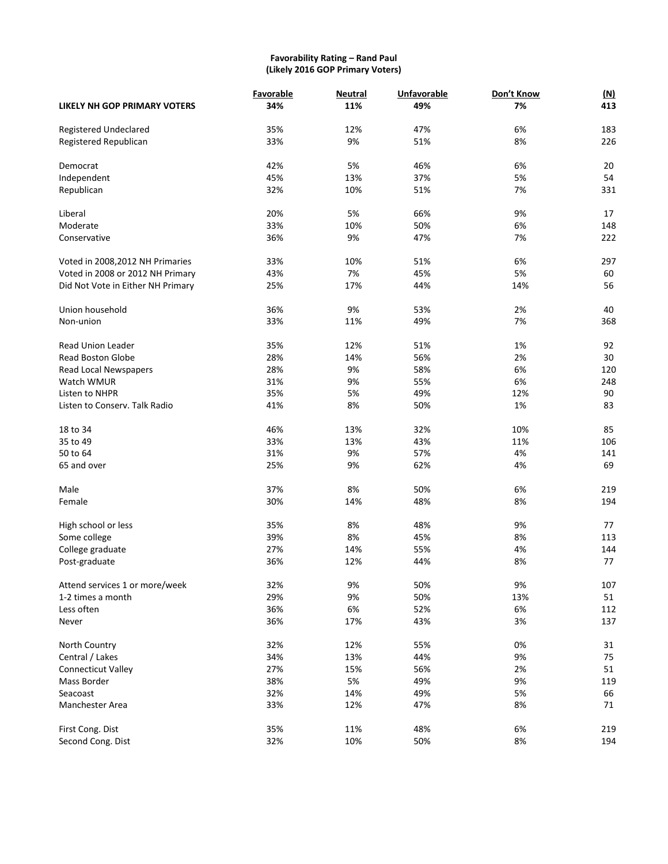#### **Favorability Rating – Rand Paul (Likely 2016 GOP Primary Voters)**

|                                   | Favorable | <b>Neutral</b> | <b>Unfavorable</b><br>49% | Don't Know | (M)<br>413 |
|-----------------------------------|-----------|----------------|---------------------------|------------|------------|
| LIKELY NH GOP PRIMARY VOTERS      | 34%       | 11%            |                           | 7%         |            |
| Registered Undeclared             | 35%       | 12%            | 47%                       | 6%         | 183        |
| Registered Republican             | 33%       | 9%             | 51%                       | 8%         | 226        |
| Democrat                          | 42%       | 5%             | 46%                       | 6%         | 20         |
| Independent                       | 45%       | 13%            | 37%                       | 5%         | 54         |
| Republican                        | 32%       | 10%            | 51%                       | 7%         | 331        |
| Liberal                           | 20%       | 5%             | 66%                       | 9%         | 17         |
| Moderate                          | 33%       | 10%            | 50%                       | 6%         | 148        |
| Conservative                      | 36%       | 9%             | 47%                       | 7%         | 222        |
| Voted in 2008, 2012 NH Primaries  | 33%       | 10%            | 51%                       | 6%         | 297        |
| Voted in 2008 or 2012 NH Primary  | 43%       | 7%             | 45%                       | 5%         | 60         |
| Did Not Vote in Either NH Primary | 25%       | 17%            | 44%                       | 14%        | 56         |
| Union household                   | 36%       | 9%             | 53%                       | 2%         | 40         |
| Non-union                         | 33%       | 11%            | 49%                       | 7%         | 368        |
| <b>Read Union Leader</b>          | 35%       | 12%            | 51%                       | 1%         | 92         |
| <b>Read Boston Globe</b>          | 28%       | 14%            | 56%                       | 2%         | 30         |
| Read Local Newspapers             | 28%       | 9%             | 58%                       | 6%         | 120        |
| Watch WMUR                        | 31%       | 9%             | 55%                       | 6%         | 248        |
| Listen to NHPR                    | 35%       | 5%             | 49%                       | 12%        | 90         |
| Listen to Conserv. Talk Radio     | 41%       | 8%             | 50%                       | 1%         | 83         |
| 18 to 34                          | 46%       | 13%            | 32%                       | 10%        | 85         |
| 35 to 49                          | 33%       | 13%            | 43%                       | 11%        | 106        |
| 50 to 64                          | 31%       | 9%             | 57%                       | 4%         | 141        |
| 65 and over                       | 25%       | 9%             | 62%                       | 4%         | 69         |
| Male                              | 37%       | 8%             | 50%                       | 6%         | 219        |
| Female                            | 30%       | 14%            | 48%                       | 8%         | 194        |
| High school or less               | 35%       | 8%             | 48%                       | 9%         | 77         |
| Some college                      | 39%       | 8%             | 45%                       | 8%         | 113        |
| College graduate                  | 27%       | 14%            | 55%                       | 4%         | 144        |
| Post-graduate                     | 36%       | 12%            | 44%                       | 8%         | 77         |
| Attend services 1 or more/week    | 32%       | 9%             | 50%                       | 9%         | 107        |
| 1-2 times a month                 | 29%       | 9%             | 50%                       | 13%        | 51         |
| Less often                        | 36%       | 6%             | 52%                       | 6%         | 112        |
| Never                             | 36%       | 17%            | 43%                       | 3%         | 137        |
| North Country                     | 32%       | 12%            | 55%                       | 0%         | 31         |
| Central / Lakes                   | 34%       | 13%            | 44%                       | 9%         | 75         |
| <b>Connecticut Valley</b>         | 27%       | 15%            | 56%                       | 2%         | 51         |
| Mass Border                       | 38%       | 5%             | 49%                       | 9%         | 119        |
| Seacoast                          | 32%       | 14%            | 49%                       | 5%         | 66         |
| Manchester Area                   | 33%       | 12%            | 47%                       | 8%         | 71         |
| First Cong. Dist                  | 35%       | 11%            | 48%                       | 6%         | 219        |
| Second Cong. Dist                 | 32%       | 10%            | 50%                       | 8%         | 194        |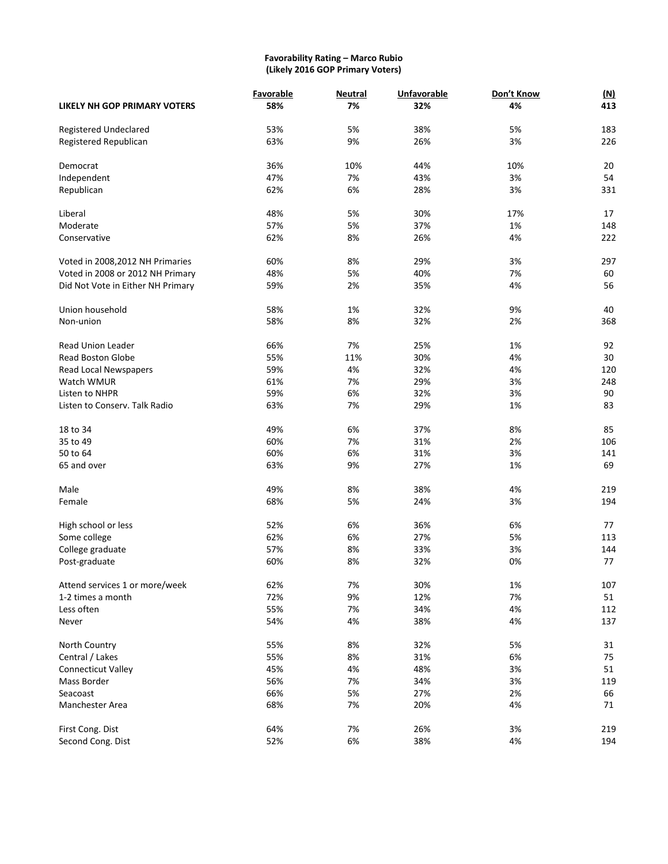#### **Favorability Rating – Marco Rubio (Likely 2016 GOP Primary Voters)**

|                                     | Favorable | <b>Neutral</b> | <b>Unfavorable</b><br>32% | Don't Know<br>4% | <u>(N)</u><br>413 |
|-------------------------------------|-----------|----------------|---------------------------|------------------|-------------------|
| <b>LIKELY NH GOP PRIMARY VOTERS</b> | 58%       | 7%             |                           |                  |                   |
| Registered Undeclared               | 53%       | 5%             | 38%                       | 5%               | 183               |
| Registered Republican               | 63%       | 9%             | 26%                       | 3%               | 226               |
| Democrat                            | 36%       | 10%            | 44%                       | 10%              | 20                |
| Independent                         | 47%       | 7%             | 43%                       | 3%               | 54                |
| Republican                          | 62%       | 6%             | 28%                       | 3%               | 331               |
| Liberal                             | 48%       | 5%             | 30%                       | 17%              | 17                |
| Moderate                            | 57%       | 5%             | 37%                       | 1%               | 148               |
| Conservative                        | 62%       | 8%             | 26%                       | 4%               | 222               |
| Voted in 2008, 2012 NH Primaries    | 60%       | 8%             | 29%                       | 3%               | 297               |
| Voted in 2008 or 2012 NH Primary    | 48%       | 5%             | 40%                       | 7%               | 60                |
| Did Not Vote in Either NH Primary   | 59%       | 2%             | 35%                       | 4%               | 56                |
| Union household                     | 58%       | 1%             | 32%                       | 9%               | 40                |
| Non-union                           | 58%       | 8%             | 32%                       | 2%               | 368               |
| <b>Read Union Leader</b>            | 66%       | 7%             | 25%                       | 1%               | 92                |
| <b>Read Boston Globe</b>            | 55%       | 11%            | 30%                       | 4%               | 30                |
| Read Local Newspapers               | 59%       | 4%             | 32%                       | 4%               | 120               |
| Watch WMUR                          | 61%       | 7%             | 29%                       | 3%               | 248               |
| Listen to NHPR                      | 59%       | 6%             | 32%                       | 3%               | 90                |
| Listen to Conserv. Talk Radio       | 63%       | 7%             | 29%                       | 1%               | 83                |
| 18 to 34                            | 49%       | 6%             | 37%                       | 8%               | 85                |
| 35 to 49                            | 60%       | 7%             | 31%                       | 2%               | 106               |
| 50 to 64                            | 60%       | 6%             | 31%                       | 3%               | 141               |
| 65 and over                         | 63%       | 9%             | 27%                       | 1%               | 69                |
|                                     |           |                |                           |                  |                   |
| Male                                | 49%       | 8%             | 38%                       | 4%               | 219               |
| Female                              | 68%       | 5%             | 24%                       | 3%               | 194               |
| High school or less                 | 52%       | 6%             | 36%                       | 6%               | 77                |
| Some college                        | 62%       | 6%             | 27%                       | 5%               | 113               |
| College graduate                    | 57%       | 8%             | 33%                       | 3%               | 144               |
| Post-graduate                       | 60%       | 8%             | 32%                       | 0%               | 77                |
| Attend services 1 or more/week      | 62%       | 7%             | 30%                       | 1%               | 107               |
| 1-2 times a month                   | 72%       | 9%             | 12%                       | 7%               | 51                |
| Less often                          | 55%       | 7%             | 34%                       | 4%               | 112               |
| Never                               | 54%       | 4%             | 38%                       | 4%               | 137               |
| North Country                       | 55%       | 8%             | 32%                       | 5%               | 31                |
| Central / Lakes                     | 55%       | 8%             | 31%                       | 6%               | 75                |
| <b>Connecticut Valley</b>           | 45%       | 4%             | 48%                       | 3%               | 51                |
| Mass Border                         | 56%       | 7%             | 34%                       | 3%               | 119               |
| Seacoast                            | 66%       | 5%             | 27%                       | 2%               | 66                |
| Manchester Area                     | 68%       | 7%             | 20%                       | 4%               | 71                |
| First Cong. Dist                    | 64%       | 7%             | 26%                       | 3%               | 219               |
| Second Cong. Dist                   | 52%       | 6%             | 38%                       | 4%               | 194               |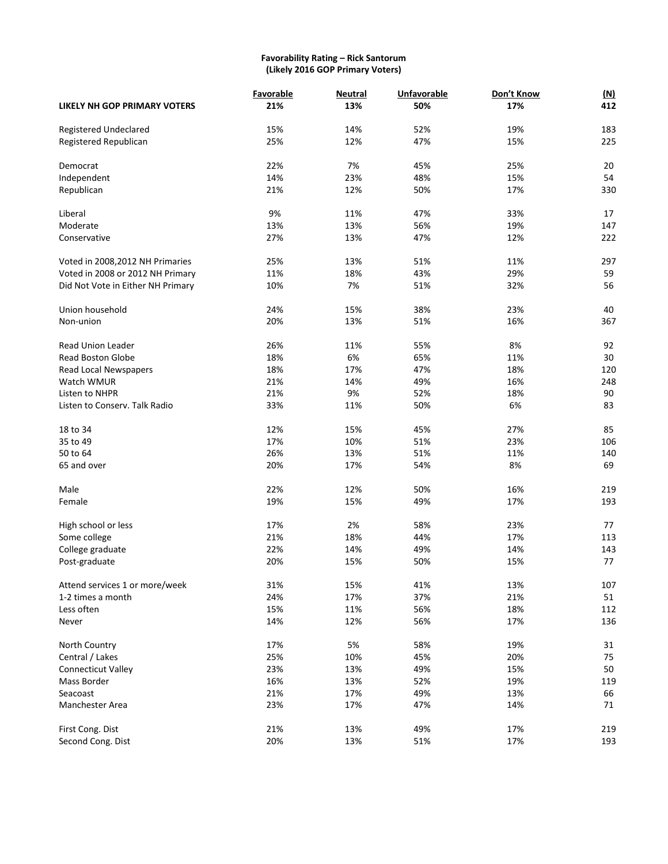#### **Favorability Rating – Rick Santorum (Likely 2016 GOP Primary Voters)**

|                                   | Favorable | <b>Neutral</b> | <b>Unfavorable</b> | Don't Know | (M) |
|-----------------------------------|-----------|----------------|--------------------|------------|-----|
| LIKELY NH GOP PRIMARY VOTERS      | 21%       | 13%            | 50%                | 17%        | 412 |
| Registered Undeclared             | 15%       | 14%            | 52%                | 19%        | 183 |
| Registered Republican             | 25%       | 12%            | 47%                | 15%        | 225 |
| Democrat                          | 22%       | 7%             | 45%                | 25%        | 20  |
| Independent                       | 14%       | 23%            | 48%                | 15%        | 54  |
| Republican                        | 21%       | 12%            | 50%                | 17%        | 330 |
| Liberal                           | 9%        | 11%            | 47%                | 33%        | 17  |
| Moderate                          | 13%       | 13%            | 56%                | 19%        | 147 |
| Conservative                      | 27%       | 13%            | 47%                | 12%        | 222 |
| Voted in 2008, 2012 NH Primaries  | 25%       | 13%            | 51%                | 11%        | 297 |
| Voted in 2008 or 2012 NH Primary  | 11%       | 18%            | 43%                | 29%        | 59  |
| Did Not Vote in Either NH Primary | 10%       | 7%             | 51%                | 32%        | 56  |
| Union household                   | 24%       | 15%            | 38%                | 23%        | 40  |
| Non-union                         | 20%       | 13%            | 51%                | 16%        | 367 |
| <b>Read Union Leader</b>          | 26%       | 11%            | 55%                | 8%         | 92  |
| <b>Read Boston Globe</b>          | 18%       | 6%             | 65%                | 11%        | 30  |
| Read Local Newspapers             | 18%       | 17%            | 47%                | 18%        | 120 |
| Watch WMUR                        | 21%       | 14%            | 49%                | 16%        | 248 |
| Listen to NHPR                    | 21%       | 9%             | 52%                | 18%        | 90  |
| Listen to Conserv. Talk Radio     | 33%       | 11%            | 50%                | 6%         | 83  |
| 18 to 34                          | 12%       | 15%            | 45%                | 27%        | 85  |
| 35 to 49                          | 17%       | 10%            | 51%                | 23%        | 106 |
| 50 to 64                          | 26%       | 13%            | 51%                | 11%        | 140 |
| 65 and over                       | 20%       | 17%            | 54%                | 8%         | 69  |
| Male                              | 22%       | 12%            | 50%                | 16%        | 219 |
| Female                            | 19%       | 15%            | 49%                | 17%        | 193 |
| High school or less               | 17%       | 2%             | 58%                | 23%        | 77  |
| Some college                      | 21%       | 18%            | 44%                | 17%        | 113 |
| College graduate                  | 22%       | 14%            | 49%                | 14%        | 143 |
| Post-graduate                     | 20%       | 15%            | 50%                | 15%        | 77  |
| Attend services 1 or more/week    | 31%       | 15%            | 41%                | 13%        | 107 |
| 1-2 times a month                 | 24%       | 17%            | 37%                | 21%        | 51  |
| Less often                        | 15%       | 11%            | 56%                | 18%        | 112 |
| Never                             | 14%       | 12%            | 56%                | 17%        | 136 |
| North Country                     | 17%       | 5%             | 58%                | 19%        | 31  |
| Central / Lakes                   | 25%       | 10%            | 45%                | 20%        | 75  |
| <b>Connecticut Valley</b>         | 23%       | 13%            | 49%                | 15%        | 50  |
| Mass Border                       | 16%       | 13%            | 52%                | 19%        | 119 |
| Seacoast                          | 21%       | 17%            | 49%                | 13%        | 66  |
| Manchester Area                   | 23%       | 17%            | 47%                | 14%        | 71  |
| First Cong. Dist                  | 21%       | 13%            | 49%                | 17%        | 219 |
| Second Cong. Dist                 | 20%       | 13%            | 51%                | 17%        | 193 |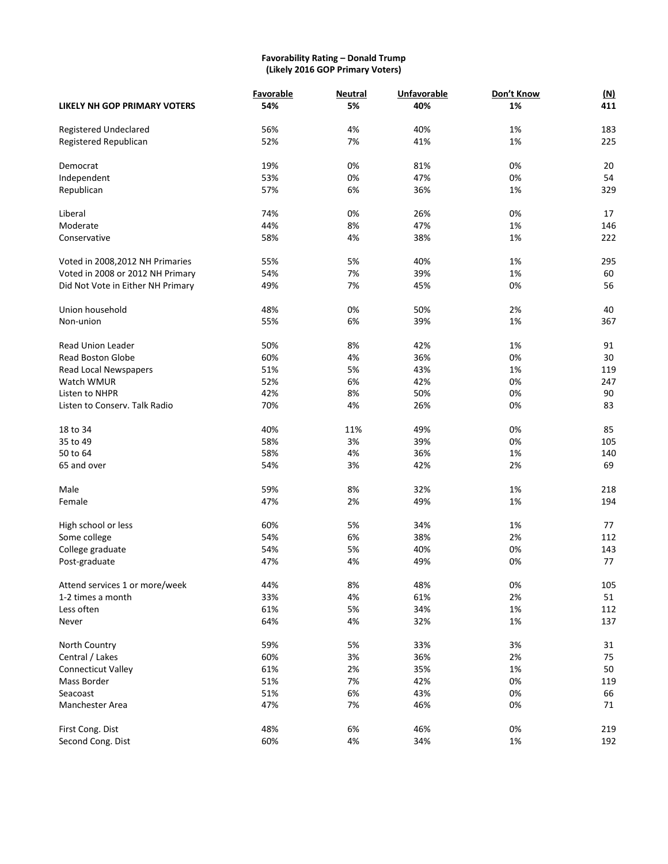#### **Favorability Rating – Donald Trump (Likely 2016 GOP Primary Voters)**

|                                   | Favorable | <b>Neutral</b> | <b>Unfavorable</b> | Don't Know | (M) |
|-----------------------------------|-----------|----------------|--------------------|------------|-----|
| LIKELY NH GOP PRIMARY VOTERS      | 54%       | 5%             | 40%                | 1%         | 411 |
| <b>Registered Undeclared</b>      | 56%       | 4%             | 40%                | 1%         | 183 |
| Registered Republican             | 52%       | 7%             | 41%                | 1%         | 225 |
| Democrat                          | 19%       | 0%             | 81%                | 0%         | 20  |
| Independent                       | 53%       | 0%             | 47%                | 0%         | 54  |
| Republican                        | 57%       | 6%             | 36%                | 1%         | 329 |
| Liberal                           | 74%       | 0%             | 26%                | 0%         | 17  |
| Moderate                          | 44%       | 8%             | 47%                | 1%         | 146 |
| Conservative                      | 58%       | 4%             | 38%                | 1%         | 222 |
| Voted in 2008, 2012 NH Primaries  | 55%       | 5%             | 40%                | 1%         | 295 |
| Voted in 2008 or 2012 NH Primary  | 54%       | 7%             | 39%                | 1%         | 60  |
| Did Not Vote in Either NH Primary | 49%       | 7%             | 45%                | 0%         | 56  |
| Union household                   | 48%       | 0%             | 50%                | 2%         | 40  |
| Non-union                         | 55%       | 6%             | 39%                | 1%         | 367 |
| <b>Read Union Leader</b>          | 50%       | 8%             | 42%                | 1%         | 91  |
| <b>Read Boston Globe</b>          | 60%       | 4%             | 36%                | 0%         | 30  |
| Read Local Newspapers             | 51%       | 5%             | 43%                | 1%         | 119 |
| Watch WMUR                        | 52%       | 6%             | 42%                | 0%         | 247 |
| Listen to NHPR                    | 42%       | 8%             | 50%                | 0%         | 90  |
| Listen to Conserv. Talk Radio     | 70%       | 4%             | 26%                | 0%         | 83  |
| 18 to 34                          | 40%       | 11%            | 49%                | 0%         | 85  |
| 35 to 49                          | 58%       | 3%             | 39%                | 0%         | 105 |
| 50 to 64                          | 58%       | 4%             | 36%                | 1%         | 140 |
| 65 and over                       | 54%       | 3%             | 42%                | 2%         | 69  |
| Male                              | 59%       | 8%             | 32%                | 1%         | 218 |
| Female                            | 47%       | 2%             | 49%                | 1%         | 194 |
| High school or less               | 60%       | 5%             | 34%                | 1%         | 77  |
| Some college                      | 54%       | 6%             | 38%                | 2%         | 112 |
| College graduate                  | 54%       | 5%             | 40%                | 0%         | 143 |
| Post-graduate                     | 47%       | 4%             | 49%                | 0%         | 77  |
| Attend services 1 or more/week    | 44%       | 8%             | 48%                | 0%         | 105 |
| 1-2 times a month                 | 33%       | 4%             | 61%                | 2%         | 51  |
| Less often                        | 61%       | 5%             | 34%                | 1%         | 112 |
| Never                             | 64%       | 4%             | 32%                | 1%         | 137 |
| North Country                     | 59%       | 5%             | 33%                | 3%         | 31  |
| Central / Lakes                   | 60%       | 3%             | 36%                | 2%         | 75  |
| <b>Connecticut Valley</b>         | 61%       | 2%             | 35%                | 1%         | 50  |
| Mass Border                       | 51%       | 7%             | 42%                | 0%         | 119 |
| Seacoast                          | 51%       | 6%             | 43%                | 0%         | 66  |
| Manchester Area                   | 47%       | 7%             | 46%                | 0%         | 71  |
| First Cong. Dist                  | 48%       | 6%             | 46%                | 0%         | 219 |
| Second Cong. Dist                 | 60%       | 4%             | 34%                | 1%         | 192 |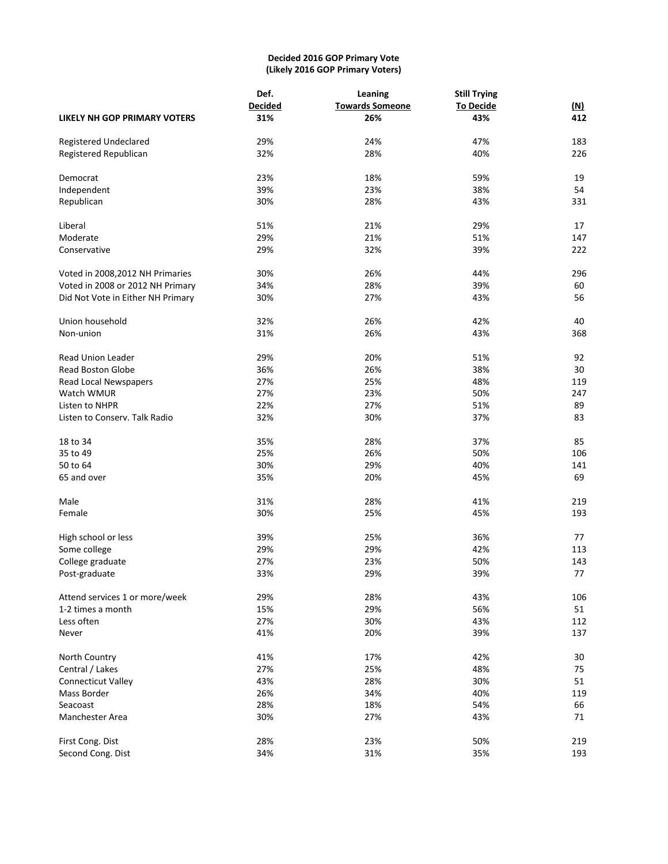## **Decided 2016 GOP Primary Vote (Likely 2016 GOP Primary Voters)**

|                                     | Def.           | Leaning                | <b>Still Trying</b> |            |  |  |
|-------------------------------------|----------------|------------------------|---------------------|------------|--|--|
|                                     | <b>Decided</b> | <b>Towards Someone</b> | <b>To Decide</b>    | <u>(N)</u> |  |  |
| <b>LIKELY NH GOP PRIMARY VOTERS</b> | 31%            | 26%                    | 43%                 | 412        |  |  |
| Registered Undeclared               | 29%            | 24%                    | 47%                 | 183        |  |  |
| Registered Republican               | 32%            | 28%                    | 40%                 | 226        |  |  |
| Democrat                            | 23%            | 18%                    | 59%                 | 19         |  |  |
| Independent                         | 39%            | 23%                    | 38%                 | 54         |  |  |
| Republican                          | 30%            | 28%                    | 43%                 | 331        |  |  |
| Liberal                             | 51%            | 21%                    | 29%                 | 17         |  |  |
| Moderate                            | 29%            | 21%                    | 51%                 | 147        |  |  |
| Conservative                        | 29%            | 32%                    | 39%                 | 222        |  |  |
| Voted in 2008, 2012 NH Primaries    | 30%            | 26%                    | 44%                 | 296        |  |  |
| Voted in 2008 or 2012 NH Primary    | 34%            | 28%                    | 39%                 | 60         |  |  |
| Did Not Vote in Either NH Primary   | 30%            | 27%                    | 43%                 | 56         |  |  |
| Union household                     | 32%            | 26%                    | 42%                 | 40         |  |  |
| Non-union                           | 31%            | 26%                    | 43%                 | 368        |  |  |
| <b>Read Union Leader</b>            | 29%            | 20%                    | 51%                 | 92         |  |  |
| <b>Read Boston Globe</b>            | 36%            | 26%                    | 38%                 | 30         |  |  |
| Read Local Newspapers               | 27%            | 25%                    | 48%                 | 119        |  |  |
| Watch WMUR                          | 27%            | 23%                    | 50%                 | 247        |  |  |
| Listen to NHPR                      | 22%            | 27%                    | 51%                 | 89         |  |  |
| Listen to Conserv. Talk Radio       | 32%            | 30%                    | 37%                 | 83         |  |  |
| 18 to 34                            | 35%            | 28%                    | 37%                 | 85         |  |  |
| 35 to 49                            | 25%            | 26%                    | 50%                 | 106        |  |  |
| 50 to 64                            | 30%            | 29%                    | 40%                 | 141        |  |  |
| 65 and over                         | 35%            | 20%                    | 45%                 | 69         |  |  |
| Male                                | 31%            | 28%                    | 41%                 | 219        |  |  |
| Female                              | 30%            | 25%                    | 45%                 | 193        |  |  |
| High school or less                 | 39%            | 25%                    | 36%                 | 77         |  |  |
| Some college                        | 29%            | 29%                    | 42%                 | 113        |  |  |
| College graduate                    | 27%            | 23%                    | 50%                 | 143        |  |  |
| Post-graduate                       | 33%            | 29%                    | 39%                 | 77         |  |  |
| Attend services 1 or more/week      | 29%            | 28%                    | 43%                 | 106        |  |  |
| 1-2 times a month                   | 15%            | 29%                    | 56%                 | 51         |  |  |
| Less often                          | 27%            | 30%                    | 43%                 | 112        |  |  |
| Never                               | 41%            | 20%                    | 39%                 | 137        |  |  |
| North Country                       | 41%            | 17%                    | 42%                 | $30\,$     |  |  |
| Central / Lakes                     | 27%            | 25%                    | 48%                 | 75         |  |  |
| <b>Connecticut Valley</b>           | 43%            | 28%                    | 30%                 | 51         |  |  |
| Mass Border                         | 26%            | 34%                    | 40%                 | 119        |  |  |
| Seacoast                            | 28%            | 18%                    | 54%                 | 66         |  |  |
| Manchester Area                     | 30%            | 27%                    | 43%                 | 71         |  |  |
| First Cong. Dist                    | 28%            | 23%                    | 50%                 | 219        |  |  |
| Second Cong. Dist                   | 34%            | 31%                    | 35%                 | 193        |  |  |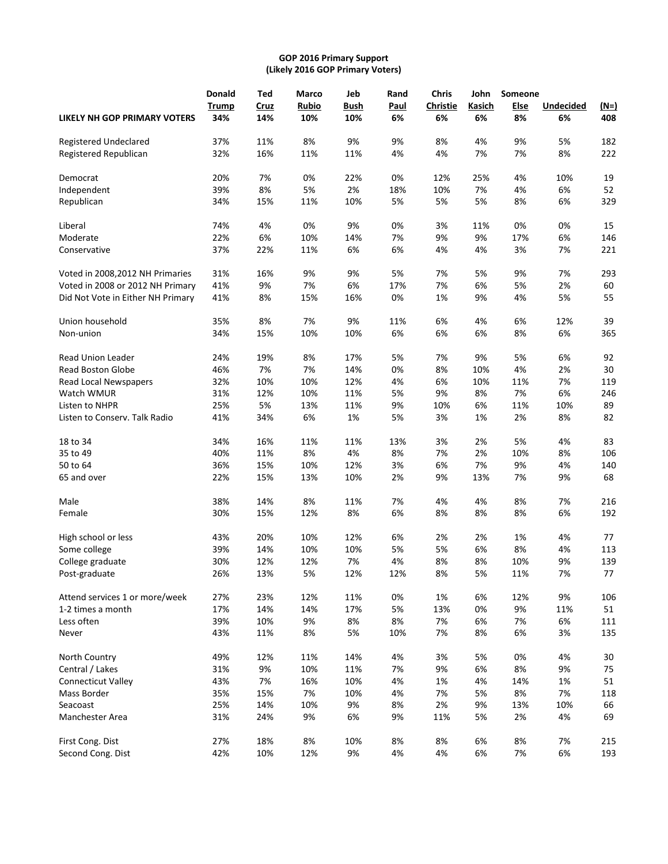## **GOP 2016 Primary Support (Likely 2016 GOP Primary Voters)**

|                                     | <b>Donald</b>       | Ted         | Marco               | Jeb                | Rand              | <b>Chris</b>          | John         | Someone    |                        |                    |
|-------------------------------------|---------------------|-------------|---------------------|--------------------|-------------------|-----------------------|--------------|------------|------------------------|--------------------|
| <b>LIKELY NH GOP PRIMARY VOTERS</b> | <b>Trump</b><br>34% | Cruz<br>14% | <b>Rubio</b><br>10% | <b>Bush</b><br>10% | <b>Paul</b><br>6% | <b>Christie</b><br>6% | Kasich<br>6% | Else<br>8% | <b>Undecided</b><br>6% | <u>(N=)</u><br>408 |
| Registered Undeclared               | 37%                 | 11%         | 8%                  | 9%                 | 9%                | 8%                    | 4%           | 9%         | 5%                     | 182                |
| Registered Republican               | 32%                 | 16%         | 11%                 | 11%                | 4%                | 4%                    | 7%           | 7%         | 8%                     | 222                |
| Democrat                            | 20%                 | 7%          | 0%                  | 22%                | 0%                | 12%                   | 25%          | 4%         | 10%                    | 19                 |
| Independent                         | 39%                 | 8%          | 5%                  | 2%                 | 18%               | 10%                   | 7%           | 4%         | 6%                     | 52                 |
| Republican                          | 34%                 | 15%         | 11%                 | 10%                | 5%                | 5%                    | 5%           | 8%         | 6%                     | 329                |
| Liberal                             | 74%                 | 4%          | 0%                  | 9%                 | 0%                | 3%                    | 11%          | 0%         | 0%                     | 15                 |
| Moderate                            | 22%                 | 6%          | 10%                 | 14%                | 7%                | 9%                    | 9%           | 17%        | 6%                     | 146                |
| Conservative                        | 37%                 | 22%         | 11%                 | 6%                 | 6%                | 4%                    | 4%           | 3%         | 7%                     | 221                |
| Voted in 2008, 2012 NH Primaries    | 31%                 | 16%         | 9%                  | 9%                 | 5%                | 7%                    | 5%           | 9%         | 7%                     | 293                |
| Voted in 2008 or 2012 NH Primary    | 41%                 | 9%          | 7%                  | 6%                 | 17%               | 7%                    | 6%           | 5%         | 2%                     | 60                 |
| Did Not Vote in Either NH Primary   | 41%                 | 8%          | 15%                 | 16%                | 0%                | 1%                    | 9%           | 4%         | 5%                     | 55                 |
| Union household                     | 35%                 | 8%          | 7%                  | 9%                 | 11%               | 6%                    | 4%           | 6%         | 12%                    | 39                 |
| Non-union                           | 34%                 | 15%         | 10%                 | 10%                | 6%                | 6%                    | 6%           | 8%         | 6%                     | 365                |
| <b>Read Union Leader</b>            | 24%                 | 19%         | 8%                  | 17%                | 5%                | 7%                    | 9%           | 5%         | 6%                     | 92                 |
| <b>Read Boston Globe</b>            | 46%                 | 7%          | 7%                  | 14%                | 0%                | 8%                    | 10%          | 4%         | 2%                     | 30                 |
| Read Local Newspapers               | 32%                 | 10%         | 10%                 | 12%                | 4%                | 6%                    | 10%          | 11%        | 7%                     | 119                |
| Watch WMUR                          | 31%                 | 12%         | 10%                 | 11%                | 5%                | 9%                    | 8%           | 7%         | 6%                     | 246                |
| Listen to NHPR                      | 25%                 | 5%          | 13%                 | 11%                | 9%                | 10%                   | 6%           | 11%        | 10%                    | 89                 |
| Listen to Conserv. Talk Radio       | 41%                 | 34%         | 6%                  | 1%                 | 5%                | 3%                    | 1%           | 2%         | 8%                     | 82                 |
| 18 to 34                            | 34%                 | 16%         | 11%                 | 11%                | 13%               | 3%                    | 2%           | 5%         | 4%                     | 83                 |
| 35 to 49                            | 40%                 | 11%         | 8%                  | 4%                 | 8%                | 7%                    | 2%           | 10%        | 8%                     | 106                |
| 50 to 64                            | 36%                 | 15%         | 10%                 | 12%                | 3%                | 6%                    | 7%           | 9%         | 4%                     | 140                |
| 65 and over                         | 22%                 | 15%         | 13%                 | 10%                | 2%                | 9%                    | 13%          | 7%         | 9%                     | 68                 |
| Male                                | 38%                 | 14%         | 8%                  | 11%                | 7%                | 4%                    | 4%           | 8%         | 7%                     | 216                |
| Female                              | 30%                 | 15%         | 12%                 | 8%                 | 6%                | 8%                    | 8%           | 8%         | 6%                     | 192                |
| High school or less                 | 43%                 | 20%         | 10%                 | 12%                | 6%                | 2%                    | 2%           | 1%         | 4%                     | 77                 |
| Some college                        | 39%                 | 14%         | 10%                 | 10%                | 5%                | 5%                    | 6%           | 8%         | 4%                     | 113                |
| College graduate                    | 30%                 | 12%         | 12%                 | 7%                 | 4%                | 8%                    | 8%           | 10%        | 9%                     | 139                |
| Post-graduate                       | 26%                 | 13%         | 5%                  | 12%                | 12%               | 8%                    | 5%           | 11%        | 7%                     | 77                 |
| Attend services 1 or more/week      | 27%                 | 23%         | 12%                 | 11%                | 0%                | 1%                    | 6%           | 12%        | 9%                     | 106                |
| 1-2 times a month                   | 17%                 | 14%         | 14%                 | 17%                | 5%                | 13%                   | 0%           | 9%         | 11%                    | 51                 |
| Less often                          | 39%                 | 10%         | 9%                  | 8%                 | 8%                | 7%                    | 6%           | 7%         | 6%                     | 111                |
| Never                               | 43%                 | 11%         | 8%                  | 5%                 | 10%               | 7%                    | 8%           | 6%         | 3%                     | 135                |
| North Country                       | 49%                 | 12%         | 11%                 | 14%                | 4%                | 3%                    | 5%           | 0%         | 4%                     | 30                 |
| Central / Lakes                     | 31%                 | 9%          | 10%                 | 11%                | 7%                | 9%                    | 6%           | 8%         | 9%                     | 75                 |
| <b>Connecticut Valley</b>           | 43%                 | 7%          | 16%                 | 10%                | 4%                | 1%                    | 4%           | 14%        | 1%                     | 51                 |
| Mass Border                         | 35%                 | 15%         | 7%                  | 10%                | 4%                | 7%                    | 5%           | 8%         | 7%                     | 118                |
| Seacoast                            | 25%                 | 14%         | 10%                 | 9%                 | 8%                | 2%                    | 9%           | 13%        | 10%                    | 66                 |
| Manchester Area                     | 31%                 | 24%         | 9%                  | 6%                 | 9%                | 11%                   | 5%           | 2%         | 4%                     | 69                 |
| First Cong. Dist                    | 27%                 | 18%         | 8%                  | 10%                | 8%                | 8%                    | 6%           | 8%         | 7%                     | 215                |
| Second Cong. Dist                   | 42%                 | 10%         | 12%                 | 9%                 | 4%                | 4%                    | 6%           | 7%         | 6%                     | 193                |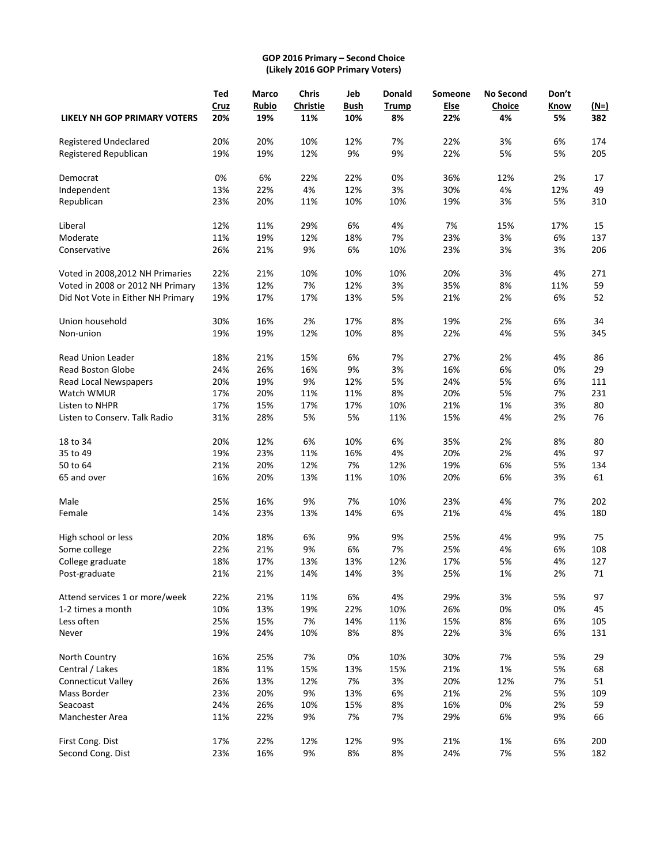## **GOP 2016 Primary – Second Choice (Likely 2016 GOP Primary Voters)**

|                                     | <b>Ted</b> | <b>Marco</b> | <b>Chris</b>    | Jeb         | Donald       | Someone     | <b>No Second</b> | Don't |        |
|-------------------------------------|------------|--------------|-----------------|-------------|--------------|-------------|------------------|-------|--------|
|                                     | Cruz       | <b>Rubio</b> | <b>Christie</b> | <b>Bush</b> | <b>Trump</b> | <b>Else</b> | Choice           | Know  | $(N=)$ |
| <b>LIKELY NH GOP PRIMARY VOTERS</b> | 20%        | 19%          | 11%             | 10%         | 8%           | 22%         | 4%               | 5%    | 382    |
| Registered Undeclared               | 20%        | 20%          | 10%             | 12%         | 7%           | 22%         | 3%               | 6%    | 174    |
| Registered Republican               | 19%        | 19%          | 12%             | 9%          | 9%           | 22%         | 5%               | 5%    | 205    |
| Democrat                            | 0%         | 6%           | 22%             | 22%         | 0%           | 36%         | 12%              | 2%    | 17     |
| Independent                         | 13%        | 22%          | 4%              | 12%         | 3%           | 30%         | 4%               | 12%   | 49     |
| Republican                          | 23%        | 20%          | 11%             | 10%         | 10%          | 19%         | 3%               | 5%    | 310    |
| Liberal                             | 12%        | 11%          | 29%             | 6%          | 4%           | 7%          | 15%              | 17%   | 15     |
| Moderate                            | 11%        | 19%          | 12%             | 18%         | 7%           | 23%         | 3%               | 6%    | 137    |
| Conservative                        | 26%        | 21%          | 9%              | 6%          | 10%          | 23%         | 3%               | 3%    | 206    |
| Voted in 2008,2012 NH Primaries     | 22%        | 21%          | 10%             | 10%         | 10%          | 20%         | 3%               | 4%    | 271    |
| Voted in 2008 or 2012 NH Primary    | 13%        | 12%          | 7%              | 12%         | 3%           | 35%         | 8%               | 11%   | 59     |
| Did Not Vote in Either NH Primary   | 19%        | 17%          | 17%             | 13%         | 5%           | 21%         | 2%               | 6%    | 52     |
| Union household                     | 30%        | 16%          | 2%              | 17%         | 8%           | 19%         | 2%               | 6%    | 34     |
| Non-union                           | 19%        | 19%          | 12%             | 10%         | 8%           | 22%         | 4%               | 5%    | 345    |
| <b>Read Union Leader</b>            | 18%        | 21%          | 15%             | 6%          | 7%           | 27%         | 2%               | 4%    | 86     |
| <b>Read Boston Globe</b>            | 24%        | 26%          | 16%             | 9%          | 3%           | 16%         | 6%               | 0%    | 29     |
| Read Local Newspapers               | 20%        | 19%          | 9%              | 12%         | 5%           | 24%         | 5%               | 6%    | 111    |
| Watch WMUR                          | 17%        | 20%          | 11%             | 11%         | 8%           | 20%         | 5%               | 7%    | 231    |
| Listen to NHPR                      | 17%        | 15%          | 17%             | 17%         | 10%          | 21%         | 1%               | 3%    | 80     |
| Listen to Conserv. Talk Radio       | 31%        | 28%          | 5%              | 5%          | 11%          | 15%         | 4%               | 2%    | 76     |
| 18 to 34                            | 20%        | 12%          | 6%              | 10%         | 6%           | 35%         | 2%               | 8%    | 80     |
| 35 to 49                            | 19%        | 23%          | 11%             | 16%         | 4%           | 20%         | 2%               | 4%    | 97     |
| 50 to 64                            | 21%        | 20%          | 12%             | 7%          | 12%          | 19%         | 6%               | 5%    | 134    |
| 65 and over                         | 16%        | 20%          | 13%             | 11%         | 10%          | 20%         | 6%               | 3%    | 61     |
| Male                                | 25%        | 16%          | 9%              | 7%          | 10%          | 23%         | 4%               | 7%    | 202    |
| Female                              | 14%        | 23%          | 13%             | 14%         | 6%           | 21%         | 4%               | 4%    | 180    |
| High school or less                 | 20%        | 18%          | 6%              | 9%          | 9%           | 25%         | 4%               | 9%    | 75     |
| Some college                        | 22%        | 21%          | 9%              | 6%          | 7%           | 25%         | 4%               | 6%    | 108    |
| College graduate                    | 18%        | 17%          | 13%             | 13%         | 12%          | 17%         | 5%               | 4%    | 127    |
| Post-graduate                       | 21%        | 21%          | 14%             | 14%         | 3%           | 25%         | 1%               | 2%    | 71     |
| Attend services 1 or more/week      | 22%        | 21%          | 11%             | 6%          | 4%           | 29%         | 3%               | 5%    | 97     |
| 1-2 times a month                   | 10%        | 13%          | 19%             | 22%         | 10%          | 26%         | 0%               | 0%    | 45     |
| Less often                          | 25%        | 15%          | 7%              | 14%         | 11%          | 15%         | 8%               | 6%    | 105    |
| Never                               | 19%        | 24%          | 10%             | 8%          | 8%           | 22%         | 3%               | 6%    | 131    |
| North Country                       | 16%        | 25%          | 7%              | 0%          | 10%          | 30%         | 7%               | 5%    | 29     |
| Central / Lakes                     | 18%        | 11%          | 15%             | 13%         | 15%          | 21%         | 1%               | 5%    | 68     |
| <b>Connecticut Valley</b>           | 26%        | 13%          | 12%             | 7%          | 3%           | 20%         | 12%              | 7%    | 51     |
| Mass Border                         | 23%        | 20%          | 9%              | 13%         | 6%           | 21%         | 2%               | 5%    | 109    |
| Seacoast                            | 24%        | 26%          | 10%             | 15%         | 8%           | 16%         | 0%               | 2%    | 59     |
| Manchester Area                     | 11%        | 22%          | 9%              | 7%          | 7%           | 29%         | 6%               | 9%    | 66     |
| First Cong. Dist                    | 17%        | 22%          | 12%             | 12%         | 9%           | 21%         | 1%               | 6%    | 200    |
| Second Cong. Dist                   | 23%        | 16%          | 9%              | 8%          | 8%           | 24%         | 7%               | 5%    | 182    |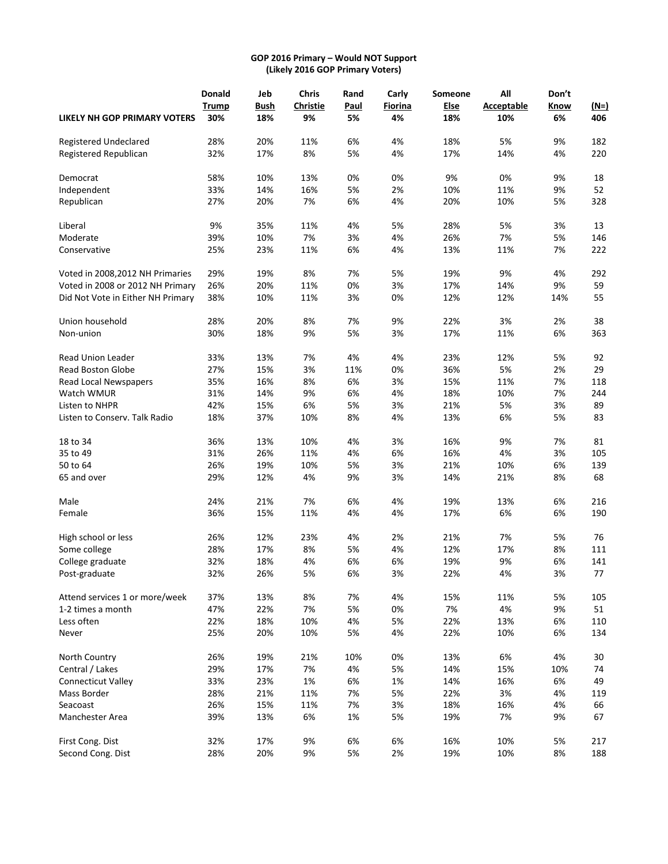## **GOP 2016 Primary – Would NOT Support (Likely 2016 GOP Primary Voters)**

|                                     | Donald       | Jeb         | <b>Chris</b>    | Rand        | Carly   | Someone     | All               | Don't |        |
|-------------------------------------|--------------|-------------|-----------------|-------------|---------|-------------|-------------------|-------|--------|
|                                     | <b>Trump</b> | <b>Bush</b> | <b>Christie</b> | <b>Paul</b> | Fiorina | <b>Else</b> | <b>Acceptable</b> | Know  | $(N=)$ |
| <b>LIKELY NH GOP PRIMARY VOTERS</b> | 30%          | 18%         | 9%              | 5%          | 4%      | 18%         | 10%               | 6%    | 406    |
| Registered Undeclared               | 28%          | 20%         | 11%             | 6%          | 4%      | 18%         | 5%                | 9%    | 182    |
| Registered Republican               | 32%          | 17%         | 8%              | 5%          | 4%      | 17%         | 14%               | 4%    | 220    |
| Democrat                            | 58%          | 10%         | 13%             | 0%          | 0%      | 9%          | 0%                | 9%    | 18     |
| Independent                         | 33%          | 14%         | 16%             | 5%          | 2%      | 10%         | 11%               | 9%    | 52     |
| Republican                          | 27%          | 20%         | 7%              | 6%          | 4%      | 20%         | 10%               | 5%    | 328    |
| Liberal                             | 9%           | 35%         | 11%             | 4%          | 5%      | 28%         | 5%                | 3%    | 13     |
| Moderate                            | 39%          | 10%         | 7%              | 3%          | 4%      | 26%         | 7%                | 5%    | 146    |
| Conservative                        | 25%          | 23%         | 11%             | 6%          | 4%      | 13%         | 11%               | 7%    | 222    |
| Voted in 2008, 2012 NH Primaries    | 29%          | 19%         | 8%              | 7%          | 5%      | 19%         | 9%                | 4%    | 292    |
| Voted in 2008 or 2012 NH Primary    | 26%          | 20%         | 11%             | 0%          | 3%      | 17%         | 14%               | 9%    | 59     |
| Did Not Vote in Either NH Primary   | 38%          | 10%         | 11%             | 3%          | 0%      | 12%         | 12%               | 14%   | 55     |
| Union household                     | 28%          | 20%         | 8%              | 7%          | 9%      | 22%         | 3%                | 2%    | 38     |
| Non-union                           | 30%          | 18%         | 9%              | 5%          | 3%      | 17%         | 11%               | 6%    | 363    |
| Read Union Leader                   | 33%          | 13%         | 7%              | 4%          | 4%      | 23%         | 12%               | 5%    | 92     |
| <b>Read Boston Globe</b>            | 27%          | 15%         | 3%              | 11%         | 0%      | 36%         | 5%                | 2%    | 29     |
| <b>Read Local Newspapers</b>        | 35%          | 16%         | 8%              | 6%          | 3%      | 15%         | 11%               | 7%    | 118    |
| Watch WMUR                          | 31%          | 14%         | 9%              | 6%          | 4%      | 18%         | 10%               | 7%    | 244    |
| Listen to NHPR                      | 42%          | 15%         | 6%              | 5%          | 3%      | 21%         | 5%                | 3%    | 89     |
| Listen to Conserv. Talk Radio       | 18%          | 37%         | 10%             | 8%          | 4%      | 13%         | 6%                | 5%    | 83     |
| 18 to 34                            | 36%          | 13%         | 10%             | 4%          | 3%      | 16%         | 9%                | 7%    | 81     |
| 35 to 49                            | 31%          | 26%         | 11%             | 4%          | 6%      | 16%         | 4%                | 3%    | 105    |
| 50 to 64                            | 26%          | 19%         | 10%             | 5%          | 3%      | 21%         | 10%               | 6%    | 139    |
| 65 and over                         | 29%          | 12%         | 4%              | 9%          | 3%      | 14%         | 21%               | 8%    | 68     |
| Male                                | 24%          | 21%         | 7%              | 6%          | 4%      | 19%         | 13%               | 6%    | 216    |
| Female                              | 36%          | 15%         | 11%             | 4%          | 4%      | 17%         | 6%                | 6%    | 190    |
| High school or less                 | 26%          | 12%         | 23%             | 4%          | 2%      | 21%         | 7%                | 5%    | 76     |
| Some college                        | 28%          | 17%         | 8%              | 5%          | 4%      | 12%         | 17%               | 8%    | 111    |
| College graduate                    | 32%          | 18%         | 4%              | 6%          | 6%      | 19%         | 9%                | 6%    | 141    |
| Post-graduate                       | 32%          | 26%         | 5%              | 6%          | 3%      | 22%         | 4%                | 3%    | 77     |
| Attend services 1 or more/week      | 37%          | 13%         | 8%              | 7%          | 4%      | 15%         | 11%               | 5%    | 105    |
| 1-2 times a month                   | 47%          | 22%         | 7%              | 5%          | 0%      | 7%          | 4%                | 9%    | 51     |
| Less often                          | 22%          | 18%         | 10%             | 4%          | 5%      | 22%         | 13%               | 6%    | 110    |
| Never                               | 25%          | 20%         | 10%             | 5%          | 4%      | 22%         | 10%               | 6%    | 134    |
| North Country                       | 26%          | 19%         | 21%             | 10%         | 0%      | 13%         | 6%                | 4%    | 30     |
| Central / Lakes                     | 29%          | 17%         | 7%              | 4%          | 5%      | 14%         | 15%               | 10%   | 74     |
| <b>Connecticut Valley</b>           | 33%          | 23%         | 1%              | 6%          | 1%      | 14%         | 16%               | 6%    | 49     |
| Mass Border                         | 28%          | 21%         | 11%             | 7%          | 5%      | 22%         | 3%                | 4%    | 119    |
| Seacoast                            | 26%          | 15%         | 11%             | 7%          | 3%      | 18%         | 16%               | 4%    | 66     |
| Manchester Area                     | 39%          | 13%         | 6%              | $1\%$       | 5%      | 19%         | 7%                | 9%    | 67     |
| First Cong. Dist                    | 32%          | 17%         | 9%              | 6%          | 6%      | 16%         | 10%               | 5%    | 217    |
| Second Cong. Dist                   | 28%          | 20%         | 9%              | 5%          | 2%      | 19%         | 10%               | 8%    | 188    |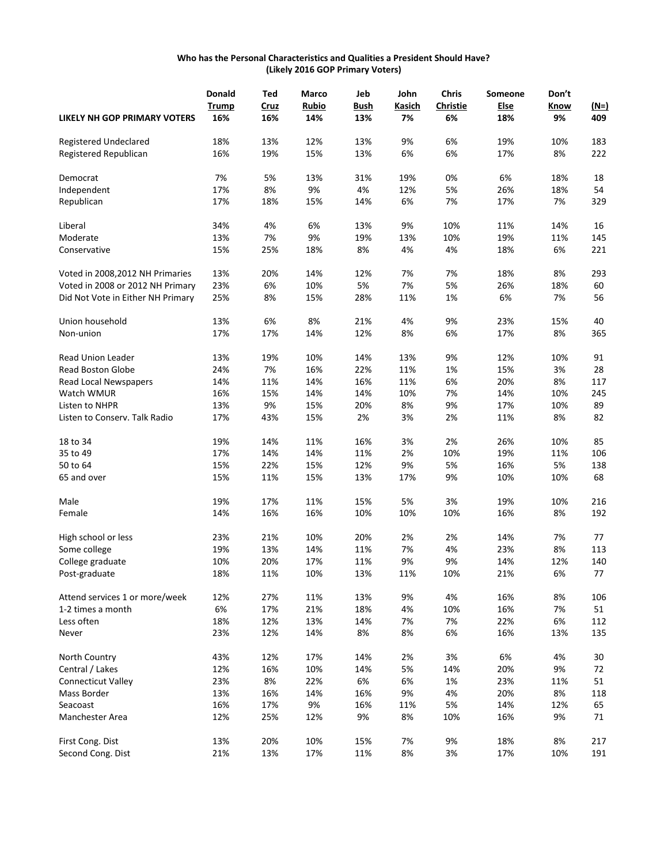## **Who has the Personal Characteristics and Qualities a President Should Have? (Likely 2016 GOP Primary Voters)**

|                                     | <b>Donald</b> | Ted  | Marco        | Jeb         | John   | <b>Chris</b>    | Someone | Don't |        |
|-------------------------------------|---------------|------|--------------|-------------|--------|-----------------|---------|-------|--------|
|                                     | Trump         | Cruz | <b>Rubio</b> | <b>Bush</b> | Kasich | <b>Christie</b> | Else    | Know  | $(M=)$ |
| <b>LIKELY NH GOP PRIMARY VOTERS</b> | 16%           | 16%  | 14%          | 13%         | 7%     | 6%              | 18%     | 9%    | 409    |
| Registered Undeclared               | 18%           | 13%  | 12%          | 13%         | 9%     | 6%              | 19%     | 10%   | 183    |
| Registered Republican               | 16%           | 19%  | 15%          | 13%         | 6%     | 6%              | 17%     | 8%    | 222    |
| Democrat                            | 7%            | 5%   | 13%          | 31%         | 19%    | 0%              | 6%      | 18%   | 18     |
| Independent                         | 17%           | 8%   | 9%           | 4%          | 12%    | 5%              | 26%     | 18%   | 54     |
| Republican                          | 17%           | 18%  | 15%          | 14%         | 6%     | 7%              | 17%     | 7%    | 329    |
| Liberal                             | 34%           | 4%   | 6%           | 13%         | 9%     | 10%             | 11%     | 14%   | 16     |
| Moderate                            | 13%           | 7%   | 9%           | 19%         | 13%    | 10%             | 19%     | 11%   | 145    |
| Conservative                        | 15%           | 25%  | 18%          | 8%          | 4%     | 4%              | 18%     | 6%    | 221    |
| Voted in 2008, 2012 NH Primaries    | 13%           | 20%  | 14%          | 12%         | 7%     | 7%              | 18%     | 8%    | 293    |
| Voted in 2008 or 2012 NH Primary    | 23%           | 6%   | 10%          | 5%          | 7%     | 5%              | 26%     | 18%   | 60     |
| Did Not Vote in Either NH Primary   | 25%           | 8%   | 15%          | 28%         | 11%    | 1%              | 6%      | 7%    | 56     |
| Union household                     | 13%           | 6%   | 8%           | 21%         | 4%     | 9%              | 23%     | 15%   | 40     |
| Non-union                           | 17%           | 17%  | 14%          | 12%         | 8%     | 6%              | 17%     | 8%    | 365    |
| <b>Read Union Leader</b>            | 13%           | 19%  | 10%          | 14%         | 13%    | 9%              | 12%     | 10%   | 91     |
| <b>Read Boston Globe</b>            | 24%           | 7%   | 16%          | 22%         | 11%    | 1%              | 15%     | 3%    | 28     |
| Read Local Newspapers               | 14%           | 11%  | 14%          | 16%         | 11%    | 6%              | 20%     | 8%    | 117    |
| Watch WMUR                          | 16%           | 15%  | 14%          | 14%         | 10%    | 7%              | 14%     | 10%   | 245    |
| Listen to NHPR                      | 13%           | 9%   | 15%          | 20%         | 8%     | 9%              | 17%     | 10%   | 89     |
| Listen to Conserv. Talk Radio       | 17%           | 43%  | 15%          | 2%          | 3%     | 2%              | 11%     | 8%    | 82     |
| 18 to 34                            | 19%           | 14%  | 11%          | 16%         | 3%     | 2%              | 26%     | 10%   | 85     |
| 35 to 49                            | 17%           | 14%  | 14%          | 11%         | 2%     | 10%             | 19%     | 11%   | 106    |
| 50 to 64                            | 15%           | 22%  | 15%          | 12%         | 9%     | 5%              | 16%     | 5%    | 138    |
| 65 and over                         | 15%           | 11%  | 15%          | 13%         | 17%    | 9%              | 10%     | 10%   | 68     |
| Male                                | 19%           | 17%  | 11%          | 15%         | 5%     | 3%              | 19%     | 10%   | 216    |
| Female                              | 14%           | 16%  | 16%          | 10%         | 10%    | 10%             | 16%     | 8%    | 192    |
| High school or less                 | 23%           | 21%  | 10%          | 20%         | 2%     | 2%              | 14%     | 7%    | 77     |
| Some college                        | 19%           | 13%  | 14%          | 11%         | 7%     | 4%              | 23%     | 8%    | 113    |
| College graduate                    | 10%           | 20%  | 17%          | 11%         | 9%     | 9%              | 14%     | 12%   | 140    |
| Post-graduate                       | 18%           | 11%  | 10%          | 13%         | 11%    | 10%             | 21%     | 6%    | 77     |
| Attend services 1 or more/week      | 12%           | 27%  | 11%          | 13%         | 9%     | 4%              | 16%     | 8%    | 106    |
| 1-2 times a month                   | 6%            | 17%  | 21%          | 18%         | 4%     | 10%             | 16%     | 7%    | 51     |
| Less often                          | 18%           | 12%  | 13%          | 14%         | 7%     | 7%              | 22%     | 6%    | 112    |
| Never                               | 23%           | 12%  | 14%          | 8%          | 8%     | 6%              | 16%     | 13%   | 135    |
| North Country                       | 43%           | 12%  | 17%          | 14%         | 2%     | 3%              | 6%      | 4%    | 30     |
| Central / Lakes                     | 12%           | 16%  | 10%          | 14%         | 5%     | 14%             | 20%     | 9%    | 72     |
| <b>Connecticut Valley</b>           | 23%           | 8%   | 22%          | 6%          | 6%     | 1%              | 23%     | 11%   | 51     |
| Mass Border                         | 13%           | 16%  | 14%          | 16%         | 9%     | 4%              | 20%     | 8%    | 118    |
| Seacoast                            | 16%           | 17%  | 9%           | 16%         | 11%    | 5%              | 14%     | 12%   | 65     |
| Manchester Area                     | 12%           | 25%  | 12%          | 9%          | 8%     | 10%             | 16%     | 9%    | 71     |
| First Cong. Dist                    | 13%           | 20%  | 10%          | 15%         | 7%     | 9%              | 18%     | 8%    | 217    |
| Second Cong. Dist                   | 21%           | 13%  | 17%          | 11%         | 8%     | 3%              | 17%     | 10%   | 191    |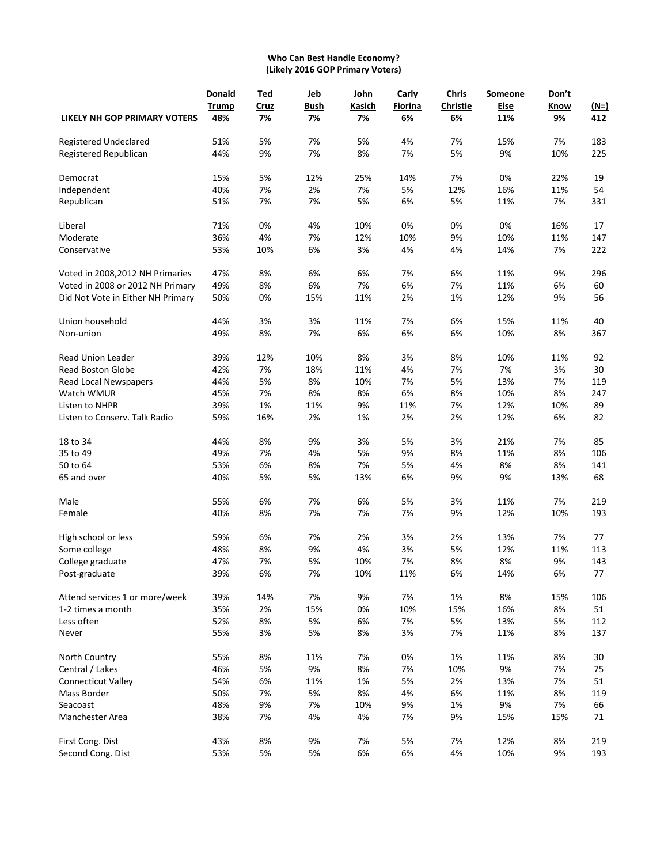## **Who Can Best Handle Economy? (Likely 2016 GOP Primary Voters)**

|                                     | <b>Donald</b><br>Trump | Ted<br>Cruz | Jeb<br><b>Bush</b> | John<br>Kasich | Carly<br>Fiorina | <b>Chris</b><br><b>Christie</b> | Someone<br>Else | Don't<br>Know | $(N=)$ |
|-------------------------------------|------------------------|-------------|--------------------|----------------|------------------|---------------------------------|-----------------|---------------|--------|
| <b>LIKELY NH GOP PRIMARY VOTERS</b> | 48%                    | 7%          | 7%                 | 7%             | 6%               | 6%                              | 11%             | 9%            | 412    |
| Registered Undeclared               | 51%                    | 5%          | 7%                 | 5%             | 4%               | 7%                              | 15%             | 7%            | 183    |
| Registered Republican               | 44%                    | 9%          | 7%                 | 8%             | 7%               | 5%                              | 9%              | 10%           | 225    |
| Democrat                            | 15%                    | 5%          | 12%                | 25%            | 14%              | 7%                              | 0%              | 22%           | 19     |
| Independent                         | 40%                    | 7%          | 2%                 | 7%             | 5%               | 12%                             | 16%             | 11%           | 54     |
| Republican                          | 51%                    | 7%          | 7%                 | 5%             | 6%               | 5%                              | 11%             | 7%            | 331    |
| Liberal                             | 71%                    | 0%          | 4%                 | 10%            | 0%               | 0%                              | 0%              | 16%           | 17     |
| Moderate                            | 36%                    | 4%          | 7%                 | 12%            | 10%              | 9%                              | 10%             | 11%           | 147    |
| Conservative                        | 53%                    | 10%         | 6%                 | 3%             | 4%               | 4%                              | 14%             | 7%            | 222    |
| Voted in 2008,2012 NH Primaries     | 47%                    | 8%          | 6%                 | 6%             | 7%               | 6%                              | 11%             | 9%            | 296    |
| Voted in 2008 or 2012 NH Primary    | 49%                    | 8%          | 6%                 | 7%             | 6%               | 7%                              | 11%             | 6%            | 60     |
| Did Not Vote in Either NH Primary   | 50%                    | 0%          | 15%                | 11%            | 2%               | 1%                              | 12%             | 9%            | 56     |
| Union household                     | 44%                    | 3%          | 3%                 | 11%            | 7%               | 6%                              | 15%             | 11%           | 40     |
| Non-union                           | 49%                    | 8%          | 7%                 | 6%             | 6%               | 6%                              | 10%             | 8%            | 367    |
| <b>Read Union Leader</b>            | 39%                    | 12%         | 10%                | 8%             | 3%               | 8%                              | 10%             | 11%           | 92     |
| <b>Read Boston Globe</b>            | 42%                    | 7%          | 18%                | 11%            | 4%               | 7%                              | 7%              | 3%            | 30     |
| Read Local Newspapers               | 44%                    | 5%          | 8%                 | 10%            | 7%               | 5%                              | 13%             | 7%            | 119    |
| Watch WMUR                          | 45%                    | 7%          | 8%                 | 8%             | 6%               | 8%                              | 10%             | 8%            | 247    |
| Listen to NHPR                      | 39%                    | 1%          | 11%                | 9%             | 11%              | 7%                              | 12%             | 10%           | 89     |
| Listen to Conserv. Talk Radio       | 59%                    | 16%         | 2%                 | 1%             | 2%               | 2%                              | 12%             | 6%            | 82     |
| 18 to 34                            | 44%                    | 8%          | 9%                 | 3%             | 5%               | 3%                              | 21%             | 7%            | 85     |
| 35 to 49                            | 49%                    | 7%          | 4%                 | 5%             | 9%               | 8%                              | 11%             | 8%            | 106    |
| 50 to 64                            | 53%                    | 6%          | 8%                 | 7%             | 5%               | 4%                              | 8%              | 8%            | 141    |
| 65 and over                         | 40%                    | 5%          | 5%                 | 13%            | 6%               | 9%                              | 9%              | 13%           | 68     |
| Male                                | 55%                    | 6%          | 7%                 | 6%             | 5%               | 3%                              | 11%             | 7%            | 219    |
| Female                              | 40%                    | 8%          | 7%                 | 7%             | 7%               | 9%                              | 12%             | 10%           | 193    |
| High school or less                 | 59%                    | 6%          | 7%                 | 2%             | 3%               | 2%                              | 13%             | 7%            | 77     |
| Some college                        | 48%                    | 8%          | 9%                 | 4%             | 3%               | 5%                              | 12%             | 11%           | 113    |
| College graduate                    | 47%                    | 7%          | 5%                 | 10%            | 7%               | 8%                              | 8%              | 9%            | 143    |
| Post-graduate                       | 39%                    | 6%          | 7%                 | 10%            | 11%              | 6%                              | 14%             | 6%            | 77     |
| Attend services 1 or more/week      | 39%                    | 14%         | 7%                 | 9%             | 7%               | 1%                              | 8%              | 15%           | 106    |
| 1-2 times a month                   | 35%                    | $2\%$       | 15%                | 0%             | 10%              | 15%                             | 16%             | 8%            | 51     |
| Less often                          | 52%                    | 8%          | 5%                 | 6%             | 7%               | 5%                              | 13%             | 5%            | 112    |
| Never                               | 55%                    | 3%          | 5%                 | 8%             | 3%               | 7%                              | 11%             | 8%            | 137    |
| North Country                       | 55%                    | 8%          | 11%                | 7%             | 0%               | 1%                              | 11%             | 8%            | 30     |
| Central / Lakes                     | 46%                    | 5%          | 9%                 | 8%             | 7%               | 10%                             | 9%              | 7%            | 75     |
| <b>Connecticut Valley</b>           | 54%                    | 6%          | 11%                | 1%             | 5%               | 2%                              | 13%             | 7%            | 51     |
| Mass Border                         | 50%                    | 7%          | 5%                 | 8%             | 4%               | 6%                              | 11%             | 8%            | 119    |
| Seacoast                            | 48%                    | 9%          | 7%                 | 10%            | 9%               | 1%                              | 9%              | 7%            | 66     |
| Manchester Area                     | 38%                    | 7%          | 4%                 | 4%             | 7%               | 9%                              | 15%             | 15%           | 71     |
| First Cong. Dist                    | 43%                    | 8%          | 9%                 | 7%             | 5%               | 7%                              | 12%             | 8%            | 219    |
| Second Cong. Dist                   | 53%                    | 5%          | 5%                 | 6%             | 6%               | 4%                              | 10%             | 9%            | 193    |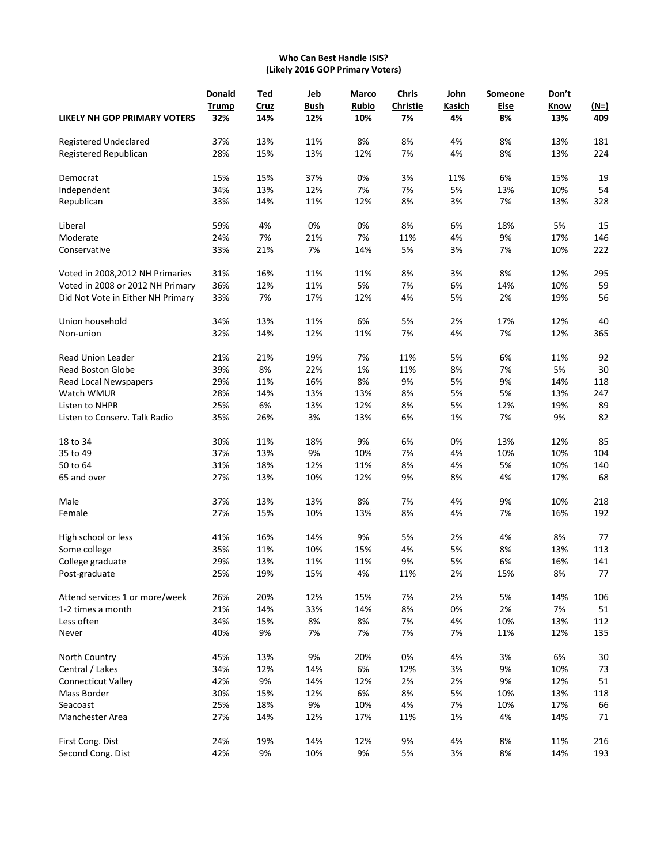## **Who Can Best Handle ISIS? (Likely 2016 GOP Primary Voters)**

|                                     | <b>Donald</b> | Ted  | Jeb  | <b>Marco</b> | <b>Chris</b>    | John   | Someone     | Don't |        |
|-------------------------------------|---------------|------|------|--------------|-----------------|--------|-------------|-------|--------|
|                                     | <b>Trump</b>  | Cruz | Bush | <b>Rubio</b> | <b>Christie</b> | Kasich | <b>Else</b> | Know  | $(M=)$ |
| <b>LIKELY NH GOP PRIMARY VOTERS</b> | 32%           | 14%  | 12%  | 10%          | 7%              | 4%     | 8%          | 13%   | 409    |
| Registered Undeclared               | 37%           | 13%  | 11%  | 8%           | 8%              | 4%     | 8%          | 13%   | 181    |
| Registered Republican               | 28%           | 15%  | 13%  | 12%          | 7%              | 4%     | 8%          | 13%   | 224    |
| Democrat                            | 15%           | 15%  | 37%  | 0%           | 3%              | 11%    | 6%          | 15%   | 19     |
| Independent                         | 34%           | 13%  | 12%  | 7%           | 7%              | 5%     | 13%         | 10%   | 54     |
| Republican                          | 33%           | 14%  | 11%  | 12%          | 8%              | 3%     | 7%          | 13%   | 328    |
| Liberal                             | 59%           | 4%   | 0%   | 0%           | 8%              | 6%     | 18%         | 5%    | 15     |
| Moderate                            | 24%           | 7%   | 21%  | 7%           | 11%             | 4%     | 9%          | 17%   | 146    |
| Conservative                        | 33%           | 21%  | 7%   | 14%          | 5%              | 3%     | 7%          | 10%   | 222    |
| Voted in 2008,2012 NH Primaries     | 31%           | 16%  | 11%  | 11%          | 8%              | 3%     | 8%          | 12%   | 295    |
| Voted in 2008 or 2012 NH Primary    | 36%           | 12%  | 11%  | 5%           | 7%              | 6%     | 14%         | 10%   | 59     |
| Did Not Vote in Either NH Primary   | 33%           | 7%   | 17%  | 12%          | 4%              | 5%     | 2%          | 19%   | 56     |
| Union household                     | 34%           | 13%  | 11%  | 6%           | 5%              | 2%     | 17%         | 12%   | 40     |
| Non-union                           | 32%           | 14%  | 12%  | 11%          | 7%              | 4%     | 7%          | 12%   | 365    |
| <b>Read Union Leader</b>            | 21%           | 21%  | 19%  | 7%           | 11%             | 5%     | 6%          | 11%   | 92     |
| Read Boston Globe                   | 39%           | 8%   | 22%  | 1%           | 11%             | 8%     | 7%          | 5%    | 30     |
| Read Local Newspapers               | 29%           | 11%  | 16%  | 8%           | 9%              | 5%     | 9%          | 14%   | 118    |
| Watch WMUR                          | 28%           | 14%  | 13%  | 13%          | 8%              | 5%     | 5%          | 13%   | 247    |
| Listen to NHPR                      | 25%           | 6%   | 13%  | 12%          | 8%              | 5%     | 12%         | 19%   | 89     |
| Listen to Conserv. Talk Radio       | 35%           | 26%  | 3%   | 13%          | 6%              | 1%     | 7%          | 9%    | 82     |
| 18 to 34                            | 30%           | 11%  | 18%  | 9%           | 6%              | 0%     | 13%         | 12%   | 85     |
| 35 to 49                            | 37%           | 13%  | 9%   | 10%          | 7%              | 4%     | 10%         | 10%   | 104    |
| 50 to 64                            | 31%           | 18%  | 12%  | 11%          | 8%              | 4%     | 5%          | 10%   | 140    |
| 65 and over                         | 27%           | 13%  | 10%  | 12%          | 9%              | 8%     | 4%          | 17%   | 68     |
| Male                                | 37%           | 13%  | 13%  | 8%           | 7%              | 4%     | 9%          | 10%   | 218    |
| Female                              | 27%           | 15%  | 10%  | 13%          | 8%              | 4%     | 7%          | 16%   | 192    |
| High school or less                 | 41%           | 16%  | 14%  | 9%           | 5%              | 2%     | 4%          | 8%    | 77     |
| Some college                        | 35%           | 11%  | 10%  | 15%          | 4%              | 5%     | 8%          | 13%   | 113    |
| College graduate                    | 29%           | 13%  | 11%  | 11%          | 9%              | 5%     | 6%          | 16%   | 141    |
| Post-graduate                       | 25%           | 19%  | 15%  | 4%           | 11%             | 2%     | 15%         | 8%    | 77     |
| Attend services 1 or more/week      | 26%           | 20%  | 12%  | 15%          | 7%              | 2%     | 5%          | 14%   | 106    |
| 1-2 times a month                   | 21%           | 14%  | 33%  | 14%          | 8%              | 0%     | 2%          | 7%    | 51     |
| Less often                          | 34%           | 15%  | 8%   | 8%           | 7%              | 4%     | 10%         | 13%   | 112    |
| Never                               | 40%           | 9%   | 7%   | 7%           | 7%              | 7%     | 11%         | 12%   | 135    |
| North Country                       | 45%           | 13%  | 9%   | 20%          | 0%              | 4%     | 3%          | 6%    | 30     |
| Central / Lakes                     | 34%           | 12%  | 14%  | 6%           | 12%             | 3%     | 9%          | 10%   | 73     |
| <b>Connecticut Valley</b>           | 42%           | 9%   | 14%  | 12%          | 2%              | 2%     | 9%          | 12%   | 51     |
| Mass Border                         | 30%           | 15%  | 12%  | 6%           | 8%              | 5%     | 10%         | 13%   | 118    |
| Seacoast                            | 25%           | 18%  | 9%   | 10%          | 4%              | 7%     | 10%         | 17%   | 66     |
| Manchester Area                     | 27%           | 14%  | 12%  | 17%          | 11%             | 1%     | 4%          | 14%   | 71     |
| First Cong. Dist                    | 24%           | 19%  | 14%  | 12%          | 9%              | 4%     | 8%          | 11%   | 216    |
| Second Cong. Dist                   | 42%           | 9%   | 10%  | 9%           | 5%              | 3%     | 8%          | 14%   | 193    |